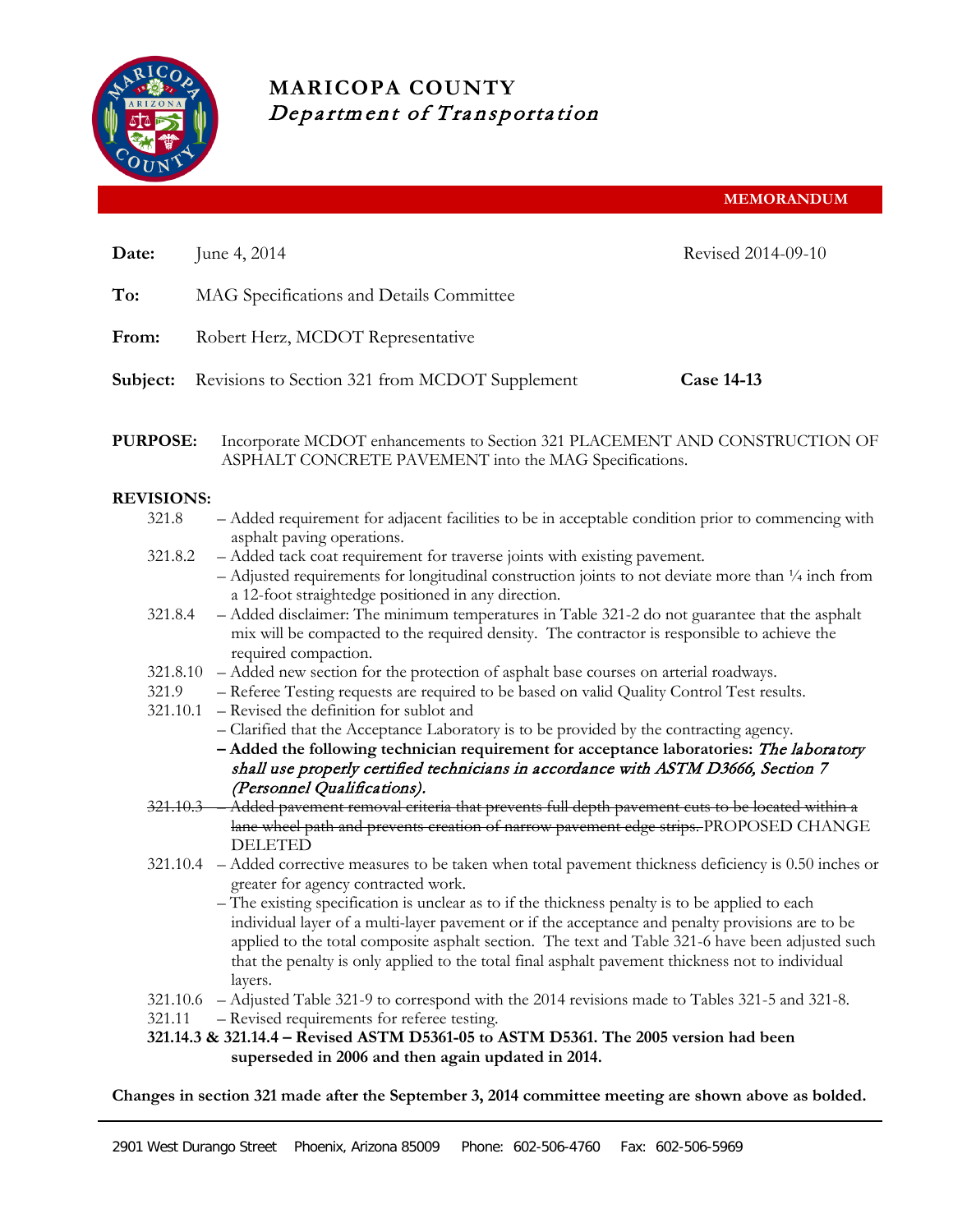

# **MARICOPA COUNTY** Department of Transportation

**MEMORANDUM**

| Date:              | June 4, 2014                                                                                                                                                                                                                                                                                                                                                                                                           | Revised 2014-09-10 |  |  |  |  |
|--------------------|------------------------------------------------------------------------------------------------------------------------------------------------------------------------------------------------------------------------------------------------------------------------------------------------------------------------------------------------------------------------------------------------------------------------|--------------------|--|--|--|--|
| To:                | MAG Specifications and Details Committee                                                                                                                                                                                                                                                                                                                                                                               |                    |  |  |  |  |
|                    |                                                                                                                                                                                                                                                                                                                                                                                                                        |                    |  |  |  |  |
| From:              | Robert Herz, MCDOT Representative                                                                                                                                                                                                                                                                                                                                                                                      |                    |  |  |  |  |
| Subject:           | Revisions to Section 321 from MCDOT Supplement                                                                                                                                                                                                                                                                                                                                                                         | <b>Case 14-13</b>  |  |  |  |  |
| <b>PURPOSE:</b>    | Incorporate MCDOT enhancements to Section 321 PLACEMENT AND CONSTRUCTION OF<br>ASPHALT CONCRETE PAVEMENT into the MAG Specifications.                                                                                                                                                                                                                                                                                  |                    |  |  |  |  |
| <b>REVISIONS:</b>  |                                                                                                                                                                                                                                                                                                                                                                                                                        |                    |  |  |  |  |
| 321.8              | - Added requirement for adjacent facilities to be in acceptable condition prior to commencing with                                                                                                                                                                                                                                                                                                                     |                    |  |  |  |  |
| 321.8.2            | asphalt paving operations.<br>- Added tack coat requirement for traverse joints with existing pavement.<br>$-$ Adjusted requirements for longitudinal construction joints to not deviate more than $\frac{1}{4}$ inch from                                                                                                                                                                                             |                    |  |  |  |  |
| 321.8.4            | a 12-foot straightedge positioned in any direction.<br>- Added disclaimer: The minimum temperatures in Table 321-2 do not guarantee that the asphalt<br>mix will be compacted to the required density. The contractor is responsible to achieve the<br>required compaction.                                                                                                                                            |                    |  |  |  |  |
| 321.8.10           | - Added new section for the protection of asphalt base courses on arterial roadways.                                                                                                                                                                                                                                                                                                                                   |                    |  |  |  |  |
| 321.9              | - Referee Testing requests are required to be based on valid Quality Control Test results.                                                                                                                                                                                                                                                                                                                             |                    |  |  |  |  |
| 321.10.1           | - Revised the definition for sublot and                                                                                                                                                                                                                                                                                                                                                                                |                    |  |  |  |  |
|                    | - Clarified that the Acceptance Laboratory is to be provided by the contracting agency.                                                                                                                                                                                                                                                                                                                                |                    |  |  |  |  |
|                    | - Added the following technician requirement for acceptance laboratories: The laboratory<br>shall use properly certified technicians in accordance with ASTM D3666, Section 7                                                                                                                                                                                                                                          |                    |  |  |  |  |
|                    | (Personnel Qualifications).                                                                                                                                                                                                                                                                                                                                                                                            |                    |  |  |  |  |
| $321.10.3 -$       | - Added pavement removal criteria that prevents full depth pavement cuts to be located within a<br>lane wheel path and prevents creation of narrow pavement edge strips. PROPOSED CHANGE<br><b>DELETED</b>                                                                                                                                                                                                             |                    |  |  |  |  |
|                    | 321.10.4 – Added corrective measures to be taken when total pavement thickness deficiency is 0.50 inches or<br>greater for agency contracted work.                                                                                                                                                                                                                                                                     |                    |  |  |  |  |
|                    | - The existing specification is unclear as to if the thickness penalty is to be applied to each<br>individual layer of a multi-layer pavement or if the acceptance and penalty provisions are to be<br>applied to the total composite asphalt section. The text and Table 321-6 have been adjusted such<br>that the penalty is only applied to the total final asphalt pavement thickness not to individual<br>layers. |                    |  |  |  |  |
| 321.10.6<br>321.11 | - Adjusted Table 321-9 to correspond with the 2014 revisions made to Tables 321-5 and 321-8.<br>- Revised requirements for referee testing.<br>321.14.3 & 321.14.4 - Revised ASTM D5361-05 to ASTM D5361. The 2005 version had been<br>superseded in 2006 and then again updated in 2014.                                                                                                                              |                    |  |  |  |  |

**Changes in section 321 made after the September 3, 2014 committee meeting are shown above as bolded.**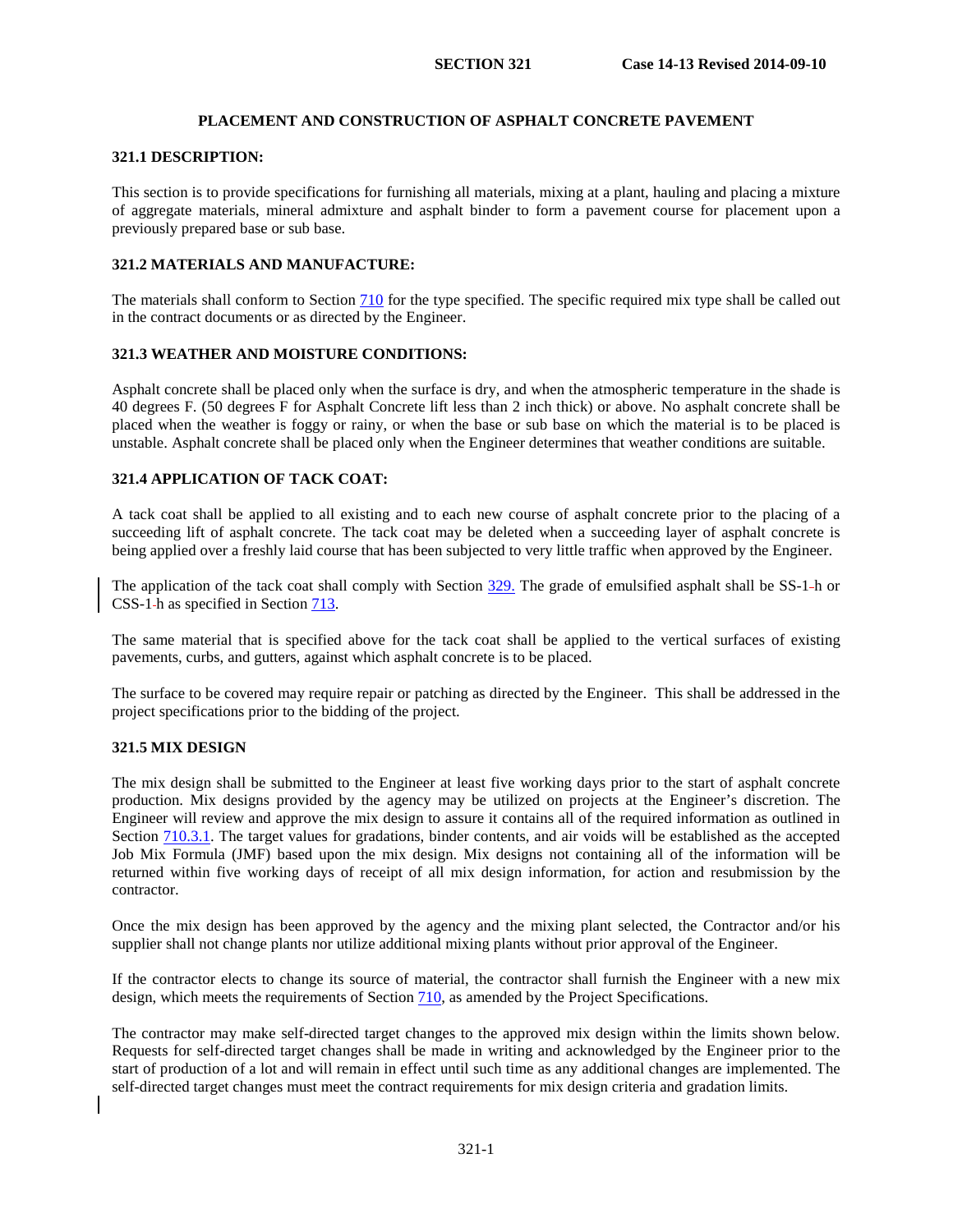# **PLACEMENT AND CONSTRUCTION OF ASPHALT CONCRETE PAVEMENT**

### **321.1 DESCRIPTION:**

This section is to provide specifications for furnishing all materials, mixing at a plant, hauling and placing a mixture of aggregate materials, mineral admixture and asphalt binder to form a pavement course for placement upon a previously prepared base or sub base.

### **321.2 MATERIALS AND MANUFACTURE:**

The materials shall conform to Section 710 for the type specified. The specific required mix type shall be called out in the contract documents or as directed by the Engineer.

#### **321.3 WEATHER AND MOISTURE CONDITIONS:**

Asphalt concrete shall be placed only when the surface is dry, and when the atmospheric temperature in the shade is 40 degrees F. (50 degrees F for Asphalt Concrete lift less than 2 inch thick) or above. No asphalt concrete shall be placed when the weather is foggy or rainy, or when the base or sub base on which the material is to be placed is unstable. Asphalt concrete shall be placed only when the Engineer determines that weather conditions are suitable.

# <span id="page-2-0"></span>**321.4 APPLICATION OF TACK COAT:**

A tack coat shall be applied to all existing and to each new course of asphalt concrete prior to the placing of a succeeding lift of asphalt concrete. The tack coat may be deleted when a succeeding layer of asphalt concrete is being applied over a freshly laid course that has been subjected to very little traffic when approved by the Engineer.

The application of the tack coat shall comply with Section 329. The grade of emulsified asphalt shall be SS-1-h or CSS-1 h as specified in Section 713.

The same material that is specified above for the tack coat shall be applied to the vertical surfaces of existing pavements, curbs, and gutters, against which asphalt concrete is to be placed.

The surface to be covered may require repair or patching as directed by the Engineer. This shall be addressed in the project specifications prior to the bidding of the project.

### **321.5 MIX DESIGN**

The mix design shall be submitted to the Engineer at least five working days prior to the start of asphalt concrete production. Mix designs provided by the agency may be utilized on projects at the Engineer's discretion. The Engineer will review and approve the mix design to assure it contains all of the required information as outlined in Section 710.3.1. The target values for gradations, binder contents, and air voids will be established as the accepted Job Mix Formula (JMF) based upon the mix design. Mix designs not containing all of the information will be returned within five working days of receipt of all mix design information, for action and resubmission by the contractor.

Once the mix design has been approved by the agency and the mixing plant selected, the Contractor and/or his supplier shall not change plants nor utilize additional mixing plants without prior approval of the Engineer.

If the contractor elects to change its source of material, the contractor shall furnish the Engineer with a new mix design, which meets the requirements of Section 710, as amended by the Project Specifications.

The contractor may make self-directed target changes to the approved mix design within the limits shown below. Requests for self-directed target changes shall be made in writing and acknowledged by the Engineer prior to the start of production of a lot and will remain in effect until such time as any additional changes are implemented. The self-directed target changes must meet the contract requirements for mix design criteria and gradation limits.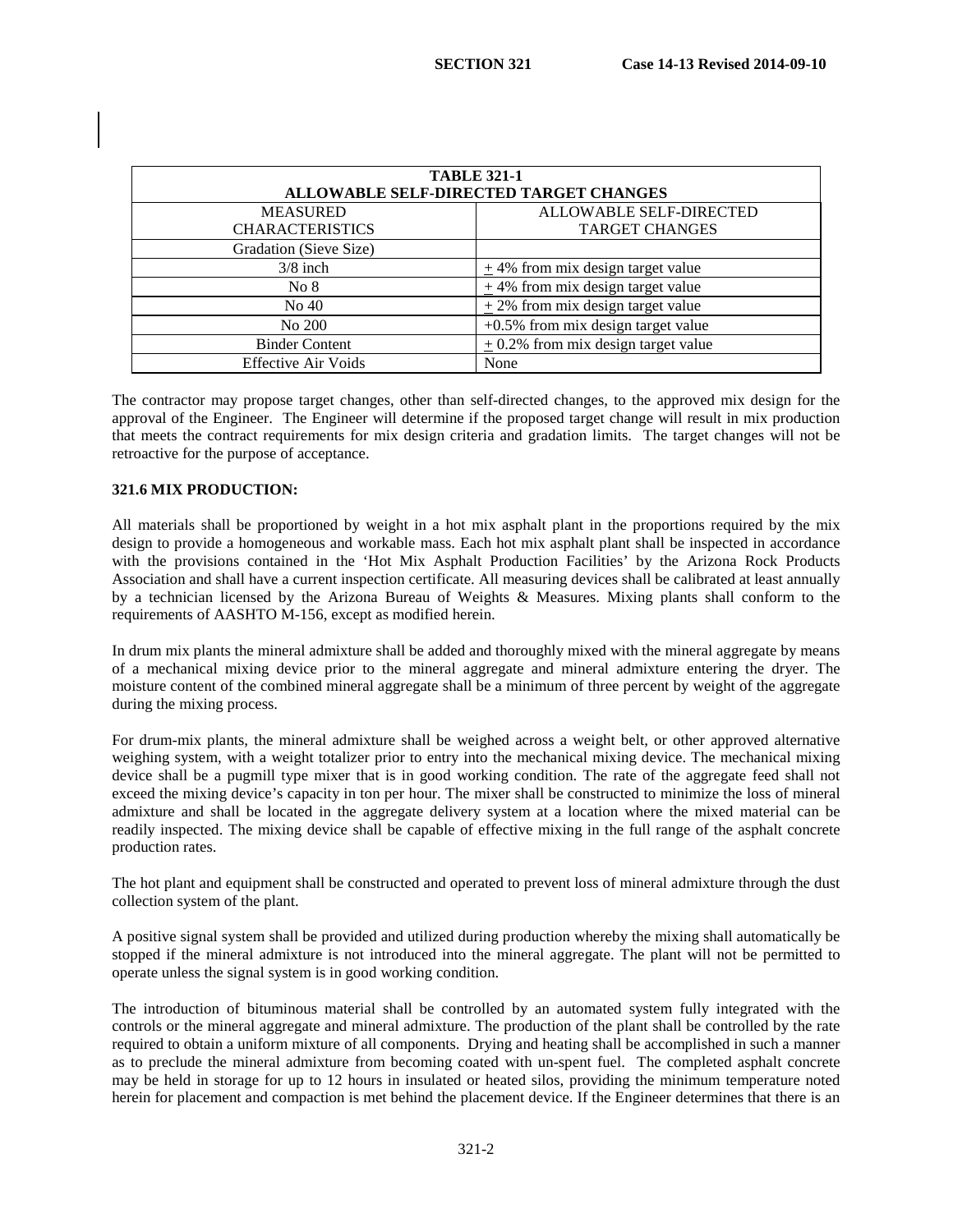| <b>TABLE 321-1</b><br>ALLOWABLE SELF-DIRECTED TARGET CHANGES |                                         |  |  |
|--------------------------------------------------------------|-----------------------------------------|--|--|
| <b>MEASURED</b>                                              | <b>ALLOWABLE SELF-DIRECTED</b>          |  |  |
| <b>CHARACTERISTICS</b>                                       | <b>TARGET CHANGES</b>                   |  |  |
| Gradation (Sieve Size)                                       |                                         |  |  |
| $3/8$ inch                                                   | $\pm$ 4% from mix design target value   |  |  |
| No 8                                                         | $\pm$ 4% from mix design target value   |  |  |
| No 40                                                        | $\pm$ 2% from mix design target value   |  |  |
| No 200                                                       | $+0.5\%$ from mix design target value   |  |  |
| <b>Binder Content</b>                                        | $\pm$ 0.2% from mix design target value |  |  |
| <b>Effective Air Voids</b>                                   | None                                    |  |  |

The contractor may propose target changes, other than self-directed changes, to the approved mix design for the approval of the Engineer. The Engineer will determine if the proposed target change will result in mix production that meets the contract requirements for mix design criteria and gradation limits. The target changes will not be retroactive for the purpose of acceptance.

### <span id="page-3-0"></span>**321.6 MIX PRODUCTION:**

All materials shall be proportioned by weight in a hot mix asphalt plant in the proportions required by the mix design to provide a homogeneous and workable mass. Each hot mix asphalt plant shall be inspected in accordance with the provisions contained in the 'Hot Mix Asphalt Production Facilities' by the Arizona Rock Products Association and shall have a current inspection certificate. All measuring devices shall be calibrated at least annually by a technician licensed by the Arizona Bureau of Weights & Measures. Mixing plants shall conform to the requirements of AASHTO M-156, except as modified herein.

In drum mix plants the mineral admixture shall be added and thoroughly mixed with the mineral aggregate by means of a mechanical mixing device prior to the mineral aggregate and mineral admixture entering the dryer. The moisture content of the combined mineral aggregate shall be a minimum of three percent by weight of the aggregate during the mixing process.

For drum-mix plants, the mineral admixture shall be weighed across a weight belt, or other approved alternative weighing system, with a weight totalizer prior to entry into the mechanical mixing device. The mechanical mixing device shall be a pugmill type mixer that is in good working condition. The rate of the aggregate feed shall not exceed the mixing device's capacity in ton per hour. The mixer shall be constructed to minimize the loss of mineral admixture and shall be located in the aggregate delivery system at a location where the mixed material can be readily inspected. The mixing device shall be capable of effective mixing in the full range of the asphalt concrete production rates.

The hot plant and equipment shall be constructed and operated to prevent loss of mineral admixture through the dust collection system of the plant.

A positive signal system shall be provided and utilized during production whereby the mixing shall automatically be stopped if the mineral admixture is not introduced into the mineral aggregate. The plant will not be permitted to operate unless the signal system is in good working condition.

The introduction of bituminous material shall be controlled by an automated system fully integrated with the controls or the mineral aggregate and mineral admixture. The production of the plant shall be controlled by the rate required to obtain a uniform mixture of all components. Drying and heating shall be accomplished in such a manner as to preclude the mineral admixture from becoming coated with un-spent fuel. The completed asphalt concrete may be held in storage for up to 12 hours in insulated or heated silos, providing the minimum temperature noted herein for placement and compaction is met behind the placement device. If the Engineer determines that there is an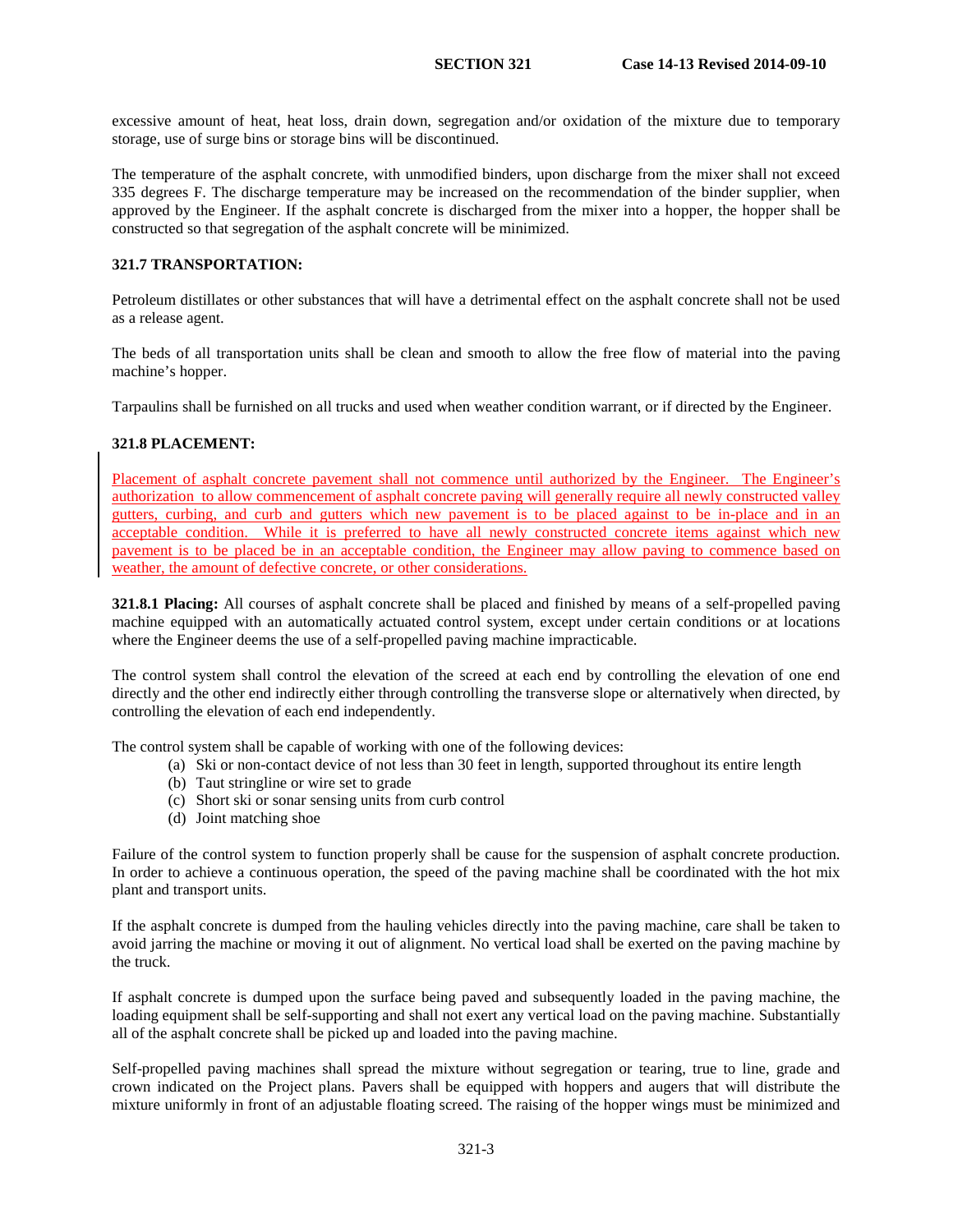excessive amount of heat, heat loss, drain down, segregation and/or oxidation of the mixture due to temporary storage, use of surge bins or storage bins will be discontinued.

The temperature of the asphalt concrete, with unmodified binders, upon discharge from the mixer shall not exceed 335 degrees F. The discharge temperature may be increased on the recommendation of the binder supplier, when approved by the Engineer. If the asphalt concrete is discharged from the mixer into a hopper, the hopper shall be constructed so that segregation of the asphalt concrete will be minimized.

### **321.7 TRANSPORTATION:**

Petroleum distillates or other substances that will have a detrimental effect on the asphalt concrete shall not be used as a release agent.

The beds of all transportation units shall be clean and smooth to allow the free flow of material into the paving machine's hopper.

Tarpaulins shall be furnished on all trucks and used when weather condition warrant, or if directed by the Engineer.

### **321.8 PLACEMENT:**

Placement of asphalt concrete pavement shall not commence until authorized by the Engineer. The Engineer's authorization to allow commencement of asphalt concrete paving will generally require all newly constructed valley gutters, curbing, and curb and gutters which new pavement is to be placed against to be in-place and in an acceptable condition. While it is preferred to have all newly constructed concrete items against which new pavement is to be placed be in an acceptable condition, the Engineer may allow paving to commence based on weather, the amount of defective concrete, or other considerations.

<span id="page-4-0"></span>**321.8.1 Placing:** All courses of asphalt concrete shall be placed and finished by means of a self-propelled paving machine equipped with an automatically actuated control system, except under certain conditions or at locations where the Engineer deems the use of a self-propelled paving machine impracticable.

The control system shall control the elevation of the screed at each end by controlling the elevation of one end directly and the other end indirectly either through controlling the transverse slope or alternatively when directed, by controlling the elevation of each end independently.

The control system shall be capable of working with one of the following devices:

- (a) Ski or non-contact device of not less than 30 feet in length, supported throughout its entire length
- (b) Taut stringline or wire set to grade
- (c) Short ski or sonar sensing units from curb control
- (d) Joint matching shoe

Failure of the control system to function properly shall be cause for the suspension of asphalt concrete production. In order to achieve a continuous operation, the speed of the paving machine shall be coordinated with the hot mix plant and transport units.

If the asphalt concrete is dumped from the hauling vehicles directly into the paving machine, care shall be taken to avoid jarring the machine or moving it out of alignment. No vertical load shall be exerted on the paving machine by the truck.

If asphalt concrete is dumped upon the surface being paved and subsequently loaded in the paving machine, the loading equipment shall be self-supporting and shall not exert any vertical load on the paving machine. Substantially all of the asphalt concrete shall be picked up and loaded into the paving machine.

Self-propelled paving machines shall spread the mixture without segregation or tearing, true to line, grade and crown indicated on the Project plans. Pavers shall be equipped with hoppers and augers that will distribute the mixture uniformly in front of an adjustable floating screed. The raising of the hopper wings must be minimized and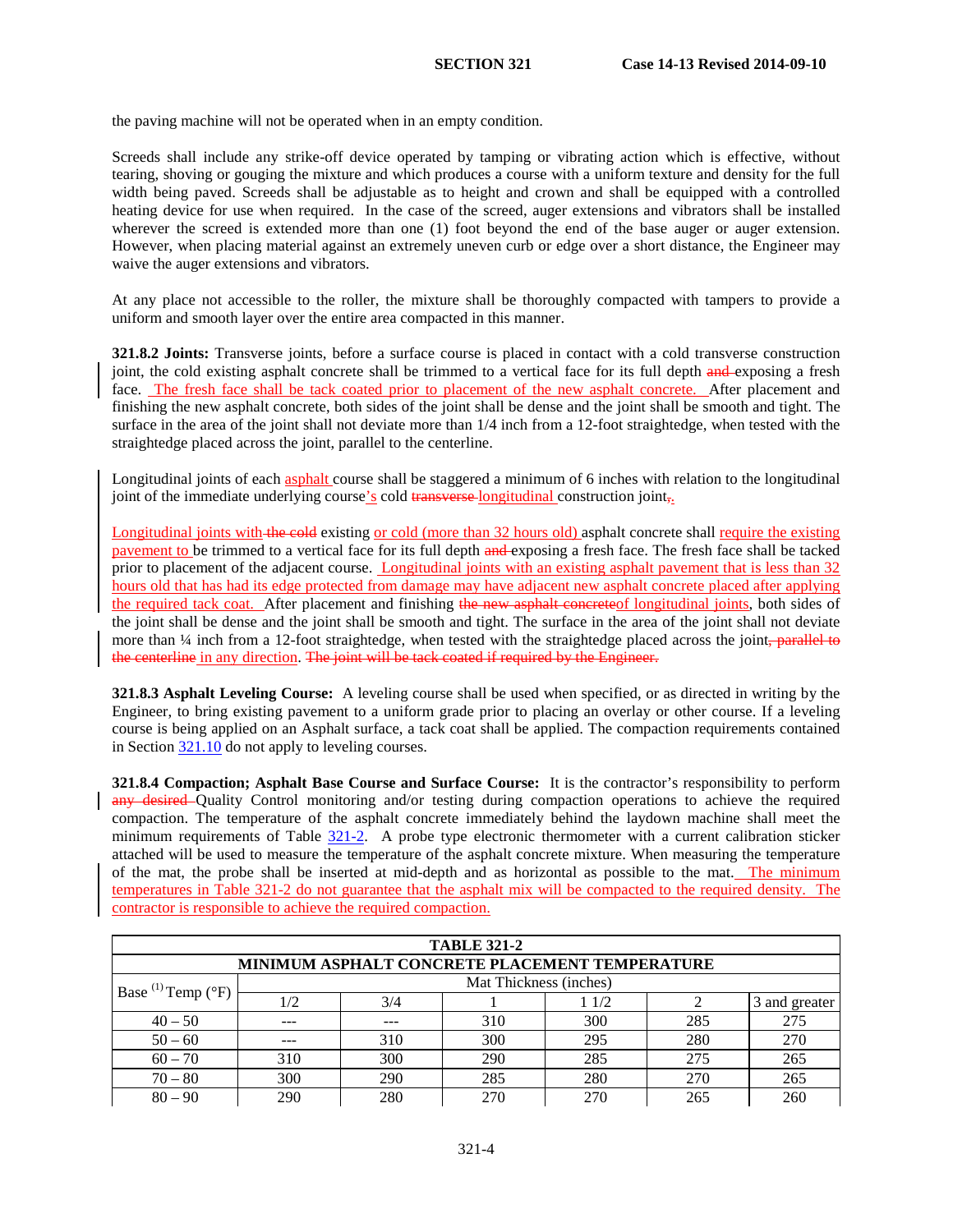the paving machine will not be operated when in an empty condition.

Screeds shall include any strike-off device operated by tamping or vibrating action which is effective, without tearing, shoving or gouging the mixture and which produces a course with a uniform texture and density for the full width being paved. Screeds shall be adjustable as to height and crown and shall be equipped with a controlled heating device for use when required. In the case of the screed, auger extensions and vibrators shall be installed wherever the screed is extended more than one (1) foot beyond the end of the base auger or auger extension. However, when placing material against an extremely uneven curb or edge over a short distance, the Engineer may waive the auger extensions and vibrators.

At any place not accessible to the roller, the mixture shall be thoroughly compacted with tampers to provide a uniform and smooth layer over the entire area compacted in this manner.

**321.8.2 Joints:** Transverse joints, before a surface course is placed in contact with a cold transverse construction joint, the cold existing asphalt concrete shall be trimmed to a vertical face for its full depth and exposing a fresh face. The fresh face shall be tack coated prior to placement of the new asphalt concrete. After placement and finishing the new asphalt concrete, both sides of the joint shall be dense and the joint shall be smooth and tight. The surface in the area of the joint shall not deviate more than 1/4 inch from a 12-foot straightedge, when tested with the straightedge placed across the joint, parallel to the centerline.

Longitudinal joints of each asphalt course shall be staggered a minimum of 6 inches with relation to the longitudinal joint of the immediate underlying course's cold transverse-longitudinal construction joint $_{\tau}$ .

Longitudinal joints with the cold existing or cold (more than 32 hours old) asphalt concrete shall require the existing pavement to be trimmed to a vertical face for its full depth and exposing a fresh face. The fresh face shall be tacked prior to placement of the adjacent course. Longitudinal joints with an existing asphalt pavement that is less than 32 hours old that has had its edge protected from damage may have adjacent new asphalt concrete placed after applying the required tack coat. After placement and finishing the new asphalt concreteof longitudinal joints, both sides of the joint shall be dense and the joint shall be smooth and tight. The surface in the area of the joint shall not deviate more than  $\frac{1}{4}$  inch from a 12-foot straightedge, when tested with the straightedge placed across the joint, parallel to the centerline in any direction. The joint will be tack coated if required by the Engineer.

**321.8.3 Asphalt Leveling Course:** A leveling course shall be used when specified, or as directed in writing by the Engineer, to bring existing pavement to a uniform grade prior to placing an overlay or other course. If a leveling course is being applied on an Asphalt surface, a tack coat shall be applied. The compaction requirements contained in Section [321.10](#page-8-0) do not apply to leveling courses.

<span id="page-5-0"></span>**321.8.4 Compaction; Asphalt Base Course and Surface Course:** It is the contractor's responsibility to perform any desired Quality Control monitoring and/or testing during compaction operations to achieve the required compaction. The temperature of the asphalt concrete immediately behind the laydown machine shall meet the minimum requirements of Table [321-2.](#page-3-0) A probe type electronic thermometer with a current calibration sticker attached will be used to measure the temperature of the asphalt concrete mixture. When measuring the temperature of the mat, the probe shall be inserted at mid-depth and as horizontal as possible to the mat. The minimum temperatures in Table 321-2 do not guarantee that the asphalt mix will be compacted to the required density. The contractor is responsible to achieve the required compaction.

| <b>TABLE 321-2</b>               |     |     |                                                       |      |     |               |
|----------------------------------|-----|-----|-------------------------------------------------------|------|-----|---------------|
|                                  |     |     | <b>MINIMUM ASPHALT CONCRETE PLACEMENT TEMPERATURE</b> |      |     |               |
| Base $^{(1)}$ Temp $(^{\circ}F)$ |     |     | Mat Thickness (inches)                                |      |     |               |
|                                  | 1/2 | 3/4 |                                                       | 11/2 |     | 3 and greater |
| $40 - 50$                        | --- |     | 310                                                   | 300  | 285 | 275           |
| $50 - 60$                        | --- | 310 | 300                                                   | 295  | 280 | 270           |
| $60 - 70$                        | 310 | 300 | 290                                                   | 285  | 275 | 265           |
| $70 - 80$                        | 300 | 290 | 285                                                   | 280  | 270 | 265           |
| $80 - 90$                        | 290 | 280 | 270                                                   | 270  | 265 | 260           |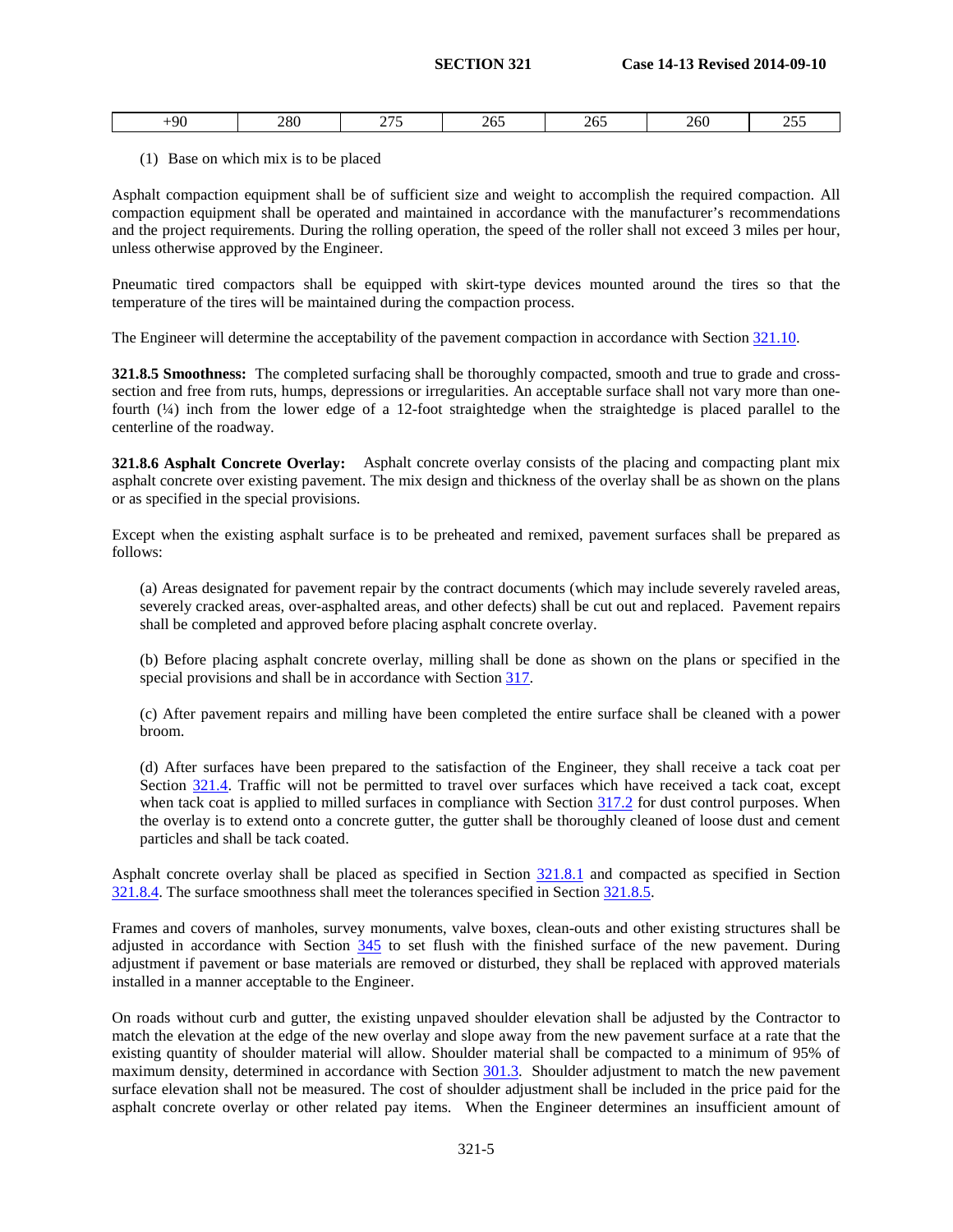|  | -90 | 280<br>__ | ~~~<br>. .<br>____ | $\epsilon$<br>$-11.7$<br>__ | .<br>ໍ້<br>$\sim$ UJ | 260<br>___ | $\cap$ $\in$ $\cap$<br>$\sim\!\sim$ |
|--|-----|-----------|--------------------|-----------------------------|----------------------|------------|-------------------------------------|
|--|-----|-----------|--------------------|-----------------------------|----------------------|------------|-------------------------------------|

### (1) Base on which mix is to be placed

Asphalt compaction equipment shall be of sufficient size and weight to accomplish the required compaction. All compaction equipment shall be operated and maintained in accordance with the manufacturer's recommendations and the project requirements. During the rolling operation, the speed of the roller shall not exceed 3 miles per hour, unless otherwise approved by the Engineer.

Pneumatic tired compactors shall be equipped with skirt-type devices mounted around the tires so that the temperature of the tires will be maintained during the compaction process.

The Engineer will determine the acceptability of the pavement compaction in accordance with Section [321.10.](#page-8-0)

<span id="page-6-0"></span>**321.8.5 Smoothness:** The completed surfacing shall be thoroughly compacted, smooth and true to grade and crosssection and free from ruts, humps, depressions or irregularities. An acceptable surface shall not vary more than onefourth (¼) inch from the lower edge of a 12-foot straightedge when the straightedge is placed parallel to the centerline of the roadway.

**321.8.6 Asphalt Concrete Overlay:** Asphalt concrete overlay consists of the placing and compacting plant mix asphalt concrete over existing pavement. The mix design and thickness of the overlay shall be as shown on the plans or as specified in the special provisions.

Except when the existing asphalt surface is to be preheated and remixed, pavement surfaces shall be prepared as follows:

(a) Areas designated for pavement repair by the contract documents (which may include severely raveled areas, severely cracked areas, over-asphalted areas, and other defects) shall be cut out and replaced. Pavement repairs shall be completed and approved before placing asphalt concrete overlay.

(b) Before placing asphalt concrete overlay, milling shall be done as shown on the plans or specified in the special provisions and shall be in accordance with Section 317.

(c) After pavement repairs and milling have been completed the entire surface shall be cleaned with a power broom.

(d) After surfaces have been prepared to the satisfaction of the Engineer, they shall receive a tack coat per Section [321.4.](#page-2-0) Traffic will not be permitted to travel over surfaces which have received a tack coat, except when tack coat is applied to milled surfaces in compliance with Section 317.2 for dust control purposes. When the overlay is to extend onto a concrete gutter, the gutter shall be thoroughly cleaned of loose dust and cement particles and shall be tack coated.

Asphalt concrete overlay shall be placed as specified in Section [321.8.1](#page-4-0) and compacted as specified in Section [321.8.4.](#page-5-0) The surface smoothness shall meet the tolerances specified in Section [321.8.5.](#page-6-0)

Frames and covers of manholes, survey monuments, valve boxes, clean-outs and other existing structures shall be adjusted in accordance with Section 345 to set flush with the finished surface of the new pavement. During adjustment if pavement or base materials are removed or disturbed, they shall be replaced with approved materials installed in a manner acceptable to the Engineer.

On roads without curb and gutter, the existing unpaved shoulder elevation shall be adjusted by the Contractor to match the elevation at the edge of the new overlay and slope away from the new pavement surface at a rate that the existing quantity of shoulder material will allow. Shoulder material shall be compacted to a minimum of 95% of maximum density, determined in accordance with Section 301.3. Shoulder adjustment to match the new pavement surface elevation shall not be measured. The cost of shoulder adjustment shall be included in the price paid for the asphalt concrete overlay or other related pay items. When the Engineer determines an insufficient amount of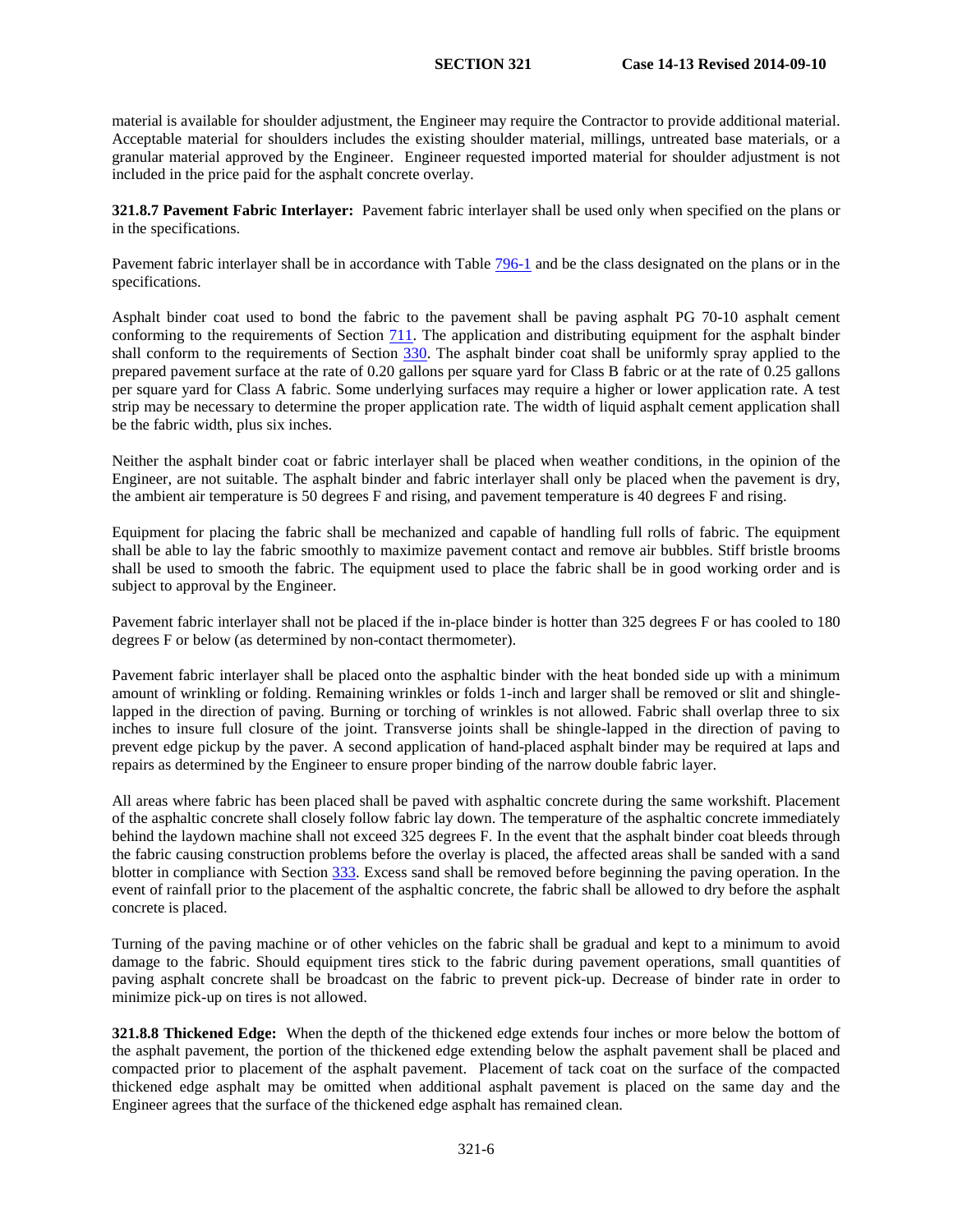material is available for shoulder adjustment, the Engineer may require the Contractor to provide additional material. Acceptable material for shoulders includes the existing shoulder material, millings, untreated base materials, or a granular material approved by the Engineer. Engineer requested imported material for shoulder adjustment is not included in the price paid for the asphalt concrete overlay.

**321.8.7 Pavement Fabric Interlayer:** Pavement fabric interlayer shall be used only when specified on the plans or in the specifications.

Pavement fabric interlayer shall be in accordance with Table 796-1 and be the class designated on the plans or in the specifications.

Asphalt binder coat used to bond the fabric to the pavement shall be paving asphalt PG 70-10 asphalt cement conforming to the requirements of Section 711. The application and distributing equipment for the asphalt binder shall conform to the requirements of Section 330. The asphalt binder coat shall be uniformly spray applied to the prepared pavement surface at the rate of 0.20 gallons per square yard for Class B fabric or at the rate of 0.25 gallons per square yard for Class A fabric. Some underlying surfaces may require a higher or lower application rate. A test strip may be necessary to determine the proper application rate. The width of liquid asphalt cement application shall be the fabric width, plus six inches.

<span id="page-7-0"></span>Neither the asphalt binder coat or fabric interlayer shall be placed when weather conditions, in the opinion of the Engineer, are not suitable. The asphalt binder and fabric interlayer shall only be placed when the pavement is dry, the ambient air temperature is 50 degrees F and rising, and pavement temperature is 40 degrees F and rising.

Equipment for placing the fabric shall be mechanized and capable of handling full rolls of fabric. The equipment shall be able to lay the fabric smoothly to maximize pavement contact and remove air bubbles. Stiff bristle brooms shall be used to smooth the fabric. The equipment used to place the fabric shall be in good working order and is subject to approval by the Engineer.

Pavement fabric interlayer shall not be placed if the in-place binder is hotter than 325 degrees F or has cooled to 180 degrees F or below (as determined by non-contact thermometer).

Pavement fabric interlayer shall be placed onto the asphaltic binder with the heat bonded side up with a minimum amount of wrinkling or folding. Remaining wrinkles or folds 1-inch and larger shall be removed or slit and shinglelapped in the direction of paving. Burning or torching of wrinkles is not allowed. Fabric shall overlap three to six inches to insure full closure of the joint. Transverse joints shall be shingle-lapped in the direction of paving to prevent edge pickup by the paver. A second application of hand-placed asphalt binder may be required at laps and repairs as determined by the Engineer to ensure proper binding of the narrow double fabric layer.

All areas where fabric has been placed shall be paved with asphaltic concrete during the same workshift. Placement of the asphaltic concrete shall closely follow fabric lay down. The temperature of the asphaltic concrete immediately behind the laydown machine shall not exceed 325 degrees F. In the event that the asphalt binder coat bleeds through the fabric causing construction problems before the overlay is placed, the affected areas shall be sanded with a sand blotter in compliance with Section 333. Excess sand shall be removed before beginning the paving operation. In the event of rainfall prior to the placement of the asphaltic concrete, the fabric shall be allowed to dry before the asphalt concrete is placed.

Turning of the paving machine or of other vehicles on the fabric shall be gradual and kept to a minimum to avoid damage to the fabric. Should equipment tires stick to the fabric during pavement operations, small quantities of paving asphalt concrete shall be broadcast on the fabric to prevent pick-up. Decrease of binder rate in order to minimize pick-up on tires is not allowed.

**321.8.8 Thickened Edge:** When the depth of the thickened edge extends four inches or more below the bottom of the asphalt pavement, the portion of the thickened edge extending below the asphalt pavement shall be placed and compacted prior to placement of the asphalt pavement. Placement of tack coat on the surface of the compacted thickened edge asphalt may be omitted when additional asphalt pavement is placed on the same day and the Engineer agrees that the surface of the thickened edge asphalt has remained clean.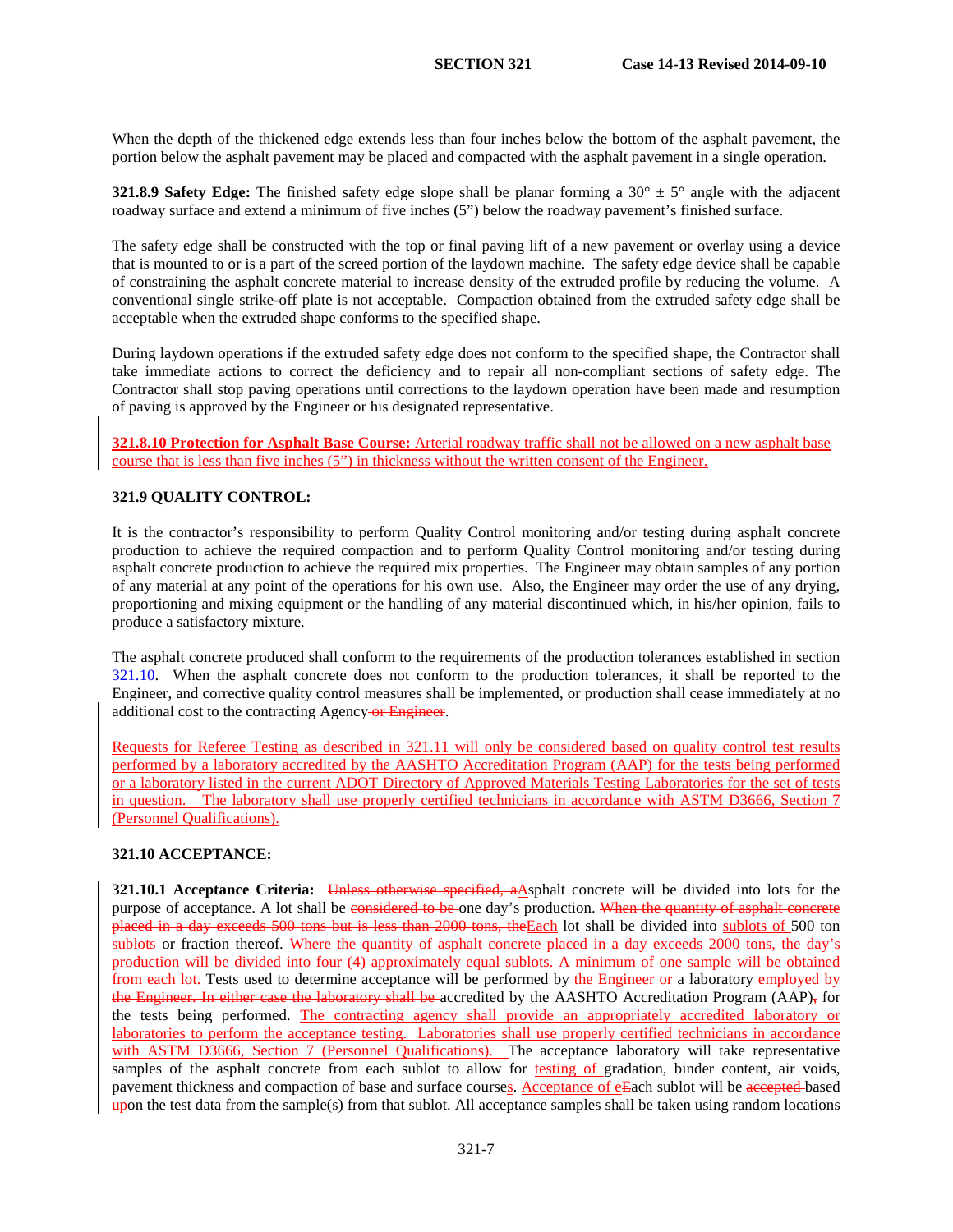When the depth of the thickened edge extends less than four inches below the bottom of the asphalt pavement, the portion below the asphalt pavement may be placed and compacted with the asphalt pavement in a single operation.

**321.8.9 Safety Edge:** The finished safety edge slope shall be planar forming a  $30^\circ \pm 5^\circ$  angle with the adjacent roadway surface and extend a minimum of five inches (5") below the roadway pavement's finished surface.

The safety edge shall be constructed with the top or final paving lift of a new pavement or overlay using a device that is mounted to or is a part of the screed portion of the laydown machine. The safety edge device shall be capable of constraining the asphalt concrete material to increase density of the extruded profile by reducing the volume. A conventional single strike-off plate is not acceptable. Compaction obtained from the extruded safety edge shall be acceptable when the extruded shape conforms to the specified shape.

During laydown operations if the extruded safety edge does not conform to the specified shape, the Contractor shall take immediate actions to correct the deficiency and to repair all non-compliant sections of safety edge. The Contractor shall stop paving operations until corrections to the laydown operation have been made and resumption of paving is approved by the Engineer or his designated representative.

**321.8.10 Protection for Asphalt Base Course:** Arterial roadway traffic shall not be allowed on a new asphalt base course that is less than five inches (5") in thickness without the written consent of the Engineer.

# <span id="page-8-1"></span>**321.9 QUALITY CONTROL:**

It is the contractor's responsibility to perform Quality Control monitoring and/or testing during asphalt concrete production to achieve the required compaction and to perform Quality Control monitoring and/or testing during asphalt concrete production to achieve the required mix properties. The Engineer may obtain samples of any portion of any material at any point of the operations for his own use. Also, the Engineer may order the use of any drying, proportioning and mixing equipment or the handling of any material discontinued which, in his/her opinion, fails to produce a satisfactory mixture.

The asphalt concrete produced shall conform to the requirements of the production tolerances established in section [321.10.](#page-8-0) When the asphalt concrete does not conform to the production tolerances, it shall be reported to the Engineer, and corrective quality control measures shall be implemented, or production shall cease immediately at no additional cost to the contracting Agency or Engineer.

Requests for Referee Testing as described in 321.11 will only be considered based on quality control test results performed by a laboratory accredited by the AASHTO Accreditation Program (AAP) for the tests being performed or a laboratory listed in the current ADOT Directory of Approved Materials Testing Laboratories for the set of tests in question. The laboratory shall use properly certified technicians in accordance with ASTM D3666, Section 7 (Personnel Qualifications).

# <span id="page-8-0"></span>**321.10 ACCEPTANCE:**

<span id="page-8-2"></span>**321.10.1 Acceptance Criteria:** Unless otherwise specified, aAsphalt concrete will be divided into lots for the purpose of acceptance. A lot shall be considered to be one day's production. When the quantity of asphalt concrete placed in a day exceeds 500 tons but is less than 2000 tons, the Each lot shall be divided into sublots of 500 ton sublots or fraction thereof. Where the quantity of asphalt concrete placed in a day exceeds 2000 tons, the day's production will be divided into four (4) approximately equal sublots. A minimum of one sample will be obtained from each lot. Tests used to determine acceptance will be performed by the Engineer or a laboratory employed by the Engineer. In either case the laboratory shall be accredited by the AASHTO Accreditation Program (AAP), for the tests being performed. The contracting agency shall provide an appropriately accredited laboratory or laboratories to perform the acceptance testing. Laboratories shall use properly certified technicians in accordance with ASTM D3666, Section 7 (Personnel Qualifications). The acceptance laboratory will take representative samples of the asphalt concrete from each sublot to allow for testing of gradation, binder content, air voids, pavement thickness and compaction of base and surface courses. Acceptance of eEach sublot will be accepted based upon the test data from the sample(s) from that sublot. All acceptance samples shall be taken using random locations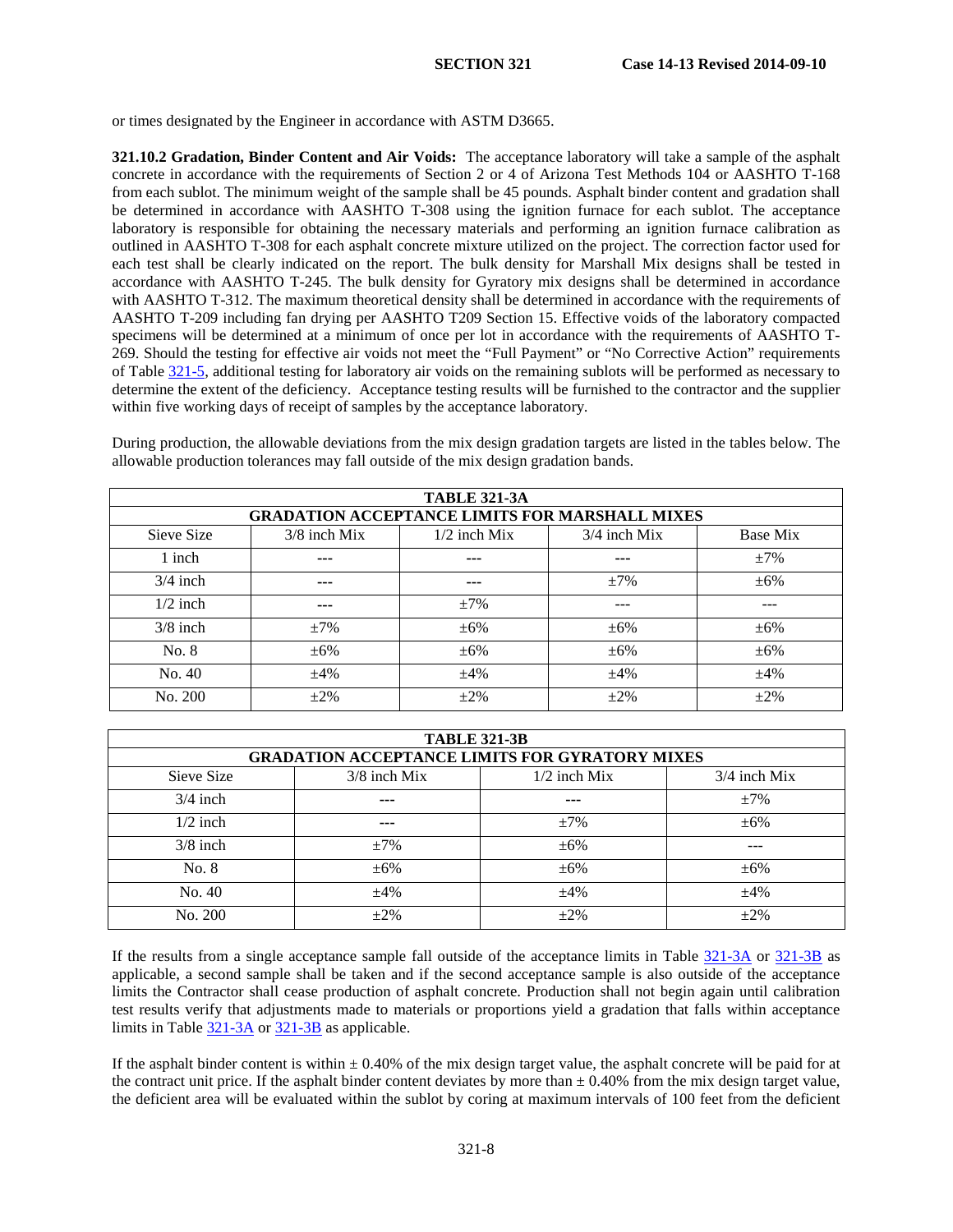or times designated by the Engineer in accordance with ASTM D3665.

**321.10.2 Gradation, Binder Content and Air Voids:** The acceptance laboratory will take a sample of the asphalt concrete in accordance with the requirements of Section 2 or 4 of Arizona Test Methods 104 or AASHTO T-168 from each sublot. The minimum weight of the sample shall be 45 pounds. Asphalt binder content and gradation shall be determined in accordance with AASHTO T-308 using the ignition furnace for each sublot. The acceptance laboratory is responsible for obtaining the necessary materials and performing an ignition furnace calibration as outlined in AASHTO T-308 for each asphalt concrete mixture utilized on the project. The correction factor used for each test shall be clearly indicated on the report. The bulk density for Marshall Mix designs shall be tested in accordance with AASHTO T-245. The bulk density for Gyratory mix designs shall be determined in accordance with AASHTO T-312. The maximum theoretical density shall be determined in accordance with the requirements of AASHTO T-209 including fan drying per AASHTO T209 Section 15. Effective voids of the laboratory compacted specimens will be determined at a minimum of once per lot in accordance with the requirements of AASHTO T-269. Should the testing for effective air voids not meet the "Full Payment" or "No Corrective Action" requirements of Table [321-5,](#page-7-0) additional testing for laboratory air voids on the remaining sublots will be performed as necessary to determine the extent of the deficiency. Acceptance testing results will be furnished to the contractor and the supplier within five working days of receipt of samples by the acceptance laboratory.

<span id="page-9-0"></span>

| <b>TABLE 321-3A</b> |                |                                                       |                |           |  |
|---------------------|----------------|-------------------------------------------------------|----------------|-----------|--|
|                     |                | <b>GRADATION ACCEPTANCE LIMITS FOR MARSHALL MIXES</b> |                |           |  |
| Sieve Size          | $3/8$ inch Mix | $1/2$ inch Mix                                        | $3/4$ inch Mix | Base Mix  |  |
| 1 inch              | ---            | $- - -$                                               | $---$          | $\pm 7\%$ |  |
| $3/4$ inch          | $---$          | $--$                                                  | $\pm 7\%$      | $+6%$     |  |
| $1/2$ inch          | $---$          | $\pm 7\%$                                             | ---            | ---       |  |
| $3/8$ inch          | $\pm 7\%$      | $\pm 6\%$                                             | $\pm 6\%$      | $\pm 6\%$ |  |
| No. 8               | $\pm 6\%$      | $\pm 6\%$                                             | $\pm 6\%$      | $\pm 6\%$ |  |
| No. 40              | $\pm 4\%$      | $\pm 4\%$                                             | $\pm 4\%$      | $\pm 4\%$ |  |
| No. 200             | $+2\%$         | $+2\%$                                                | $\pm 2\%$      | $+2%$     |  |

During production, the allowable deviations from the mix design gradation targets are listed in the tables below. The allowable production tolerances may fall outside of the mix design gradation bands.

<span id="page-9-1"></span>

| <b>TABLE 321-3B</b> |                |                                                       |                |  |
|---------------------|----------------|-------------------------------------------------------|----------------|--|
|                     |                | <b>GRADATION ACCEPTANCE LIMITS FOR GYRATORY MIXES</b> |                |  |
| Sieve Size          | $3/8$ inch Mix | $1/2$ inch Mix                                        | $3/4$ inch Mix |  |
| $3/4$ inch          | ---            | ---                                                   | $\pm 7\%$      |  |
| $1/2$ inch          | $---$          | $\pm 7\%$                                             | $\pm 6\%$      |  |
| $3/8$ inch          | $\pm 7\%$      | $+6\%$                                                | ---            |  |
| No. 8               | $\pm 6\%$      | $+6\%$                                                | $\pm 6\%$      |  |
| No. 40              | $\pm 4\%$      | $\pm 4\%$                                             | $\pm 4\%$      |  |
| No. 200             | $+2\%$         | $+2%$                                                 | $+2\%$         |  |

If the results from a single acceptance sample fall outside of the acceptance limits in Table [321-3A](#page-9-0) or [321-3B](#page-9-1) as applicable, a second sample shall be taken and if the second acceptance sample is also outside of the acceptance limits the Contractor shall cease production of asphalt concrete. Production shall not begin again until calibration test results verify that adjustments made to materials or proportions yield a gradation that falls within acceptance limits in Table [321-3A](#page-9-0) o[r 321-3B](#page-9-1) as applicable.

If the asphalt binder content is within  $\pm 0.40\%$  of the mix design target value, the asphalt concrete will be paid for at the contract unit price. If the asphalt binder content deviates by more than  $\pm$  0.40% from the mix design target value, the deficient area will be evaluated within the sublot by coring at maximum intervals of 100 feet from the deficient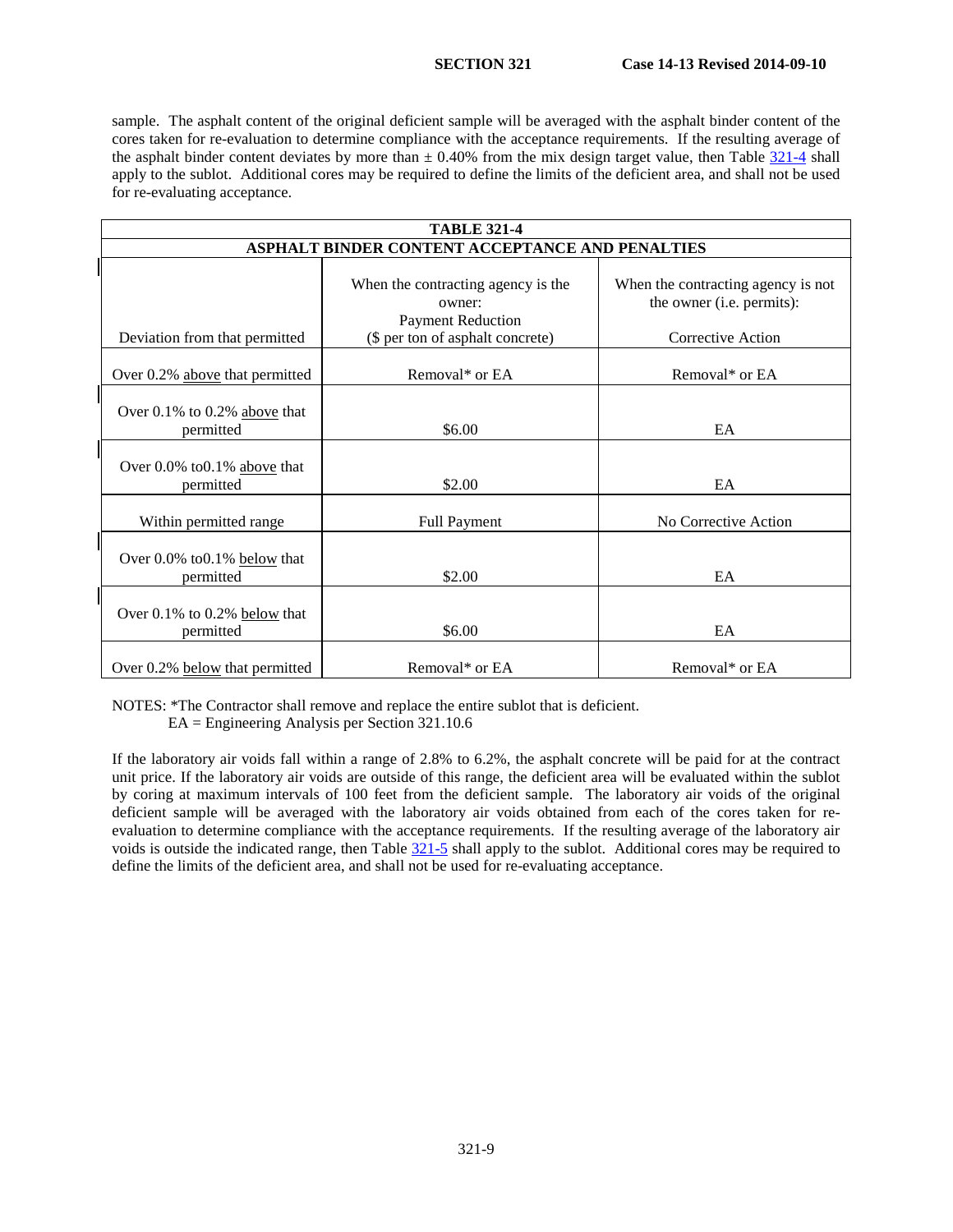sample. The asphalt content of the original deficient sample will be averaged with the asphalt binder content of the cores taken for re-evaluation to determine compliance with the acceptance requirements. If the resulting average of the asphalt binder content deviates by more than  $\pm$  0.40% from the mix design target value, then Table [321-4](#page-2-0) shall apply to the sublot. Additional cores may be required to define the limits of the deficient area, and shall not be used for re-evaluating acceptance.

| <b>TABLE 321-4</b>                              |                                                                                                              |                                                                                      |  |  |
|-------------------------------------------------|--------------------------------------------------------------------------------------------------------------|--------------------------------------------------------------------------------------|--|--|
| ASPHALT BINDER CONTENT ACCEPTANCE AND PENALTIES |                                                                                                              |                                                                                      |  |  |
| Deviation from that permitted                   | When the contracting agency is the<br>owner:<br><b>Payment Reduction</b><br>(\$ per ton of asphalt concrete) | When the contracting agency is not<br>the owner (i.e. permits):<br>Corrective Action |  |  |
| Over 0.2% above that permitted                  | Removal* or EA                                                                                               | Removal* or EA                                                                       |  |  |
| Over 0.1% to 0.2% above that<br>permitted       | \$6.00                                                                                                       | EA                                                                                   |  |  |
| Over 0.0% to 0.1% above that<br>permitted       | \$2.00                                                                                                       | EA                                                                                   |  |  |
| Within permitted range                          | <b>Full Payment</b>                                                                                          | No Corrective Action                                                                 |  |  |
| Over 0.0% to 0.1% below that<br>permitted       | \$2.00                                                                                                       | EA                                                                                   |  |  |
| Over 0.1% to 0.2% below that<br>permitted       | \$6.00                                                                                                       | EA                                                                                   |  |  |
| Over 0.2% below that permitted                  | Removal* or EA                                                                                               | Removal* or EA                                                                       |  |  |

NOTES: \*The Contractor shall remove and replace the entire sublot that is deficient.

EA = Engineering Analysis per Section 321.10.6

If the laboratory air voids fall within a range of 2.8% to 6.2%, the asphalt concrete will be paid for at the contract unit price. If the laboratory air voids are outside of this range, the deficient area will be evaluated within the sublot by coring at maximum intervals of 100 feet from the deficient sample. The laboratory air voids of the original deficient sample will be averaged with the laboratory air voids obtained from each of the cores taken for reevaluation to determine compliance with the acceptance requirements. If the resulting average of the laboratory air voids is outside the indicated range, then Table [321-5](#page-7-0) shall apply to the sublot. Additional cores may be required to define the limits of the deficient area, and shall not be used for re-evaluating acceptance.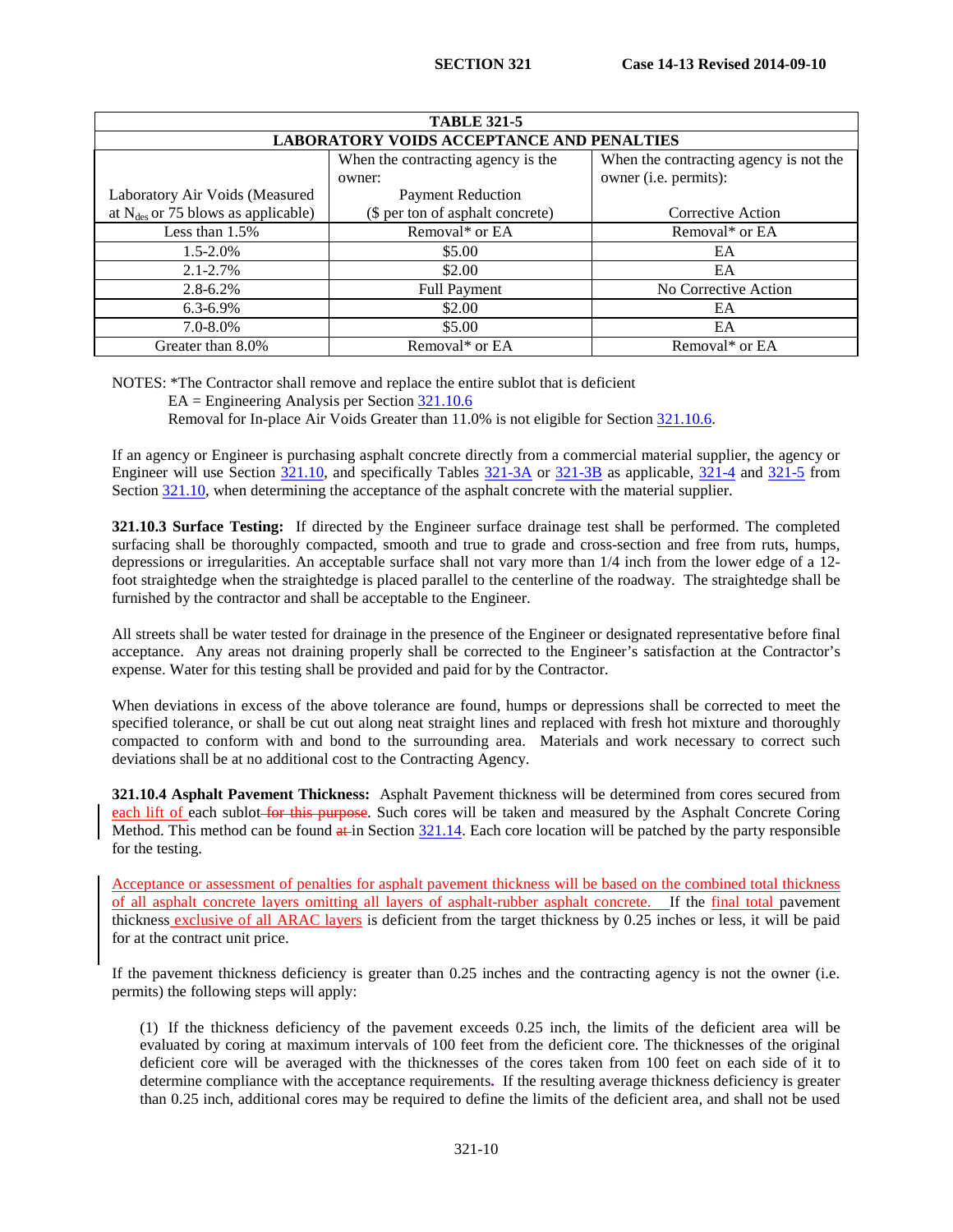| <b>TABLE 321-5</b>                               |                                    |                                        |  |  |  |
|--------------------------------------------------|------------------------------------|----------------------------------------|--|--|--|
| <b>LABORATORY VOIDS ACCEPTANCE AND PENALTIES</b> |                                    |                                        |  |  |  |
|                                                  | When the contracting agency is the | When the contracting agency is not the |  |  |  |
|                                                  | owner:                             | owner (i.e. permits):                  |  |  |  |
| Laboratory Air Voids (Measured                   | <b>Payment Reduction</b>           |                                        |  |  |  |
| at $N_{des}$ or 75 blows as applicable)          | (\$ per ton of asphalt concrete)   | Corrective Action                      |  |  |  |
| Less than 1.5%                                   | Removal* or EA                     | Removal* or EA                         |  |  |  |
| $1.5 - 2.0\%$                                    | \$5.00                             | EA                                     |  |  |  |
| $2.1 - 2.7\%$                                    | \$2.00                             | EA                                     |  |  |  |
| $2.8 - 6.2\%$                                    | <b>Full Payment</b>                | No Corrective Action                   |  |  |  |
| $6.3 - 6.9\%$                                    | \$2.00                             | EA                                     |  |  |  |
| $7.0 - 8.0\%$                                    | \$5.00                             | EA                                     |  |  |  |
| Greater than 8.0%                                | Removal* or EA                     | Removal* or EA                         |  |  |  |

NOTES: \*The Contractor shall remove and replace the entire sublot that is deficient

 $EA = Engineering$  Analysis per Section  $321.10.6$ 

Removal for In-place Air Voids Greater than 11.0% is not eligible for Section [321.10.6.](#page-14-0)

If an agency or Engineer is purchasing asphalt concrete directly from a commercial material supplier, the agency or Engineer will use Section [321.10,](#page-8-0) and specifically Tables [321-3A](#page-9-0) or [321-3B](#page-9-1) as applicable, [321-4](#page-2-0) and [321-5](#page-7-0) from Section [321.10,](#page-8-0) when determining the acceptance of the asphalt concrete with the material supplier.

**321.10.3 Surface Testing:** If directed by the Engineer surface drainage test shall be performed. The completed surfacing shall be thoroughly compacted, smooth and true to grade and cross-section and free from ruts, humps, depressions or irregularities. An acceptable surface shall not vary more than 1/4 inch from the lower edge of a 12 foot straightedge when the straightedge is placed parallel to the centerline of the roadway. The straightedge shall be furnished by the contractor and shall be acceptable to the Engineer.

All streets shall be water tested for drainage in the presence of the Engineer or designated representative before final acceptance. Any areas not draining properly shall be corrected to the Engineer's satisfaction at the Contractor's expense. Water for this testing shall be provided and paid for by the Contractor.

When deviations in excess of the above tolerance are found, humps or depressions shall be corrected to meet the specified tolerance, or shall be cut out along neat straight lines and replaced with fresh hot mixture and thoroughly compacted to conform with and bond to the surrounding area. Materials and work necessary to correct such deviations shall be at no additional cost to the Contracting Agency.

**321.10.4 Asphalt Pavement Thickness:** Asphalt Pavement thickness will be determined from cores secured from each lift of each sublot-for this purpose. Such cores will be taken and measured by the Asphalt Concrete Coring Method. This method can be found  $\frac{a+1}{b}$  Section  $\frac{321.14}{b}$ . Each core location will be patched by the party responsible for the testing.

Acceptance or assessment of penalties for asphalt pavement thickness will be based on the combined total thickness of all asphalt concrete layers omitting all layers of asphalt-rubber asphalt concrete. If the final total pavement thickness exclusive of all ARAC layers is deficient from the target thickness by 0.25 inches or less, it will be paid for at the contract unit price.

If the pavement thickness deficiency is greater than 0.25 inches and the contracting agency is not the owner (i.e. permits) the following steps will apply:

(1) If the thickness deficiency of the pavement exceeds 0.25 inch, the limits of the deficient area will be evaluated by coring at maximum intervals of 100 feet from the deficient core. The thicknesses of the original deficient core will be averaged with the thicknesses of the cores taken from 100 feet on each side of it to determine compliance with the acceptance requirements**.** If the resulting average thickness deficiency is greater than 0.25 inch, additional cores may be required to define the limits of the deficient area, and shall not be used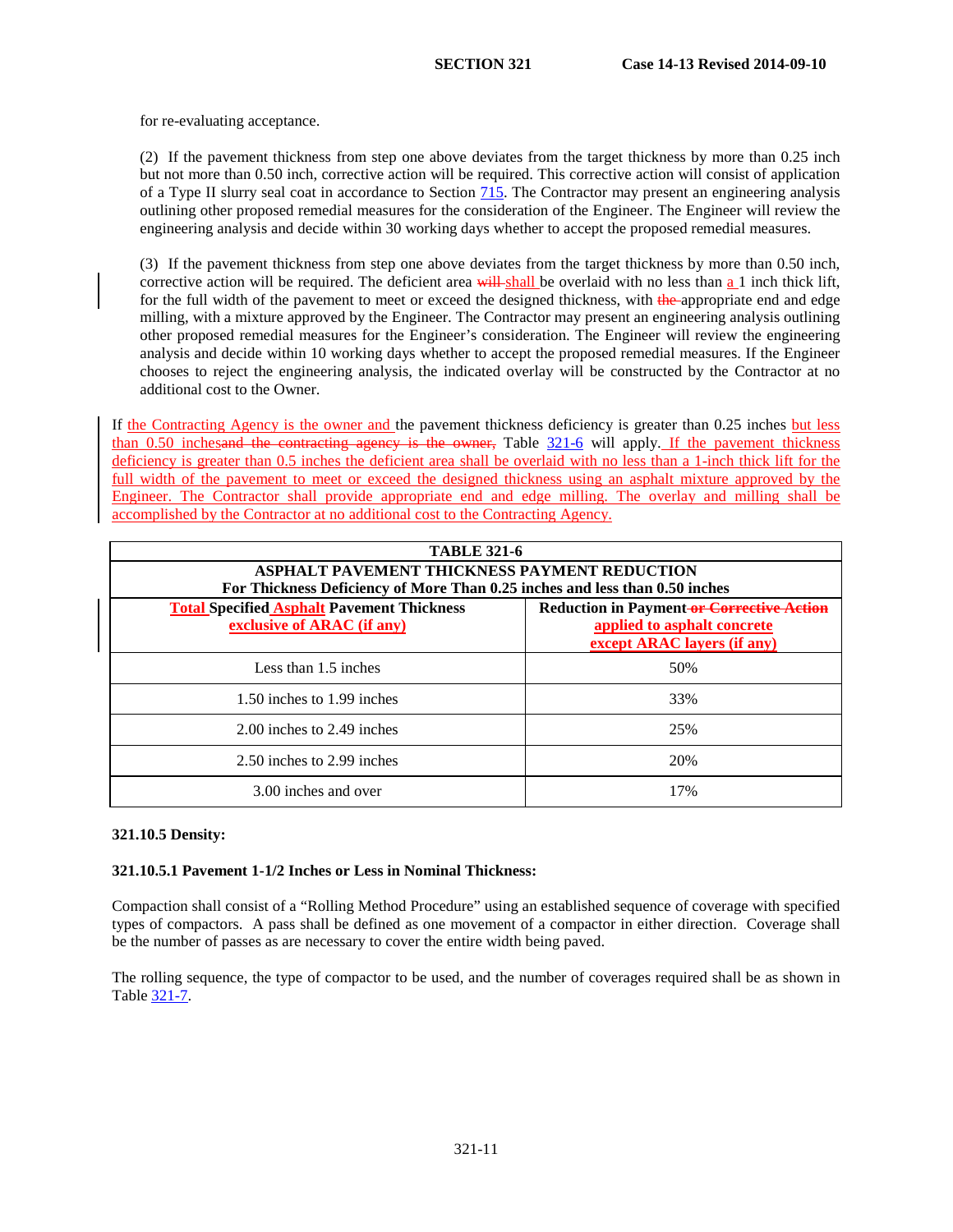for re-evaluating acceptance.

(2) If the pavement thickness from step one above deviates from the target thickness by more than 0.25 inch but not more than 0.50 inch, corrective action will be required. This corrective action will consist of application of a Type II slurry seal coat in accordance to Section 715. The Contractor may present an engineering analysis outlining other proposed remedial measures for the consideration of the Engineer. The Engineer will review the engineering analysis and decide within 30 working days whether to accept the proposed remedial measures.

(3) If the pavement thickness from step one above deviates from the target thickness by more than 0.50 inch, corrective action will be required. The deficient area will shall be overlaid with no less than  $\underline{a}$  1 inch thick lift, for the full width of the pavement to meet or exceed the designed thickness, with the appropriate end and edge milling, with a mixture approved by the Engineer. The Contractor may present an engineering analysis outlining other proposed remedial measures for the Engineer's consideration. The Engineer will review the engineering analysis and decide within 10 working days whether to accept the proposed remedial measures. If the Engineer chooses to reject the engineering analysis, the indicated overlay will be constructed by the Contractor at no additional cost to the Owner.

If the Contracting Agency is the owner and the pavement thickness deficiency is greater than 0.25 inches but less than 0.50 inchesand the contracting agency is the owner, Table [321-6](#page-8-1) will apply. If the pavement thickness deficiency is greater than 0.5 inches the deficient area shall be overlaid with no less than a 1-inch thick lift for the full width of the pavement to meet or exceed the designed thickness using an asphalt mixture approved by the Engineer. The Contractor shall provide appropriate end and edge milling. The overlay and milling shall be accomplished by the Contractor at no additional cost to the Contracting Agency.

| <b>TABLE 321-6</b>                                                              |                                                                                                                |  |  |
|---------------------------------------------------------------------------------|----------------------------------------------------------------------------------------------------------------|--|--|
| <b>ASPHALT PAVEMENT THICKNESS PAYMENT REDUCTION</b>                             |                                                                                                                |  |  |
| For Thickness Deficiency of More Than 0.25 inches and less than 0.50 inches     |                                                                                                                |  |  |
| <b>Total Specified Asphalt Pavement Thickness</b><br>exclusive of ARAC (if any) | <b>Reduction in Payment-or Corrective Action</b><br>applied to asphalt concrete<br>except ARAC layers (if any) |  |  |
| Less than 1.5 inches                                                            | 50%                                                                                                            |  |  |
| 1.50 inches to 1.99 inches                                                      | 33%                                                                                                            |  |  |
| 2.00 inches to 2.49 inches                                                      | 25%                                                                                                            |  |  |
| 2.50 inches to 2.99 inches                                                      | 20%                                                                                                            |  |  |
| 3.00 inches and over                                                            | 17%                                                                                                            |  |  |

# **321.10.5 Density:**

### **321.10.5.1 Pavement 1-1/2 Inches or Less in Nominal Thickness:**

Compaction shall consist of a "Rolling Method Procedure" using an established sequence of coverage with specified types of compactors. A pass shall be defined as one movement of a compactor in either direction. Coverage shall be the number of passes as are necessary to cover the entire width being paved.

The rolling sequence, the type of compactor to be used, and the number of coverages required shall be as shown in Table [321-7.](#page-13-0)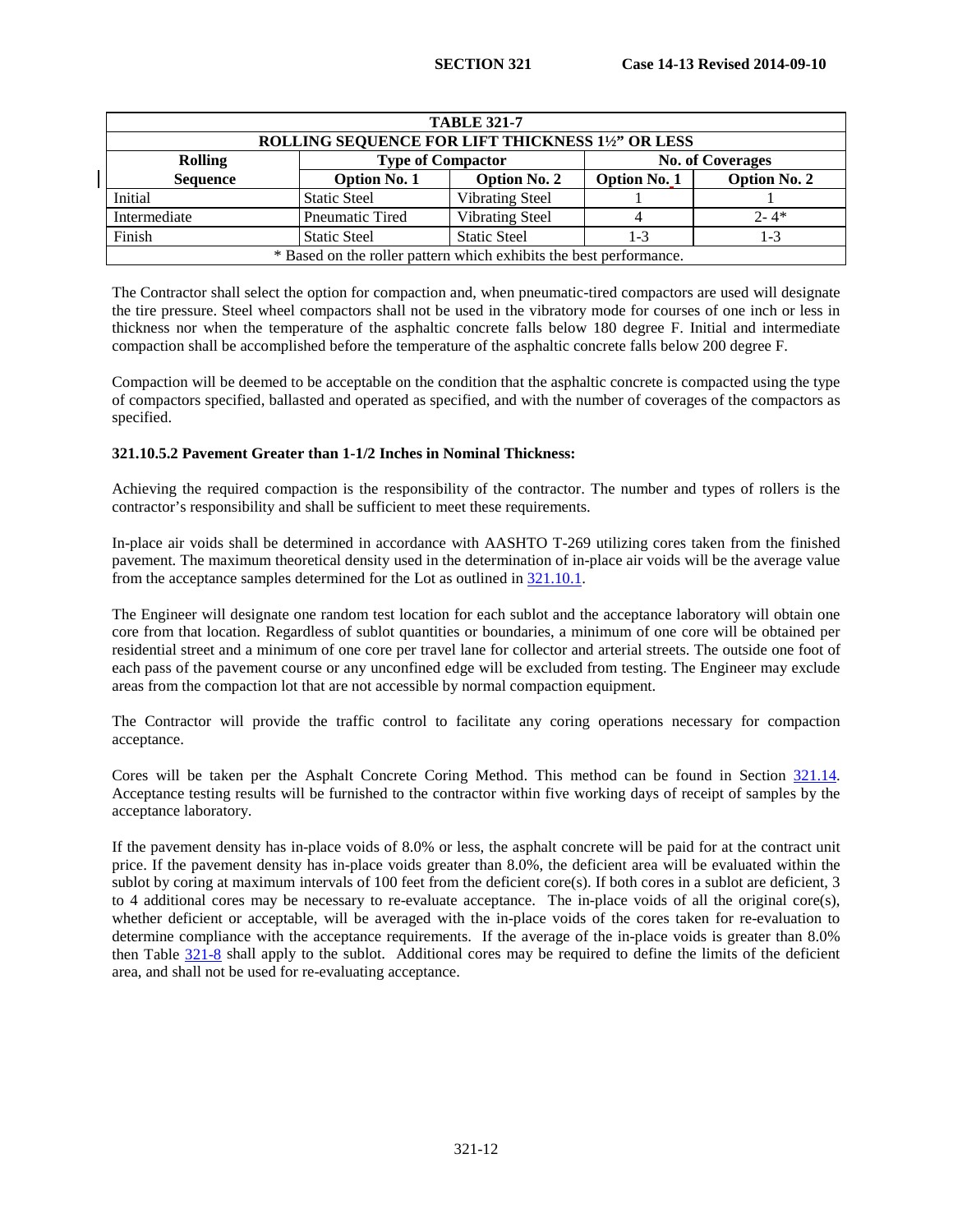<span id="page-13-0"></span>

| <b>TABLE 321-7</b><br>ROLLING SEQUENCE FOR LIFT THICKNESS 11/2" OR LESS                                     |                                                                    |                        |  |          |  |  |
|-------------------------------------------------------------------------------------------------------------|--------------------------------------------------------------------|------------------------|--|----------|--|--|
| <b>Rolling</b>                                                                                              | <b>Type of Compactor</b><br><b>No. of Coverages</b>                |                        |  |          |  |  |
| <b>Sequence</b><br><b>Option No. 1</b><br><b>Option No. 2</b><br><b>Option No. 2</b><br><b>Option No. 1</b> |                                                                    |                        |  |          |  |  |
| Initial                                                                                                     | <b>Static Steel</b>                                                | <b>Vibrating Steel</b> |  |          |  |  |
| Intermediate                                                                                                | Pneumatic Tired                                                    | <b>Vibrating Steel</b> |  | $2 - 4*$ |  |  |
| Finish<br><b>Static Steel</b><br><b>Static Steel</b><br>1-3<br>1-3                                          |                                                                    |                        |  |          |  |  |
|                                                                                                             | * Based on the roller pattern which exhibits the best performance. |                        |  |          |  |  |

The Contractor shall select the option for compaction and, when pneumatic-tired compactors are used will designate the tire pressure. Steel wheel compactors shall not be used in the vibratory mode for courses of one inch or less in thickness nor when the temperature of the asphaltic concrete falls below 180 degree F. Initial and intermediate compaction shall be accomplished before the temperature of the asphaltic concrete falls below 200 degree F.

Compaction will be deemed to be acceptable on the condition that the asphaltic concrete is compacted using the type of compactors specified, ballasted and operated as specified, and with the number of coverages of the compactors as specified.

# **321.10.5.2 Pavement Greater than 1-1/2 Inches in Nominal Thickness:**

Achieving the required compaction is the responsibility of the contractor. The number and types of rollers is the contractor's responsibility and shall be sufficient to meet these requirements.

In-place air voids shall be determined in accordance with AASHTO T-269 utilizing cores taken from the finished pavement. The maximum theoretical density used in the determination of in-place air voids will be the average value from the acceptance samples determined for the Lot as outlined in [321.10.1.](#page-8-2)

The Engineer will designate one random test location for each sublot and the acceptance laboratory will obtain one core from that location. Regardless of sublot quantities or boundaries, a minimum of one core will be obtained per residential street and a minimum of one core per travel lane for collector and arterial streets. The outside one foot of each pass of the pavement course or any unconfined edge will be excluded from testing. The Engineer may exclude areas from the compaction lot that are not accessible by normal compaction equipment.

The Contractor will provide the traffic control to facilitate any coring operations necessary for compaction acceptance.

Cores will be taken per the Asphalt Concrete Coring Method. This method can be found in Section [321.14.](#page-16-0) Acceptance testing results will be furnished to the contractor within five working days of receipt of samples by the acceptance laboratory.

If the pavement density has in-place voids of 8.0% or less, the asphalt concrete will be paid for at the contract unit price. If the pavement density has in-place voids greater than 8.0%, the deficient area will be evaluated within the sublot by coring at maximum intervals of 100 feet from the deficient core(s). If both cores in a sublot are deficient,  $3$ to 4 additional cores may be necessary to re-evaluate acceptance. The in-place voids of all the original core(s), whether deficient or acceptable, will be averaged with the in-place voids of the cores taken for re-evaluation to determine compliance with the acceptance requirements. If the average of the in-place voids is greater than 8.0% then Table 321-8 shall apply to the sublot. Additional cores may be required to define the limits of the deficient area, and shall not be used for re-evaluating acceptance.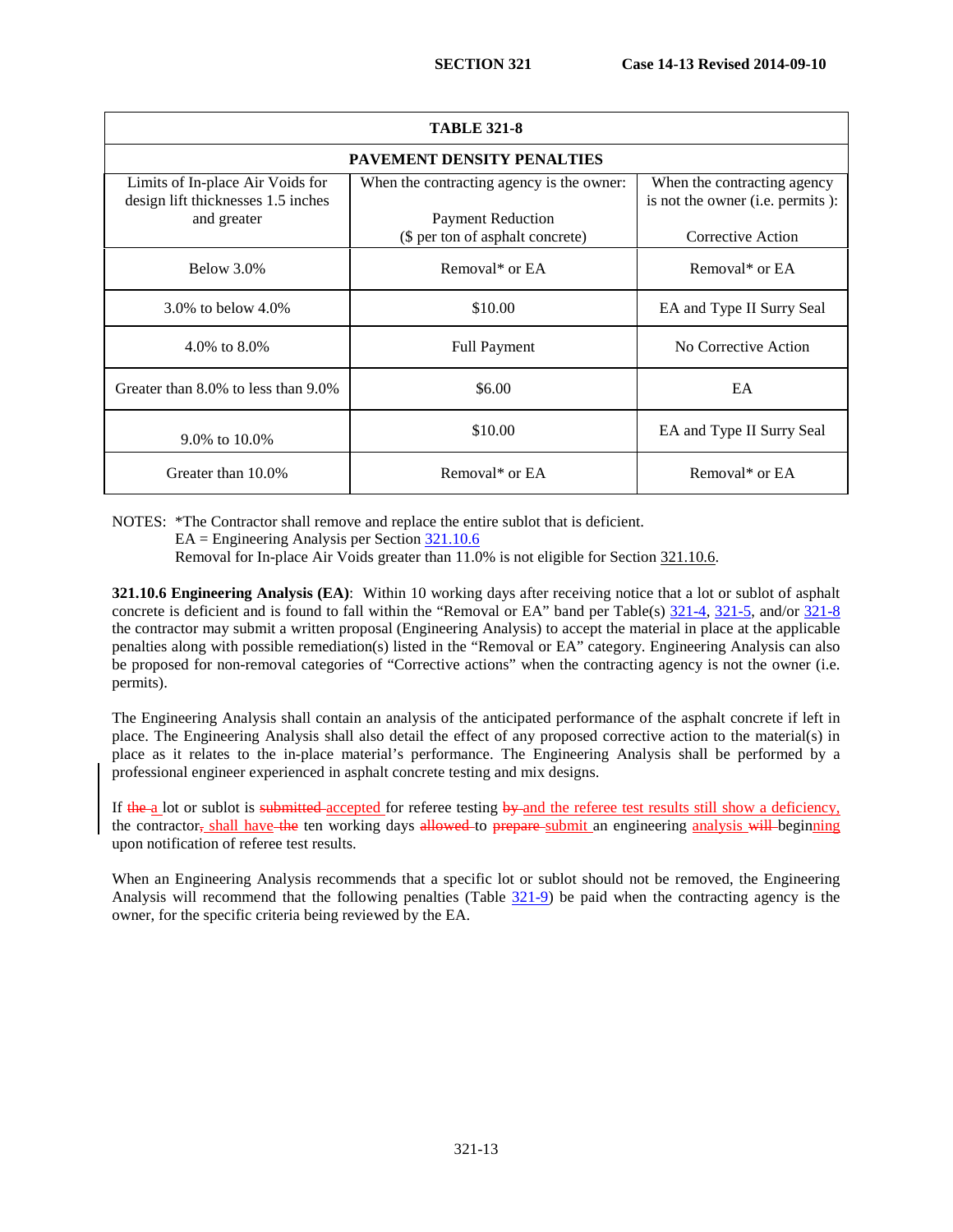| <b>TABLE 321-8</b>                                                                    |                                                                       |                                                                 |  |  |  |  |
|---------------------------------------------------------------------------------------|-----------------------------------------------------------------------|-----------------------------------------------------------------|--|--|--|--|
|                                                                                       | <b>PAVEMENT DENSITY PENALTIES</b>                                     |                                                                 |  |  |  |  |
| Limits of In-place Air Voids for<br>design lift thicknesses 1.5 inches<br>and greater | When the contracting agency is the owner:<br><b>Payment Reduction</b> | When the contracting agency<br>is not the owner (i.e. permits): |  |  |  |  |
|                                                                                       | (\$ per ton of asphalt concrete)                                      | Corrective Action                                               |  |  |  |  |
| Below 3.0%                                                                            | Removal* or EA                                                        | Removal* or EA                                                  |  |  |  |  |
| 3.0\% to below $4.0\%$                                                                | \$10.00                                                               | EA and Type II Surry Seal                                       |  |  |  |  |
| 4.0\% to $8.0\%$                                                                      | <b>Full Payment</b>                                                   | No Corrective Action                                            |  |  |  |  |
| Greater than 8.0% to less than 9.0%                                                   | \$6.00                                                                | EA                                                              |  |  |  |  |
| 9.0% to 10.0%                                                                         | \$10.00                                                               | EA and Type II Surry Seal                                       |  |  |  |  |
| Greater than 10.0%                                                                    | Removal* or EA                                                        | Removal* or EA                                                  |  |  |  |  |

NOTES: \*The Contractor shall remove and replace the entire sublot that is deficient.

 $EA = Engineering$  Analysis per Section  $\frac{321.10.6}{21.10.6}$ 

Removal for In-place Air Voids greater than 11.0% is not eligible for Sectio[n 321.10.6.](#page-14-0)

<span id="page-14-0"></span>**321.10.6 Engineering Analysis (EA)**: Within 10 working days after receiving notice that a lot or sublot of asphalt concrete is deficient and is found to fall within the "Removal or EA" band per Table(s) [321-4,](#page-2-0) [321-5,](#page-7-0) and/or 321-8 the contractor may submit a written proposal (Engineering Analysis) to accept the material in place at the applicable penalties along with possible remediation(s) listed in the "Removal or EA" category. Engineering Analysis can also be proposed for non-removal categories of "Corrective actions" when the contracting agency is not the owner (i.e. permits).

The Engineering Analysis shall contain an analysis of the anticipated performance of the asphalt concrete if left in place. The Engineering Analysis shall also detail the effect of any proposed corrective action to the material(s) in place as it relates to the in-place material's performance. The Engineering Analysis shall be performed by a professional engineer experienced in asphalt concrete testing and mix designs.

If the a lot or sublot is submitted-accepted for referee testing by and the referee test results still show a deficiency, the contractor, shall have the ten working days allowed to prepare submit an engineering analysis will beginning upon notification of referee test results.

When an Engineering Analysis recommends that a specific lot or sublot should not be removed, the Engineering Analysis will recommend that the following penalties (Table [321-9\)](#page-15-0) be paid when the contracting agency is the owner, for the specific criteria being reviewed by the EA.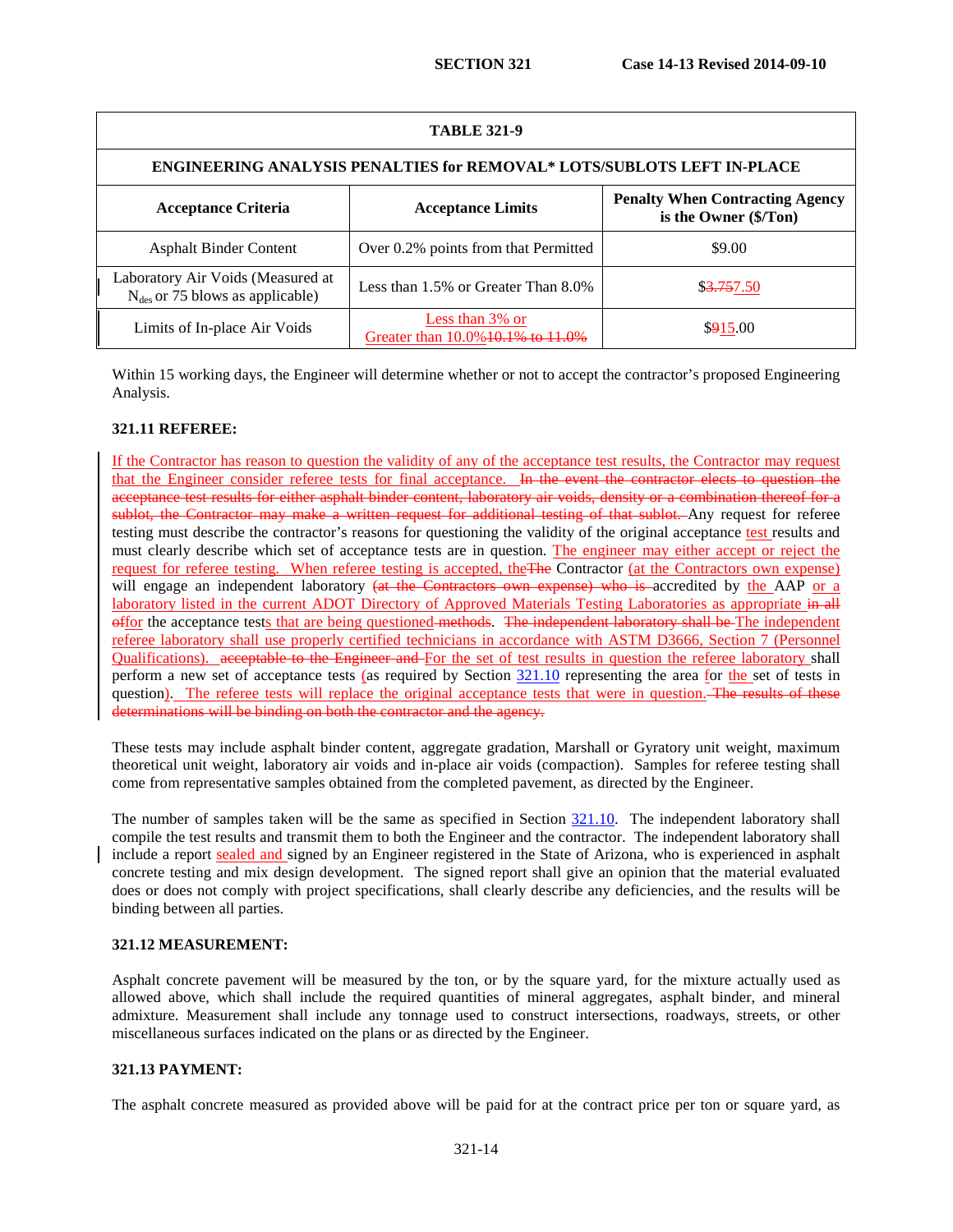<span id="page-15-0"></span>

| <b>TABLE 321-9</b>                                                        |                                                      |                                                                 |  |  |  |
|---------------------------------------------------------------------------|------------------------------------------------------|-----------------------------------------------------------------|--|--|--|
| ENGINEERING ANALYSIS PENALTIES for REMOVAL* LOTS/SUBLOTS LEFT IN-PLACE    |                                                      |                                                                 |  |  |  |
| <b>Acceptance Criteria</b>                                                | <b>Acceptance Limits</b>                             | <b>Penalty When Contracting Agency</b><br>is the Owner (\$/Ton) |  |  |  |
| <b>Asphalt Binder Content</b>                                             | Over 0.2% points from that Permitted                 | \$9.00                                                          |  |  |  |
| Laboratory Air Voids (Measured at<br>$N_{des}$ or 75 blows as applicable) | Less than 1.5% or Greater Than 8.0%                  | \$3,757.50                                                      |  |  |  |
| Limits of In-place Air Voids                                              | Less than 3% or<br>Greater than 10.0% 10.1% to 11.0% | \$915.00                                                        |  |  |  |

Within 15 working days, the Engineer will determine whether or not to accept the contractor's proposed Engineering Analysis.

# **321.11 REFEREE:**

If the Contractor has reason to question the validity of any of the acceptance test results, the Contractor may request that the Engineer consider referee tests for final acceptance. In the event the contractor elects to question the acceptance test results for either asphalt binder content, laboratory air voids, density or a combination thereof for a sublot, the Contractor may make a written request for additional testing of that sublot. Any request for referee testing must describe the contractor's reasons for questioning the validity of the original acceptance test results and must clearly describe which set of acceptance tests are in question. The engineer may either accept or reject the request for referee testing. When referee testing is accepted, theThe Contractor (at the Contractors own expense) will engage an independent laboratory (at the Contractors own expense) who is accredited by the AAP or a laboratory listed in the current ADOT Directory of Approved Materials Testing Laboratories as appropriate in all offor the acceptance tests that are being questioned methods. The independent laboratory shall be The independent referee laboratory shall use properly certified technicians in accordance with ASTM D3666, Section 7 (Personnel Qualifications). acceptable to the Engineer and For the set of test results in question the referee laboratory shall perform a new set of acceptance tests (as required by Section  $\frac{321.10}{221.10}$  representing the area for the set of tests in question). The referee tests will replace the original acceptance tests that were in question. The results of these determinations will be binding on both the contractor and the agency.

These tests may include asphalt binder content, aggregate gradation, Marshall or Gyratory unit weight, maximum theoretical unit weight, laboratory air voids and in-place air voids (compaction). Samples for referee testing shall come from representative samples obtained from the completed pavement, as directed by the Engineer.

The number of samples taken will be the same as specified in Section [321.10.](#page-8-0) The independent laboratory shall compile the test results and transmit them to both the Engineer and the contractor. The independent laboratory shall include a report sealed and signed by an Engineer registered in the State of Arizona, who is experienced in asphalt concrete testing and mix design development. The signed report shall give an opinion that the material evaluated does or does not comply with project specifications, shall clearly describe any deficiencies, and the results will be binding between all parties.

### **321.12 MEASUREMENT:**

Asphalt concrete pavement will be measured by the ton, or by the square yard, for the mixture actually used as allowed above, which shall include the required quantities of mineral aggregates, asphalt binder, and mineral admixture. Measurement shall include any tonnage used to construct intersections, roadways, streets, or other miscellaneous surfaces indicated on the plans or as directed by the Engineer.

# **321.13 PAYMENT:**

The asphalt concrete measured as provided above will be paid for at the contract price per ton or square yard, as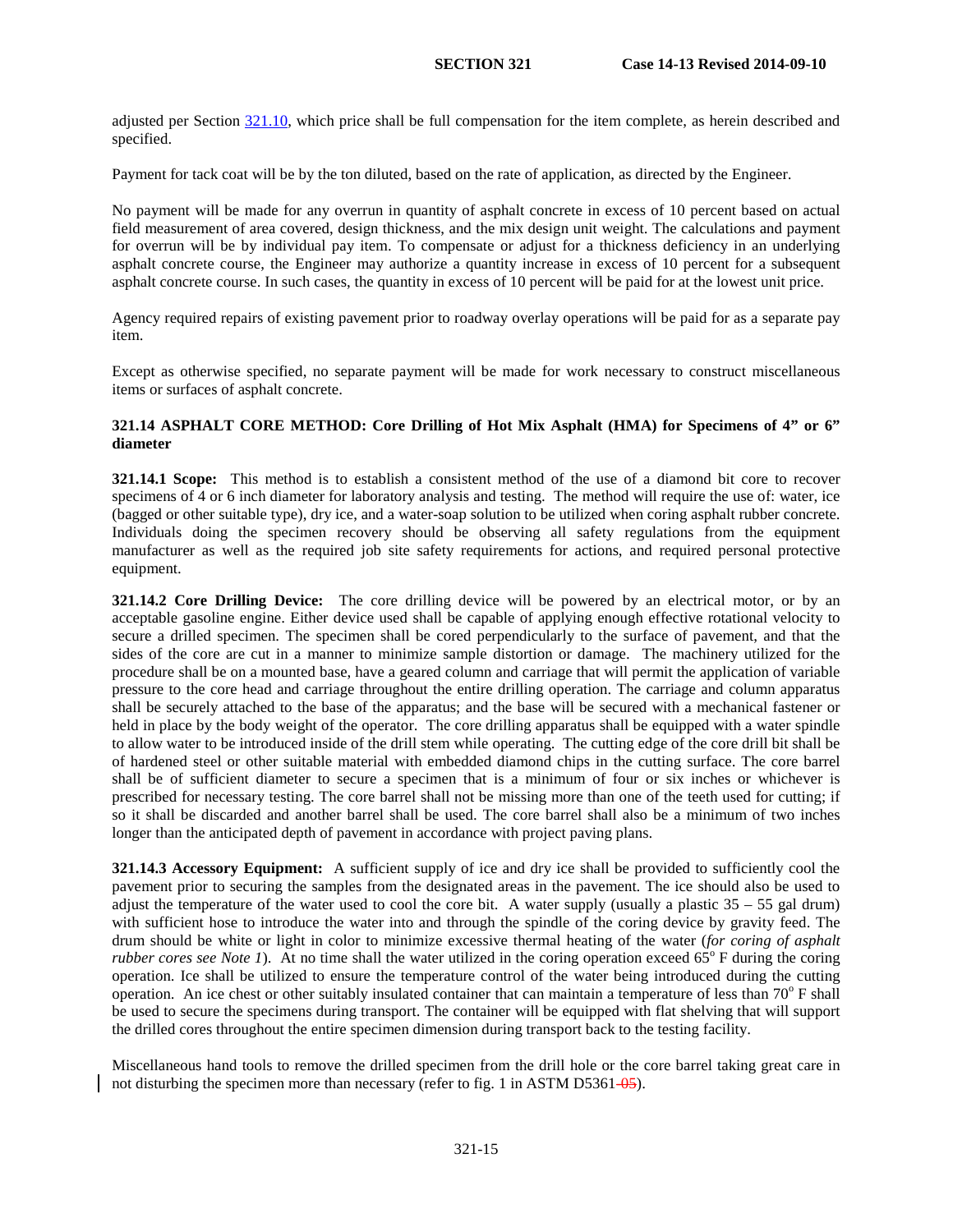adjusted per Section [321.10,](#page-8-0) which price shall be full compensation for the item complete, as herein described and specified.

Payment for tack coat will be by the ton diluted, based on the rate of application, as directed by the Engineer.

No payment will be made for any overrun in quantity of asphalt concrete in excess of 10 percent based on actual field measurement of area covered, design thickness, and the mix design unit weight. The calculations and payment for overrun will be by individual pay item. To compensate or adjust for a thickness deficiency in an underlying asphalt concrete course, the Engineer may authorize a quantity increase in excess of 10 percent for a subsequent asphalt concrete course. In such cases, the quantity in excess of 10 percent will be paid for at the lowest unit price.

Agency required repairs of existing pavement prior to roadway overlay operations will be paid for as a separate pay item.

Except as otherwise specified, no separate payment will be made for work necessary to construct miscellaneous items or surfaces of asphalt concrete.

### <span id="page-16-0"></span>**321.14 ASPHALT CORE METHOD: Core Drilling of Hot Mix Asphalt (HMA) for Specimens of 4" or 6" diameter**

**321.14.1 Scope:** This method is to establish a consistent method of the use of a diamond bit core to recover specimens of 4 or 6 inch diameter for laboratory analysis and testing. The method will require the use of: water, ice (bagged or other suitable type), dry ice, and a water-soap solution to be utilized when coring asphalt rubber concrete. Individuals doing the specimen recovery should be observing all safety regulations from the equipment manufacturer as well as the required job site safety requirements for actions, and required personal protective equipment.

**321.14.2 Core Drilling Device:** The core drilling device will be powered by an electrical motor, or by an acceptable gasoline engine. Either device used shall be capable of applying enough effective rotational velocity to secure a drilled specimen. The specimen shall be cored perpendicularly to the surface of pavement, and that the sides of the core are cut in a manner to minimize sample distortion or damage. The machinery utilized for the procedure shall be on a mounted base, have a geared column and carriage that will permit the application of variable pressure to the core head and carriage throughout the entire drilling operation. The carriage and column apparatus shall be securely attached to the base of the apparatus; and the base will be secured with a mechanical fastener or held in place by the body weight of the operator. The core drilling apparatus shall be equipped with a water spindle to allow water to be introduced inside of the drill stem while operating. The cutting edge of the core drill bit shall be of hardened steel or other suitable material with embedded diamond chips in the cutting surface. The core barrel shall be of sufficient diameter to secure a specimen that is a minimum of four or six inches or whichever is prescribed for necessary testing. The core barrel shall not be missing more than one of the teeth used for cutting; if so it shall be discarded and another barrel shall be used. The core barrel shall also be a minimum of two inches longer than the anticipated depth of pavement in accordance with project paving plans.

**321.14.3 Accessory Equipment:** A sufficient supply of ice and dry ice shall be provided to sufficiently cool the pavement prior to securing the samples from the designated areas in the pavement. The ice should also be used to adjust the temperature of the water used to cool the core bit. A water supply (usually a plastic  $35 - 55$  gal drum) with sufficient hose to introduce the water into and through the spindle of the coring device by gravity feed. The drum should be white or light in color to minimize excessive thermal heating of the water (*for coring of asphalt rubber cores see Note 1*). At no time shall the water utilized in the coring operation exceed  $65^\circ$  F during the coring operation. Ice shall be utilized to ensure the temperature control of the water being introduced during the cutting operation. An ice chest or other suitably insulated container that can maintain a temperature of less than  $70^{\circ}$  F shall be used to secure the specimens during transport. The container will be equipped with flat shelving that will support the drilled cores throughout the entire specimen dimension during transport back to the testing facility.

Miscellaneous hand tools to remove the drilled specimen from the drill hole or the core barrel taking great care in not disturbing the specimen more than necessary (refer to fig. 1 in ASTM D5361-05).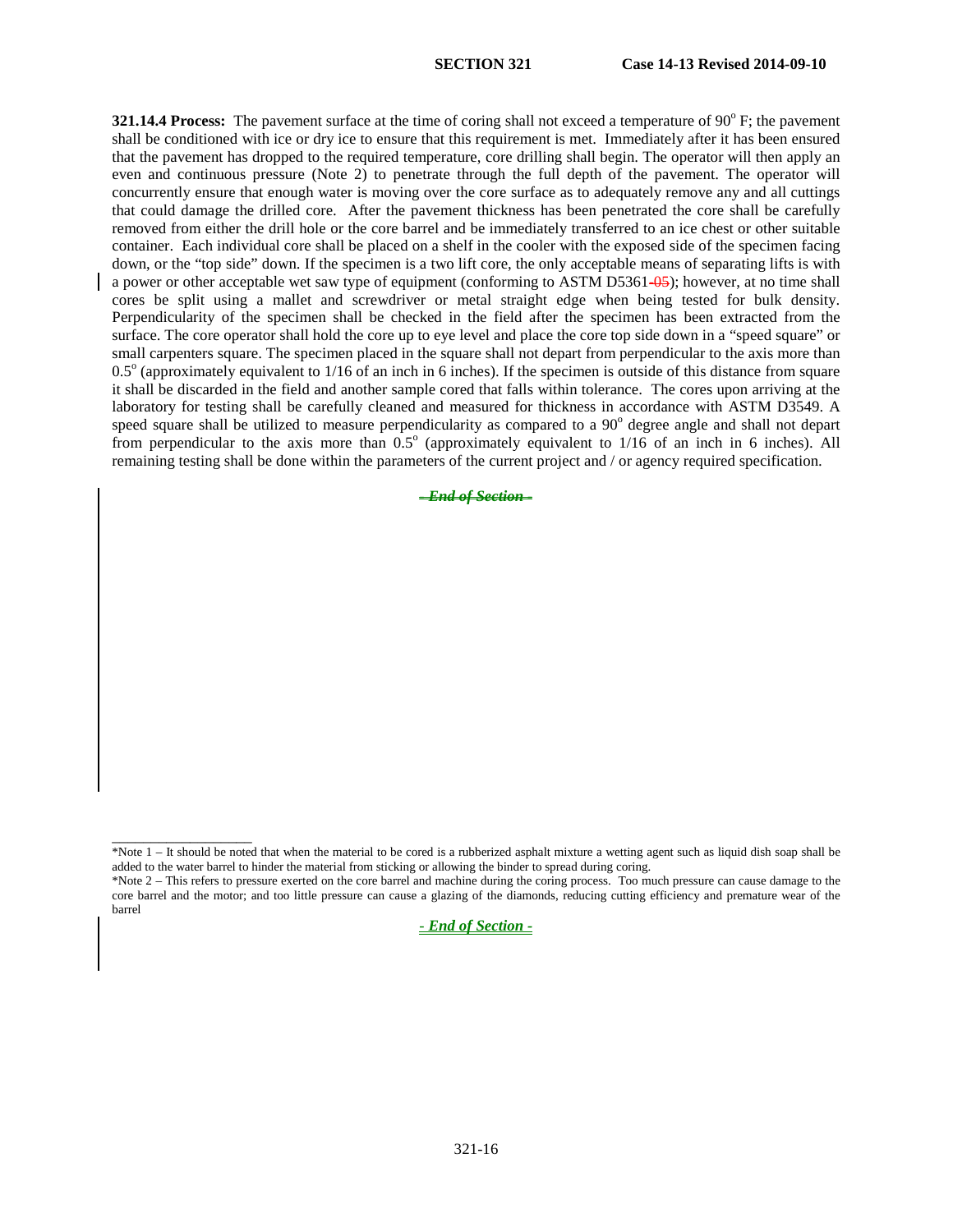**321.14.4 Process:** The pavement surface at the time of coring shall not exceed a temperature of 90<sup>o</sup> F; the pavement shall be conditioned with ice or dry ice to ensure that this requirement is met. Immediately after it has been ensured that the pavement has dropped to the required temperature, core drilling shall begin. The operator will then apply an even and continuous pressure (Note 2) to penetrate through the full depth of the pavement. The operator will concurrently ensure that enough water is moving over the core surface as to adequately remove any and all cuttings that could damage the drilled core. After the pavement thickness has been penetrated the core shall be carefully removed from either the drill hole or the core barrel and be immediately transferred to an ice chest or other suitable container. Each individual core shall be placed on a shelf in the cooler with the exposed side of the specimen facing down, or the "top side" down. If the specimen is a two lift core, the only acceptable means of separating lifts is with a power or other acceptable wet saw type of equipment (conforming to ASTM D5361-05); however, at no time shall cores be split using a mallet and screwdriver or metal straight edge when being tested for bulk density. Perpendicularity of the specimen shall be checked in the field after the specimen has been extracted from the surface. The core operator shall hold the core up to eye level and place the core top side down in a "speed square" or small carpenters square. The specimen placed in the square shall not depart from perpendicular to the axis more than  $0.5^\circ$  (approximately equivalent to  $1/16$  of an inch in 6 inches). If the specimen is outside of this distance from square it shall be discarded in the field and another sample cored that falls within tolerance. The cores upon arriving at the laboratory for testing shall be carefully cleaned and measured for thickness in accordance with ASTM D3549. A speed square shall be utilized to measure perpendicularity as compared to a 90<sup>o</sup> degree angle and shall not depart from perpendicular to the axis more than  $0.5^\circ$  (approximately equivalent to  $1/16$  of an inch in 6 inches). All remaining testing shall be done within the parameters of the current project and / or agency required specification.

*- End of Section -*

\_\_\_\_\_\_\_\_\_\_\_\_\_\_\_\_\_\_

*- End of Section -*

<sup>\*</sup>Note 1 – It should be noted that when the material to be cored is a rubberized asphalt mixture a wetting agent such as liquid dish soap shall be added to the water barrel to hinder the material from sticking or allowing the binder to spread during coring.

<sup>\*</sup>Note 2 – This refers to pressure exerted on the core barrel and machine during the coring process. Too much pressure can cause damage to the core barrel and the motor; and too little pressure can cause a glazing of the diamonds, reducing cutting efficiency and premature wear of the barrel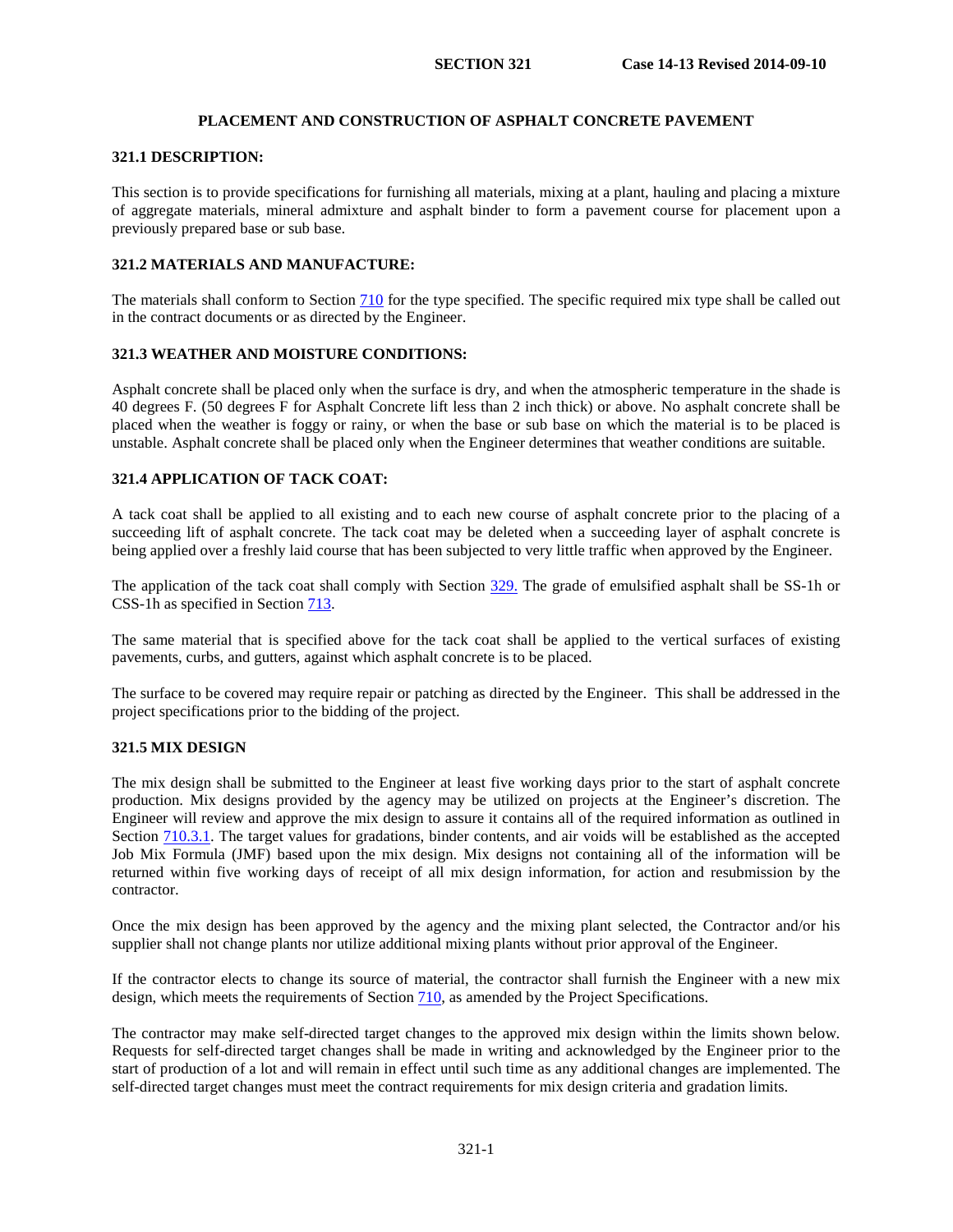# **PLACEMENT AND CONSTRUCTION OF ASPHALT CONCRETE PAVEMENT**

### **321.1 DESCRIPTION:**

This section is to provide specifications for furnishing all materials, mixing at a plant, hauling and placing a mixture of aggregate materials, mineral admixture and asphalt binder to form a pavement course for placement upon a previously prepared base or sub base.

### **321.2 MATERIALS AND MANUFACTURE:**

The materials shall conform to Section 710 for the type specified. The specific required mix type shall be called out in the contract documents or as directed by the Engineer.

#### **321.3 WEATHER AND MOISTURE CONDITIONS:**

Asphalt concrete shall be placed only when the surface is dry, and when the atmospheric temperature in the shade is 40 degrees F. (50 degrees F for Asphalt Concrete lift less than 2 inch thick) or above. No asphalt concrete shall be placed when the weather is foggy or rainy, or when the base or sub base on which the material is to be placed is unstable. Asphalt concrete shall be placed only when the Engineer determines that weather conditions are suitable.

# **321.4 APPLICATION OF TACK COAT:**

A tack coat shall be applied to all existing and to each new course of asphalt concrete prior to the placing of a succeeding lift of asphalt concrete. The tack coat may be deleted when a succeeding layer of asphalt concrete is being applied over a freshly laid course that has been subjected to very little traffic when approved by the Engineer.

The application of the tack coat shall comply with Section 329. The grade of emulsified asphalt shall be SS-1h or CSS-1h as specified in Section 713.

The same material that is specified above for the tack coat shall be applied to the vertical surfaces of existing pavements, curbs, and gutters, against which asphalt concrete is to be placed.

The surface to be covered may require repair or patching as directed by the Engineer. This shall be addressed in the project specifications prior to the bidding of the project.

### **321.5 MIX DESIGN**

The mix design shall be submitted to the Engineer at least five working days prior to the start of asphalt concrete production. Mix designs provided by the agency may be utilized on projects at the Engineer's discretion. The Engineer will review and approve the mix design to assure it contains all of the required information as outlined in Section 710.3.1. The target values for gradations, binder contents, and air voids will be established as the accepted Job Mix Formula (JMF) based upon the mix design. Mix designs not containing all of the information will be returned within five working days of receipt of all mix design information, for action and resubmission by the contractor.

Once the mix design has been approved by the agency and the mixing plant selected, the Contractor and/or his supplier shall not change plants nor utilize additional mixing plants without prior approval of the Engineer.

If the contractor elects to change its source of material, the contractor shall furnish the Engineer with a new mix design, which meets the requirements of Section 710, as amended by the Project Specifications.

The contractor may make self-directed target changes to the approved mix design within the limits shown below. Requests for self-directed target changes shall be made in writing and acknowledged by the Engineer prior to the start of production of a lot and will remain in effect until such time as any additional changes are implemented. The self-directed target changes must meet the contract requirements for mix design criteria and gradation limits.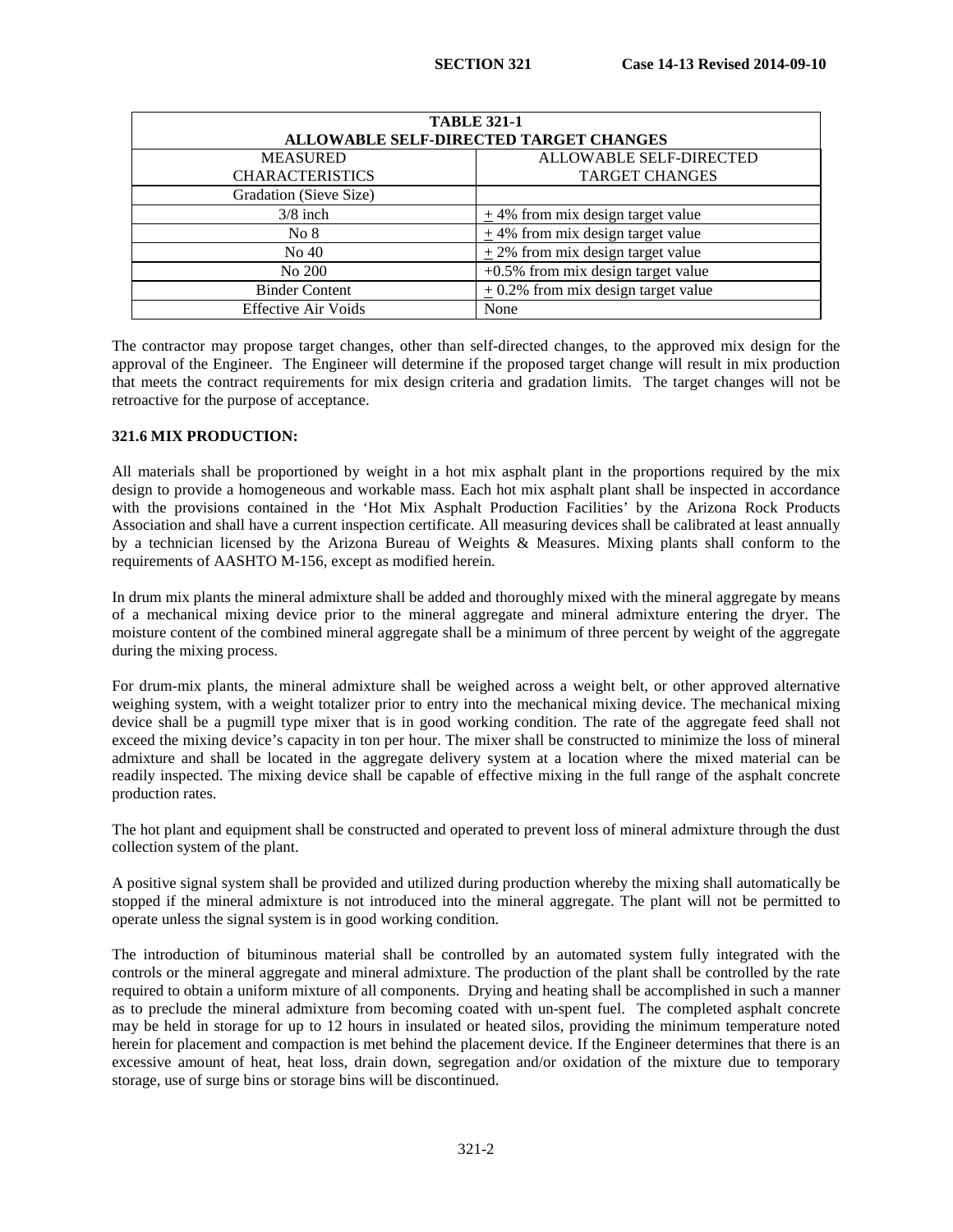| <b>TABLE 321-1</b>                     |                                         |  |  |
|----------------------------------------|-----------------------------------------|--|--|
| ALLOWABLE SELF-DIRECTED TARGET CHANGES |                                         |  |  |
| <b>MEASURED</b>                        | ALLOWABLE SELF-DIRECTED                 |  |  |
| <b>CHARACTERISTICS</b>                 | <b>TARGET CHANGES</b>                   |  |  |
| Gradation (Sieve Size)                 |                                         |  |  |
| $3/8$ inch                             | $\pm$ 4% from mix design target value   |  |  |
| No 8                                   | $\pm$ 4% from mix design target value   |  |  |
| No 40                                  | $+2\%$ from mix design target value     |  |  |
| No 200                                 | $+0.5\%$ from mix design target value   |  |  |
| <b>Binder Content</b>                  | $\pm$ 0.2% from mix design target value |  |  |
| <b>Effective Air Voids</b>             | None                                    |  |  |

The contractor may propose target changes, other than self-directed changes, to the approved mix design for the approval of the Engineer. The Engineer will determine if the proposed target change will result in mix production that meets the contract requirements for mix design criteria and gradation limits. The target changes will not be retroactive for the purpose of acceptance.

### **321.6 MIX PRODUCTION:**

All materials shall be proportioned by weight in a hot mix asphalt plant in the proportions required by the mix design to provide a homogeneous and workable mass. Each hot mix asphalt plant shall be inspected in accordance with the provisions contained in the 'Hot Mix Asphalt Production Facilities' by the Arizona Rock Products Association and shall have a current inspection certificate. All measuring devices shall be calibrated at least annually by a technician licensed by the Arizona Bureau of Weights & Measures. Mixing plants shall conform to the requirements of AASHTO M-156, except as modified herein.

In drum mix plants the mineral admixture shall be added and thoroughly mixed with the mineral aggregate by means of a mechanical mixing device prior to the mineral aggregate and mineral admixture entering the dryer. The moisture content of the combined mineral aggregate shall be a minimum of three percent by weight of the aggregate during the mixing process.

For drum-mix plants, the mineral admixture shall be weighed across a weight belt, or other approved alternative weighing system, with a weight totalizer prior to entry into the mechanical mixing device. The mechanical mixing device shall be a pugmill type mixer that is in good working condition. The rate of the aggregate feed shall not exceed the mixing device's capacity in ton per hour. The mixer shall be constructed to minimize the loss of mineral admixture and shall be located in the aggregate delivery system at a location where the mixed material can be readily inspected. The mixing device shall be capable of effective mixing in the full range of the asphalt concrete production rates.

The hot plant and equipment shall be constructed and operated to prevent loss of mineral admixture through the dust collection system of the plant.

A positive signal system shall be provided and utilized during production whereby the mixing shall automatically be stopped if the mineral admixture is not introduced into the mineral aggregate. The plant will not be permitted to operate unless the signal system is in good working condition.

The introduction of bituminous material shall be controlled by an automated system fully integrated with the controls or the mineral aggregate and mineral admixture. The production of the plant shall be controlled by the rate required to obtain a uniform mixture of all components. Drying and heating shall be accomplished in such a manner as to preclude the mineral admixture from becoming coated with un-spent fuel. The completed asphalt concrete may be held in storage for up to 12 hours in insulated or heated silos, providing the minimum temperature noted herein for placement and compaction is met behind the placement device. If the Engineer determines that there is an excessive amount of heat, heat loss, drain down, segregation and/or oxidation of the mixture due to temporary storage, use of surge bins or storage bins will be discontinued.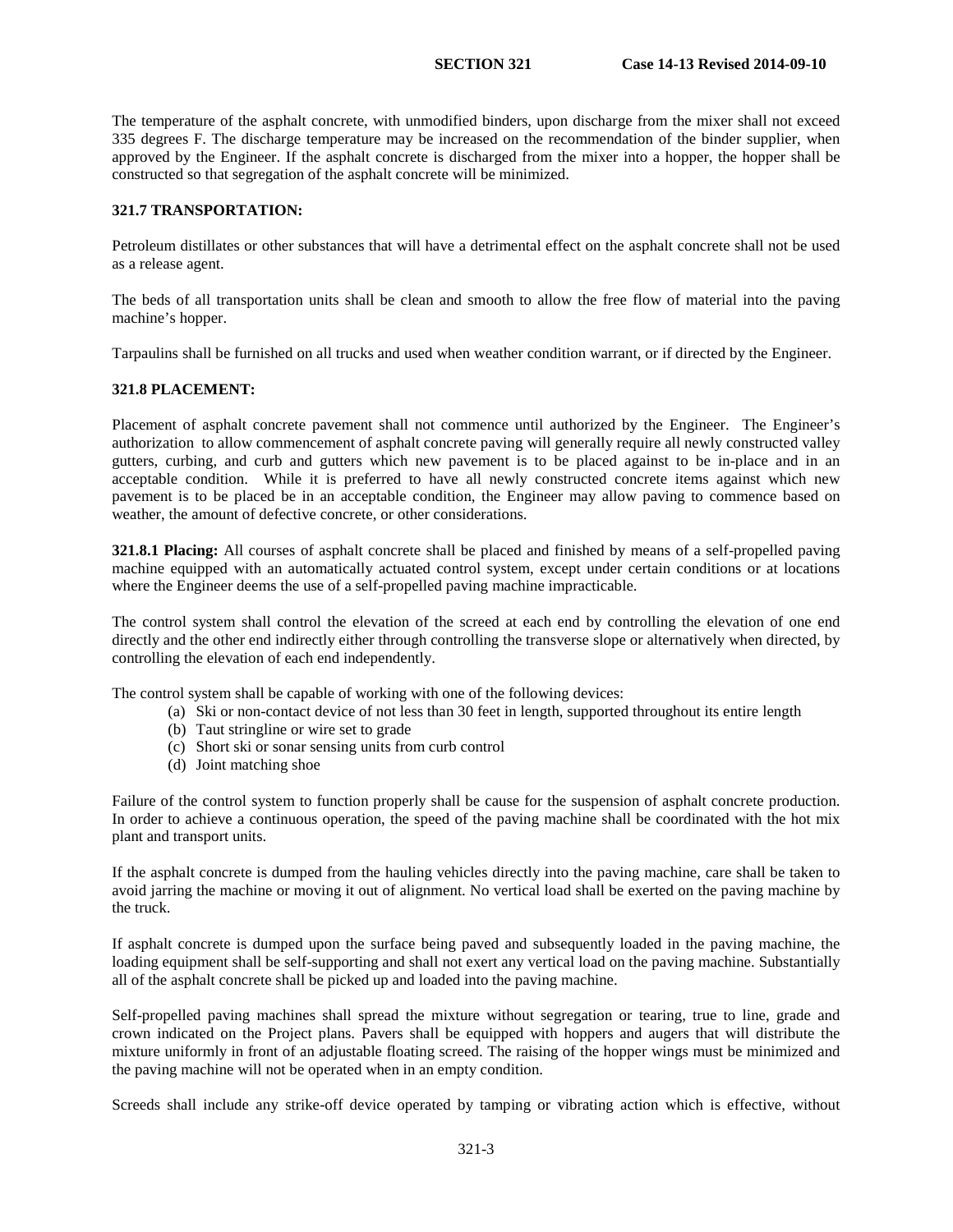The temperature of the asphalt concrete, with unmodified binders, upon discharge from the mixer shall not exceed 335 degrees F. The discharge temperature may be increased on the recommendation of the binder supplier, when approved by the Engineer. If the asphalt concrete is discharged from the mixer into a hopper, the hopper shall be constructed so that segregation of the asphalt concrete will be minimized.

### **321.7 TRANSPORTATION:**

Petroleum distillates or other substances that will have a detrimental effect on the asphalt concrete shall not be used as a release agent.

The beds of all transportation units shall be clean and smooth to allow the free flow of material into the paving machine's hopper.

Tarpaulins shall be furnished on all trucks and used when weather condition warrant, or if directed by the Engineer.

### **321.8 PLACEMENT:**

Placement of asphalt concrete pavement shall not commence until authorized by the Engineer. The Engineer's authorization to allow commencement of asphalt concrete paving will generally require all newly constructed valley gutters, curbing, and curb and gutters which new pavement is to be placed against to be in-place and in an acceptable condition. While it is preferred to have all newly constructed concrete items against which new pavement is to be placed be in an acceptable condition, the Engineer may allow paving to commence based on weather, the amount of defective concrete, or other considerations.

**321.8.1 Placing:** All courses of asphalt concrete shall be placed and finished by means of a self-propelled paving machine equipped with an automatically actuated control system, except under certain conditions or at locations where the Engineer deems the use of a self-propelled paving machine impracticable.

The control system shall control the elevation of the screed at each end by controlling the elevation of one end directly and the other end indirectly either through controlling the transverse slope or alternatively when directed, by controlling the elevation of each end independently.

The control system shall be capable of working with one of the following devices:

- (a) Ski or non-contact device of not less than 30 feet in length, supported throughout its entire length
	- (b) Taut stringline or wire set to grade
	- (c) Short ski or sonar sensing units from curb control
	- (d) Joint matching shoe

Failure of the control system to function properly shall be cause for the suspension of asphalt concrete production. In order to achieve a continuous operation, the speed of the paving machine shall be coordinated with the hot mix plant and transport units.

If the asphalt concrete is dumped from the hauling vehicles directly into the paving machine, care shall be taken to avoid jarring the machine or moving it out of alignment. No vertical load shall be exerted on the paving machine by the truck.

If asphalt concrete is dumped upon the surface being paved and subsequently loaded in the paving machine, the loading equipment shall be self-supporting and shall not exert any vertical load on the paving machine. Substantially all of the asphalt concrete shall be picked up and loaded into the paving machine.

Self-propelled paving machines shall spread the mixture without segregation or tearing, true to line, grade and crown indicated on the Project plans. Pavers shall be equipped with hoppers and augers that will distribute the mixture uniformly in front of an adjustable floating screed. The raising of the hopper wings must be minimized and the paving machine will not be operated when in an empty condition.

Screeds shall include any strike-off device operated by tamping or vibrating action which is effective, without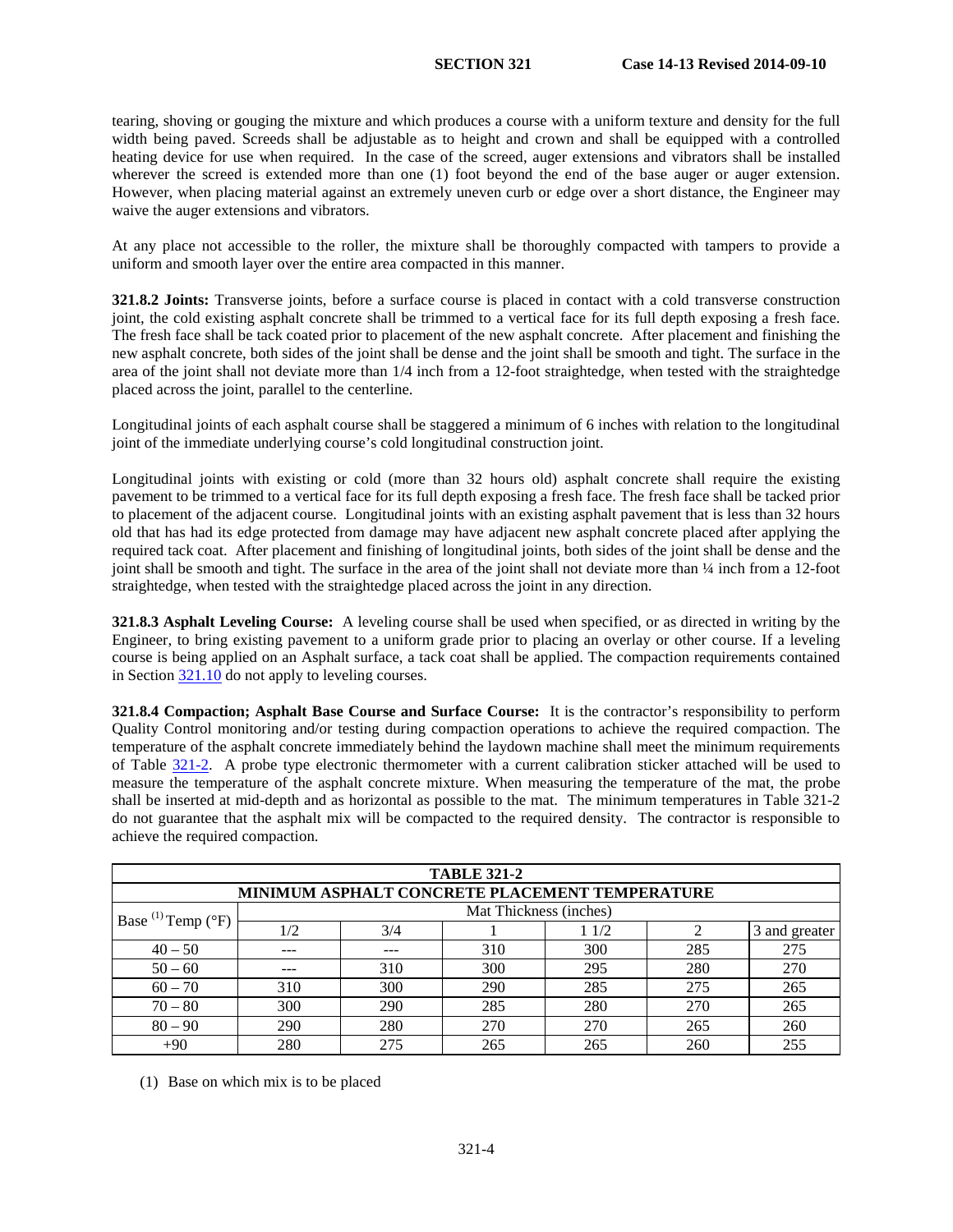tearing, shoving or gouging the mixture and which produces a course with a uniform texture and density for the full width being paved. Screeds shall be adjustable as to height and crown and shall be equipped with a controlled heating device for use when required. In the case of the screed, auger extensions and vibrators shall be installed wherever the screed is extended more than one (1) foot beyond the end of the base auger or auger extension. However, when placing material against an extremely uneven curb or edge over a short distance, the Engineer may waive the auger extensions and vibrators.

At any place not accessible to the roller, the mixture shall be thoroughly compacted with tampers to provide a uniform and smooth layer over the entire area compacted in this manner.

**321.8.2 Joints:** Transverse joints, before a surface course is placed in contact with a cold transverse construction joint, the cold existing asphalt concrete shall be trimmed to a vertical face for its full depth exposing a fresh face. The fresh face shall be tack coated prior to placement of the new asphalt concrete. After placement and finishing the new asphalt concrete, both sides of the joint shall be dense and the joint shall be smooth and tight. The surface in the area of the joint shall not deviate more than 1/4 inch from a 12-foot straightedge, when tested with the straightedge placed across the joint, parallel to the centerline.

Longitudinal joints of each asphalt course shall be staggered a minimum of 6 inches with relation to the longitudinal joint of the immediate underlying course's cold longitudinal construction joint.

Longitudinal joints with existing or cold (more than 32 hours old) asphalt concrete shall require the existing pavement to be trimmed to a vertical face for its full depth exposing a fresh face. The fresh face shall be tacked prior to placement of the adjacent course. Longitudinal joints with an existing asphalt pavement that is less than 32 hours old that has had its edge protected from damage may have adjacent new asphalt concrete placed after applying the required tack coat. After placement and finishing of longitudinal joints, both sides of the joint shall be dense and the joint shall be smooth and tight. The surface in the area of the joint shall not deviate more than ¼ inch from a 12-foot straightedge, when tested with the straightedge placed across the joint in any direction.

**321.8.3 Asphalt Leveling Course:** A leveling course shall be used when specified, or as directed in writing by the Engineer, to bring existing pavement to a uniform grade prior to placing an overlay or other course. If a leveling course is being applied on an Asphalt surface, a tack coat shall be applied. The compaction requirements contained in Section [321.10](#page-8-0) do not apply to leveling courses.

**321.8.4 Compaction; Asphalt Base Course and Surface Course:** It is the contractor's responsibility to perform Quality Control monitoring and/or testing during compaction operations to achieve the required compaction. The temperature of the asphalt concrete immediately behind the laydown machine shall meet the minimum requirements of Table [321-2.](#page-3-0) A probe type electronic thermometer with a current calibration sticker attached will be used to measure the temperature of the asphalt concrete mixture. When measuring the temperature of the mat, the probe shall be inserted at mid-depth and as horizontal as possible to the mat. The minimum temperatures in Table 321-2 do not guarantee that the asphalt mix will be compacted to the required density. The contractor is responsible to achieve the required compaction.

| <b>TABLE 321-2</b>               |     |     |                                                |      |     |               |
|----------------------------------|-----|-----|------------------------------------------------|------|-----|---------------|
|                                  |     |     | MINIMUM ASPHALT CONCRETE PLACEMENT TEMPERATURE |      |     |               |
| Base $^{(1)}$ Temp $(^{\circ}F)$ |     |     | Mat Thickness (inches)                         |      |     |               |
|                                  | 1/2 | 3/4 |                                                | 11/2 |     | 3 and greater |
| $40 - 50$                        | --- |     | 310                                            | 300  | 285 | 275           |
| $50 - 60$                        | --- | 310 | 300                                            | 295  | 280 | 270           |
| $60 - 70$                        | 310 | 300 | 290                                            | 285  | 275 | 265           |
| $70 - 80$                        | 300 | 290 | 285                                            | 280  | 270 | 265           |
| $80 - 90$                        | 290 | 280 | 270                                            | 270  | 265 | 260           |
| $+90$                            | 280 | 275 | 265                                            | 265  | 260 | 255           |

(1) Base on which mix is to be placed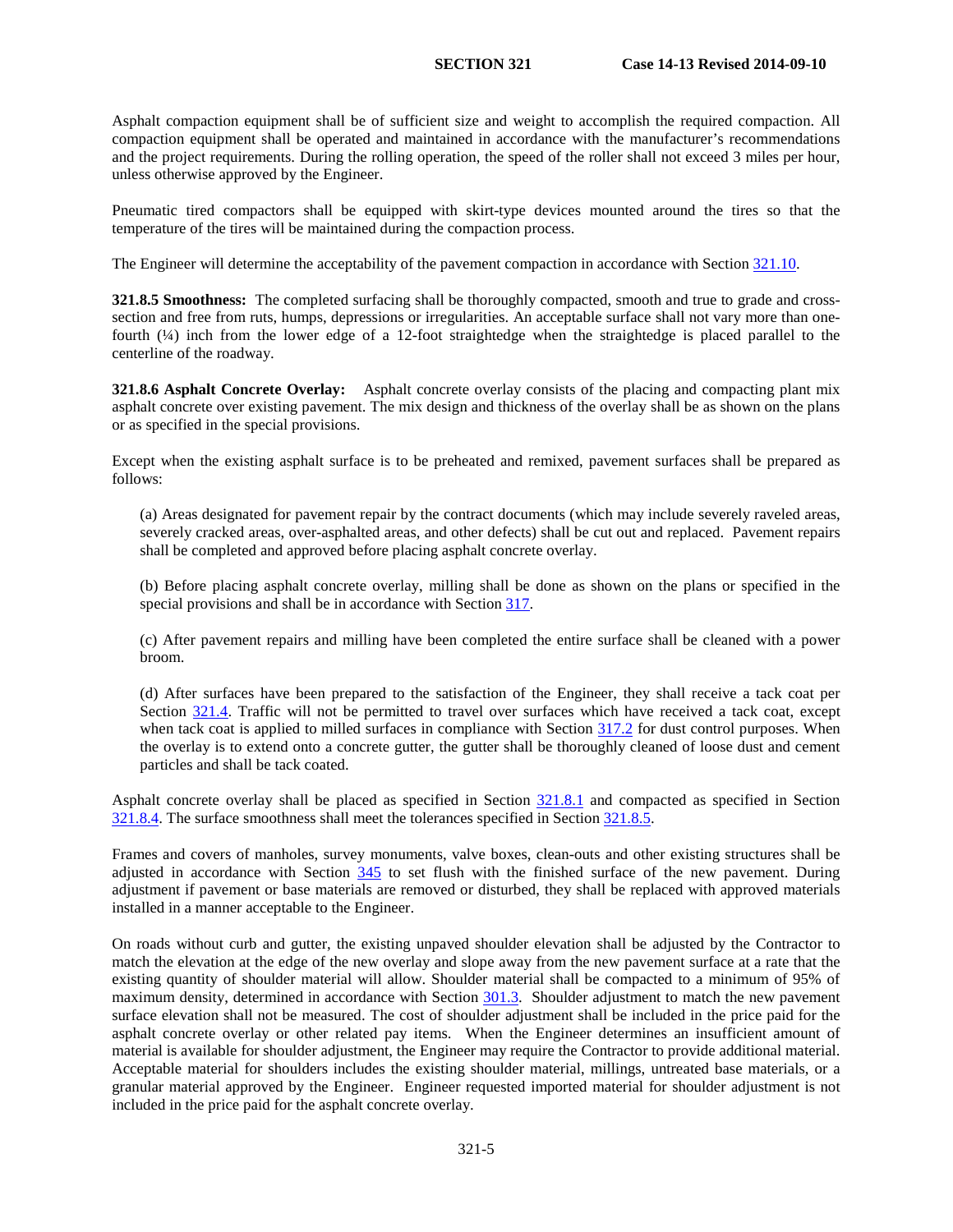Asphalt compaction equipment shall be of sufficient size and weight to accomplish the required compaction. All compaction equipment shall be operated and maintained in accordance with the manufacturer's recommendations and the project requirements. During the rolling operation, the speed of the roller shall not exceed 3 miles per hour, unless otherwise approved by the Engineer.

Pneumatic tired compactors shall be equipped with skirt-type devices mounted around the tires so that the temperature of the tires will be maintained during the compaction process.

The Engineer will determine the acceptability of the pavement compaction in accordance with Section [321.10.](#page-8-0)

**321.8.5 Smoothness:** The completed surfacing shall be thoroughly compacted, smooth and true to grade and crosssection and free from ruts, humps, depressions or irregularities. An acceptable surface shall not vary more than onefourth (¼) inch from the lower edge of a 12-foot straightedge when the straightedge is placed parallel to the centerline of the roadway.

**321.8.6 Asphalt Concrete Overlay:** Asphalt concrete overlay consists of the placing and compacting plant mix asphalt concrete over existing pavement. The mix design and thickness of the overlay shall be as shown on the plans or as specified in the special provisions.

Except when the existing asphalt surface is to be preheated and remixed, pavement surfaces shall be prepared as follows:

(a) Areas designated for pavement repair by the contract documents (which may include severely raveled areas, severely cracked areas, over-asphalted areas, and other defects) shall be cut out and replaced. Pavement repairs shall be completed and approved before placing asphalt concrete overlay.

(b) Before placing asphalt concrete overlay, milling shall be done as shown on the plans or specified in the special provisions and shall be in accordance with Section 317.

(c) After pavement repairs and milling have been completed the entire surface shall be cleaned with a power broom.

(d) After surfaces have been prepared to the satisfaction of the Engineer, they shall receive a tack coat per Section [321.4.](#page-2-0) Traffic will not be permitted to travel over surfaces which have received a tack coat, except when tack coat is applied to milled surfaces in compliance with Section 317.2 for dust control purposes. When the overlay is to extend onto a concrete gutter, the gutter shall be thoroughly cleaned of loose dust and cement particles and shall be tack coated.

Asphalt concrete overlay shall be placed as specified in Section [321.8.1](#page-4-0) and compacted as specified in Section [321.8.4.](#page-5-0) The surface smoothness shall meet the tolerances specified in Section [321.8.5.](#page-6-0)

Frames and covers of manholes, survey monuments, valve boxes, clean-outs and other existing structures shall be adjusted in accordance with Section 345 to set flush with the finished surface of the new pavement. During adjustment if pavement or base materials are removed or disturbed, they shall be replaced with approved materials installed in a manner acceptable to the Engineer.

On roads without curb and gutter, the existing unpaved shoulder elevation shall be adjusted by the Contractor to match the elevation at the edge of the new overlay and slope away from the new pavement surface at a rate that the existing quantity of shoulder material will allow. Shoulder material shall be compacted to a minimum of 95% of maximum density, determined in accordance with Section 301.3. Shoulder adjustment to match the new pavement surface elevation shall not be measured. The cost of shoulder adjustment shall be included in the price paid for the asphalt concrete overlay or other related pay items. When the Engineer determines an insufficient amount of material is available for shoulder adjustment, the Engineer may require the Contractor to provide additional material. Acceptable material for shoulders includes the existing shoulder material, millings, untreated base materials, or a granular material approved by the Engineer. Engineer requested imported material for shoulder adjustment is not included in the price paid for the asphalt concrete overlay.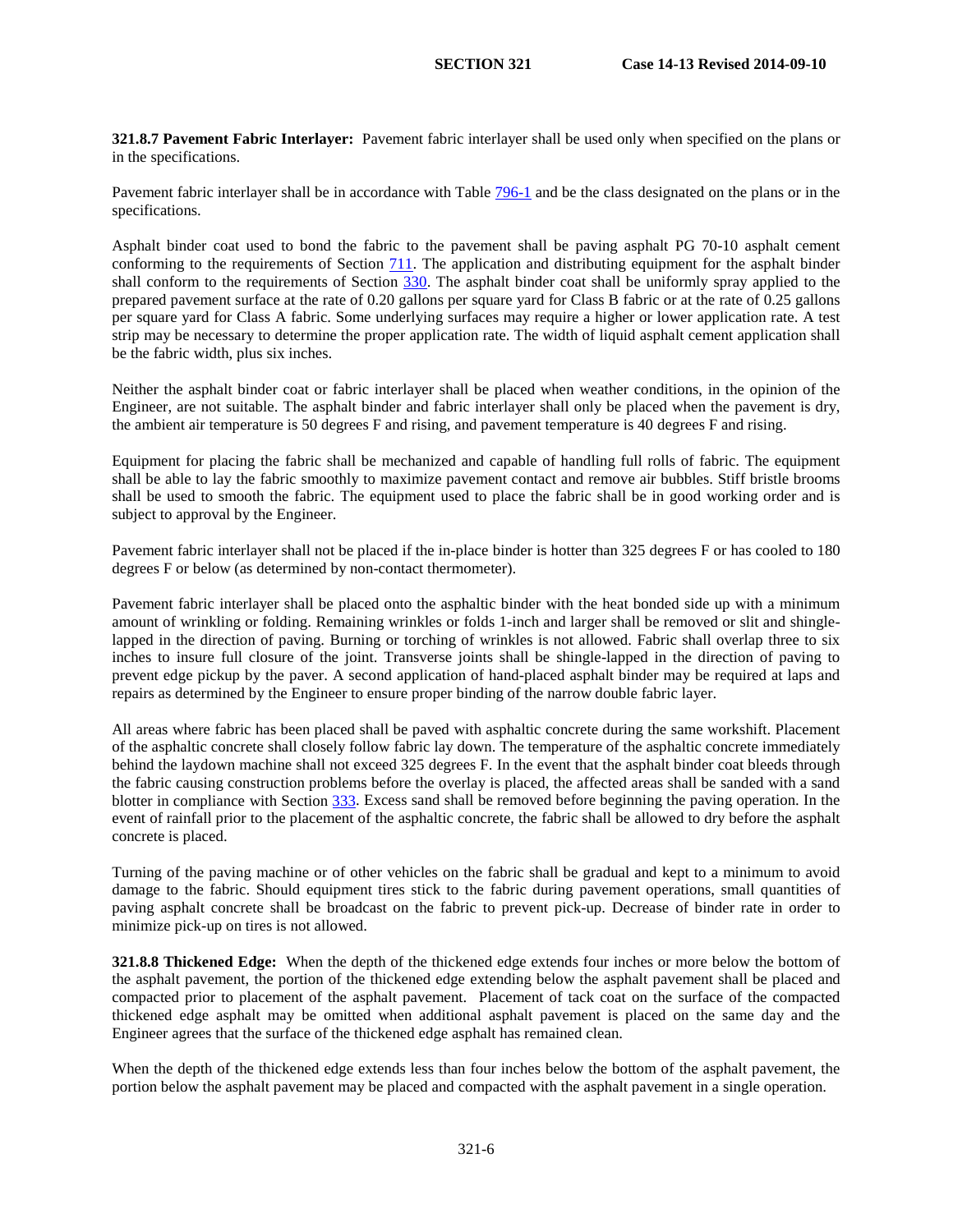**321.8.7 Pavement Fabric Interlayer:** Pavement fabric interlayer shall be used only when specified on the plans or in the specifications.

Pavement fabric interlayer shall be in accordance with Table 796-1 and be the class designated on the plans or in the specifications.

Asphalt binder coat used to bond the fabric to the pavement shall be paving asphalt PG 70-10 asphalt cement conforming to the requirements of Section 711. The application and distributing equipment for the asphalt binder shall conform to the requirements of Section 330. The asphalt binder coat shall be uniformly spray applied to the prepared pavement surface at the rate of 0.20 gallons per square yard for Class B fabric or at the rate of 0.25 gallons per square yard for Class A fabric. Some underlying surfaces may require a higher or lower application rate. A test strip may be necessary to determine the proper application rate. The width of liquid asphalt cement application shall be the fabric width, plus six inches.

Neither the asphalt binder coat or fabric interlayer shall be placed when weather conditions, in the opinion of the Engineer, are not suitable. The asphalt binder and fabric interlayer shall only be placed when the pavement is dry, the ambient air temperature is 50 degrees F and rising, and pavement temperature is 40 degrees F and rising.

Equipment for placing the fabric shall be mechanized and capable of handling full rolls of fabric. The equipment shall be able to lay the fabric smoothly to maximize pavement contact and remove air bubbles. Stiff bristle brooms shall be used to smooth the fabric. The equipment used to place the fabric shall be in good working order and is subject to approval by the Engineer.

Pavement fabric interlayer shall not be placed if the in-place binder is hotter than 325 degrees F or has cooled to 180 degrees F or below (as determined by non-contact thermometer).

Pavement fabric interlayer shall be placed onto the asphaltic binder with the heat bonded side up with a minimum amount of wrinkling or folding. Remaining wrinkles or folds 1-inch and larger shall be removed or slit and shinglelapped in the direction of paving. Burning or torching of wrinkles is not allowed. Fabric shall overlap three to six inches to insure full closure of the joint. Transverse joints shall be shingle-lapped in the direction of paving to prevent edge pickup by the paver. A second application of hand-placed asphalt binder may be required at laps and repairs as determined by the Engineer to ensure proper binding of the narrow double fabric layer.

All areas where fabric has been placed shall be paved with asphaltic concrete during the same workshift. Placement of the asphaltic concrete shall closely follow fabric lay down. The temperature of the asphaltic concrete immediately behind the laydown machine shall not exceed 325 degrees F. In the event that the asphalt binder coat bleeds through the fabric causing construction problems before the overlay is placed, the affected areas shall be sanded with a sand blotter in compliance with Section 333. Excess sand shall be removed before beginning the paving operation. In the event of rainfall prior to the placement of the asphaltic concrete, the fabric shall be allowed to dry before the asphalt concrete is placed.

Turning of the paving machine or of other vehicles on the fabric shall be gradual and kept to a minimum to avoid damage to the fabric. Should equipment tires stick to the fabric during pavement operations, small quantities of paving asphalt concrete shall be broadcast on the fabric to prevent pick-up. Decrease of binder rate in order to minimize pick-up on tires is not allowed.

**321.8.8 Thickened Edge:** When the depth of the thickened edge extends four inches or more below the bottom of the asphalt pavement, the portion of the thickened edge extending below the asphalt pavement shall be placed and compacted prior to placement of the asphalt pavement. Placement of tack coat on the surface of the compacted thickened edge asphalt may be omitted when additional asphalt pavement is placed on the same day and the Engineer agrees that the surface of the thickened edge asphalt has remained clean.

When the depth of the thickened edge extends less than four inches below the bottom of the asphalt pavement, the portion below the asphalt pavement may be placed and compacted with the asphalt pavement in a single operation.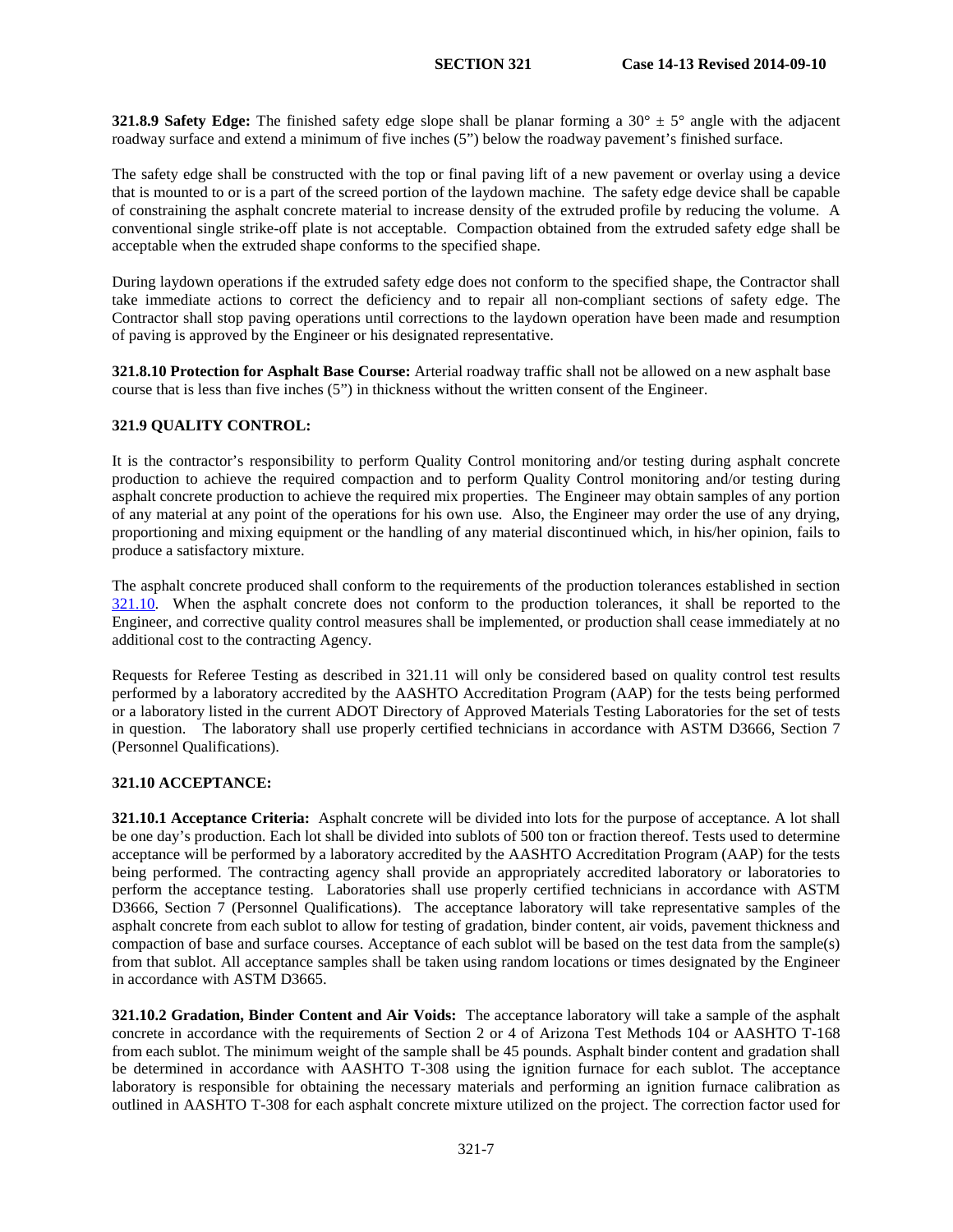**321.8.9 Safety Edge:** The finished safety edge slope shall be planar forming a  $30^\circ \pm 5^\circ$  angle with the adjacent roadway surface and extend a minimum of five inches (5") below the roadway pavement's finished surface.

The safety edge shall be constructed with the top or final paving lift of a new pavement or overlay using a device that is mounted to or is a part of the screed portion of the laydown machine. The safety edge device shall be capable of constraining the asphalt concrete material to increase density of the extruded profile by reducing the volume. A conventional single strike-off plate is not acceptable. Compaction obtained from the extruded safety edge shall be acceptable when the extruded shape conforms to the specified shape.

During laydown operations if the extruded safety edge does not conform to the specified shape, the Contractor shall take immediate actions to correct the deficiency and to repair all non-compliant sections of safety edge. The Contractor shall stop paving operations until corrections to the laydown operation have been made and resumption of paving is approved by the Engineer or his designated representative.

**321.8.10 Protection for Asphalt Base Course:** Arterial roadway traffic shall not be allowed on a new asphalt base course that is less than five inches (5") in thickness without the written consent of the Engineer.

### **321.9 QUALITY CONTROL:**

It is the contractor's responsibility to perform Quality Control monitoring and/or testing during asphalt concrete production to achieve the required compaction and to perform Quality Control monitoring and/or testing during asphalt concrete production to achieve the required mix properties. The Engineer may obtain samples of any portion of any material at any point of the operations for his own use. Also, the Engineer may order the use of any drying, proportioning and mixing equipment or the handling of any material discontinued which, in his/her opinion, fails to produce a satisfactory mixture.

The asphalt concrete produced shall conform to the requirements of the production tolerances established in section [321.10.](#page-8-0) When the asphalt concrete does not conform to the production tolerances, it shall be reported to the Engineer, and corrective quality control measures shall be implemented, or production shall cease immediately at no additional cost to the contracting Agency.

Requests for Referee Testing as described in 321.11 will only be considered based on quality control test results performed by a laboratory accredited by the AASHTO Accreditation Program (AAP) for the tests being performed or a laboratory listed in the current ADOT Directory of Approved Materials Testing Laboratories for the set of tests in question. The laboratory shall use properly certified technicians in accordance with ASTM D3666, Section 7 (Personnel Qualifications).

# **321.10 ACCEPTANCE:**

**321.10.1 Acceptance Criteria:** Asphalt concrete will be divided into lots for the purpose of acceptance. A lot shall be one day's production. Each lot shall be divided into sublots of 500 ton or fraction thereof. Tests used to determine acceptance will be performed by a laboratory accredited by the AASHTO Accreditation Program (AAP) for the tests being performed. The contracting agency shall provide an appropriately accredited laboratory or laboratories to perform the acceptance testing. Laboratories shall use properly certified technicians in accordance with ASTM D3666, Section 7 (Personnel Qualifications). The acceptance laboratory will take representative samples of the asphalt concrete from each sublot to allow for testing of gradation, binder content, air voids, pavement thickness and compaction of base and surface courses. Acceptance of each sublot will be based on the test data from the sample(s) from that sublot. All acceptance samples shall be taken using random locations or times designated by the Engineer in accordance with ASTM D3665.

**321.10.2 Gradation, Binder Content and Air Voids:** The acceptance laboratory will take a sample of the asphalt concrete in accordance with the requirements of Section 2 or 4 of Arizona Test Methods 104 or AASHTO T-168 from each sublot. The minimum weight of the sample shall be 45 pounds. Asphalt binder content and gradation shall be determined in accordance with AASHTO T-308 using the ignition furnace for each sublot. The acceptance laboratory is responsible for obtaining the necessary materials and performing an ignition furnace calibration as outlined in AASHTO T-308 for each asphalt concrete mixture utilized on the project. The correction factor used for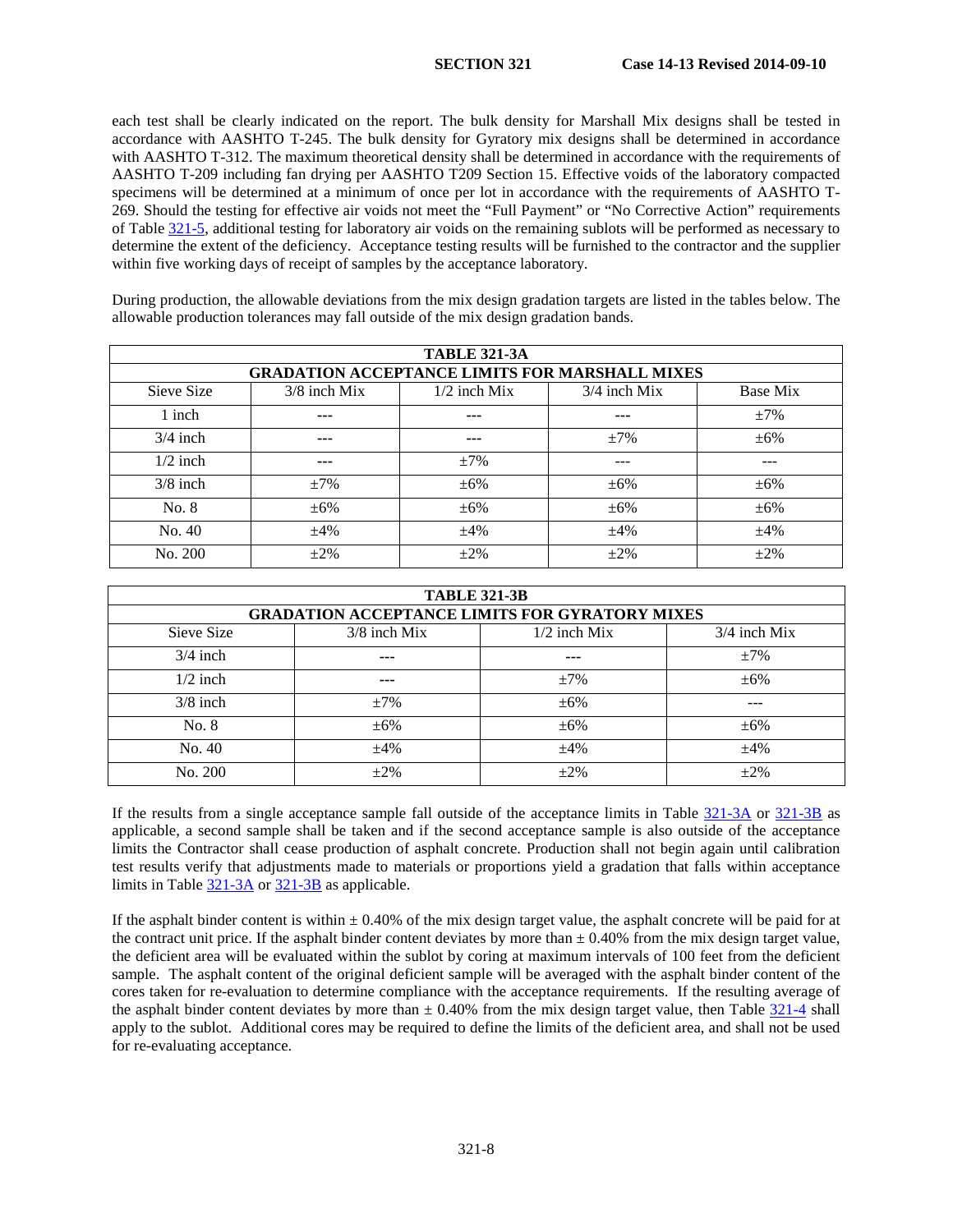each test shall be clearly indicated on the report. The bulk density for Marshall Mix designs shall be tested in accordance with AASHTO T-245. The bulk density for Gyratory mix designs shall be determined in accordance with AASHTO T-312. The maximum theoretical density shall be determined in accordance with the requirements of AASHTO T-209 including fan drying per AASHTO T209 Section 15. Effective voids of the laboratory compacted specimens will be determined at a minimum of once per lot in accordance with the requirements of AASHTO T-269. Should the testing for effective air voids not meet the "Full Payment" or "No Corrective Action" requirements of Table [321-5,](#page-7-0) additional testing for laboratory air voids on the remaining sublots will be performed as necessary to determine the extent of the deficiency. Acceptance testing results will be furnished to the contractor and the supplier within five working days of receipt of samples by the acceptance laboratory.

During production, the allowable deviations from the mix design gradation targets are listed in the tables below. The allowable production tolerances may fall outside of the mix design gradation bands.

|            | <b>TABLE 321-3A</b>                                   |                |                |           |  |
|------------|-------------------------------------------------------|----------------|----------------|-----------|--|
|            | <b>GRADATION ACCEPTANCE LIMITS FOR MARSHALL MIXES</b> |                |                |           |  |
| Sieve Size | $3/8$ inch Mix                                        | $1/2$ inch Mix | $3/4$ inch Mix | Base Mix  |  |
| 1 inch     | ---                                                   | ---            | ---            | $\pm 7\%$ |  |
| $3/4$ inch | ---                                                   | ---            | $\pm 7\%$      | $\pm 6\%$ |  |
| $1/2$ inch | ---                                                   | $\pm 7\%$      | ---            | ---       |  |
| $3/8$ inch | $\pm 7\%$                                             | $\pm 6\%$      | $\pm 6\%$      | $\pm 6\%$ |  |
| No. 8      | $\pm 6\%$                                             | $\pm 6\%$      | $\pm 6\%$      | $\pm 6\%$ |  |
| No. 40     | $\pm 4\%$                                             | ±4%            | $\pm 4\%$      | $\pm 4\%$ |  |
| No. 200    | $+2\%$                                                | $+2\%$         | $\pm 2\%$      | $+2%$     |  |

| <b>TABLE 321-3B</b> |                                                       |                |                |  |
|---------------------|-------------------------------------------------------|----------------|----------------|--|
|                     | <b>GRADATION ACCEPTANCE LIMITS FOR GYRATORY MIXES</b> |                |                |  |
| Sieve Size          | $3/8$ inch Mix                                        | $1/2$ inch Mix | $3/4$ inch Mix |  |
| $3/4$ inch          | ---                                                   | $---$          | $\pm 7\%$      |  |
| $1/2$ inch          | ---                                                   | $\pm 7\%$      | $\pm 6\%$      |  |
| $3/8$ inch          | $\pm 7\%$                                             | $\pm 6\%$      |                |  |
| No. 8               | $\pm 6\%$                                             | $\pm 6\%$      | $\pm 6\%$      |  |
| No. 40              | $\pm 4\%$                                             | $\pm 4\%$      | $\pm 4\%$      |  |
| No. 200             | $+2\%$                                                | $+2\%$         | $+2\%$         |  |

If the results from a single acceptance sample fall outside of the acceptance limits in Table [321-3A](#page-9-0) or [321-3B](#page-9-1) as applicable, a second sample shall be taken and if the second acceptance sample is also outside of the acceptance limits the Contractor shall cease production of asphalt concrete. Production shall not begin again until calibration test results verify that adjustments made to materials or proportions yield a gradation that falls within acceptance limits in Table [321-3A](#page-9-0) o[r 321-3B](#page-9-1) as applicable.

If the asphalt binder content is within  $\pm 0.40\%$  of the mix design target value, the asphalt concrete will be paid for at the contract unit price. If the asphalt binder content deviates by more than  $\pm$  0.40% from the mix design target value, the deficient area will be evaluated within the sublot by coring at maximum intervals of 100 feet from the deficient sample. The asphalt content of the original deficient sample will be averaged with the asphalt binder content of the cores taken for re-evaluation to determine compliance with the acceptance requirements. If the resulting average of the asphalt binder content deviates by more than  $\pm$  0.40% from the mix design target value, then Table [321-4](#page-2-0) shall apply to the sublot. Additional cores may be required to define the limits of the deficient area, and shall not be used for re-evaluating acceptance.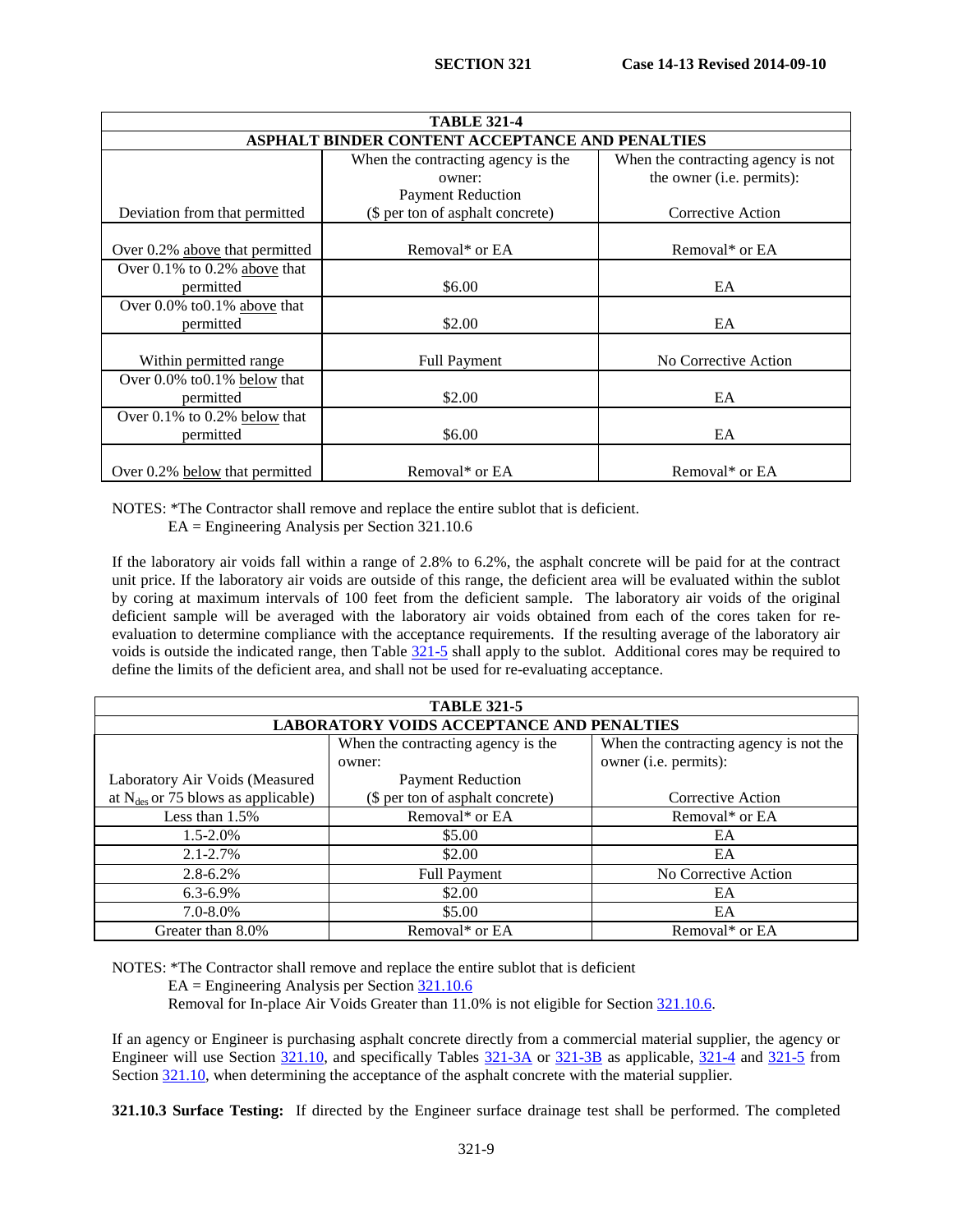| <b>TABLE 321-4</b>                 |                                                        |                                    |  |  |
|------------------------------------|--------------------------------------------------------|------------------------------------|--|--|
|                                    | <b>ASPHALT BINDER CONTENT ACCEPTANCE AND PENALTIES</b> |                                    |  |  |
|                                    | When the contracting agency is the                     | When the contracting agency is not |  |  |
|                                    | owner:                                                 | the owner (i.e. permits):          |  |  |
|                                    | <b>Payment Reduction</b>                               |                                    |  |  |
| Deviation from that permitted      | (\$ per ton of asphalt concrete)                       | Corrective Action                  |  |  |
|                                    |                                                        |                                    |  |  |
| Over 0.2% above that permitted     | Removal* or EA                                         | Removal* or EA                     |  |  |
| Over $0.1\%$ to $0.2\%$ above that |                                                        |                                    |  |  |
| permitted                          | \$6.00                                                 | EA                                 |  |  |
| Over 0.0% to 0.1% above that       |                                                        |                                    |  |  |
| permitted                          | \$2.00                                                 | EA                                 |  |  |
|                                    |                                                        |                                    |  |  |
| Within permitted range             | <b>Full Payment</b>                                    | No Corrective Action               |  |  |
| Over $0.0\%$ to $0.1\%$ below that |                                                        |                                    |  |  |
| permitted                          | \$2.00                                                 | EA                                 |  |  |
| Over 0.1% to 0.2% below that       |                                                        |                                    |  |  |
| permitted                          | \$6.00                                                 | EA                                 |  |  |
|                                    |                                                        |                                    |  |  |
| Over 0.2% below that permitted     | Removal* or EA                                         | Removal* or EA                     |  |  |

NOTES: \*The Contractor shall remove and replace the entire sublot that is deficient.

EA = Engineering Analysis per Section 321.10.6

If the laboratory air voids fall within a range of 2.8% to 6.2%, the asphalt concrete will be paid for at the contract unit price. If the laboratory air voids are outside of this range, the deficient area will be evaluated within the sublot by coring at maximum intervals of 100 feet from the deficient sample. The laboratory air voids of the original deficient sample will be averaged with the laboratory air voids obtained from each of the cores taken for reevaluation to determine compliance with the acceptance requirements. If the resulting average of the laboratory air voids is outside the indicated range, then Table [321-5](#page-7-0) shall apply to the sublot. Additional cores may be required to define the limits of the deficient area, and shall not be used for re-evaluating acceptance.

| <b>TABLE 321-5</b>                               |                                    |                                        |  |
|--------------------------------------------------|------------------------------------|----------------------------------------|--|
| <b>LABORATORY VOIDS ACCEPTANCE AND PENALTIES</b> |                                    |                                        |  |
|                                                  | When the contracting agency is the | When the contracting agency is not the |  |
|                                                  | owner:                             | owner (i.e. permits):                  |  |
| Laboratory Air Voids (Measured                   | <b>Payment Reduction</b>           |                                        |  |
| at $N_{des}$ or 75 blows as applicable)          | (\$ per ton of asphalt concrete)   | Corrective Action                      |  |
| Less than $1.5\%$                                | Removal* or EA                     | Removal* or EA                         |  |
| $1.5 - 2.0\%$                                    | \$5.00                             | EA                                     |  |
| $2.1 - 2.7\%$                                    | \$2.00                             | EA                                     |  |
| $2.8 - 6.2\%$                                    | <b>Full Payment</b>                | No Corrective Action                   |  |
| $6.3 - 6.9\%$                                    | \$2.00                             | EA                                     |  |
| $7.0 - 8.0\%$                                    | \$5.00                             | EA                                     |  |
| Greater than 8.0%                                | Removal* or EA                     | Removal* or EA                         |  |

NOTES: \*The Contractor shall remove and replace the entire sublot that is deficient

EA = Engineering Analysis per Sectio[n 321.10.6](#page-14-0)

Removal for In-place Air Voids Greater than 11.0% is not eligible for Section [321.10.6.](#page-14-0)

If an agency or Engineer is purchasing asphalt concrete directly from a commercial material supplier, the agency or Engineer will use Section [321.10,](#page-8-0) and specifically Tables [321-3A](#page-9-0) or [321-3B](#page-9-1) as applicable, [321-4](#page-2-0) and [321-5](#page-7-0) from Section [321.10,](#page-8-0) when determining the acceptance of the asphalt concrete with the material supplier.

**321.10.3 Surface Testing:** If directed by the Engineer surface drainage test shall be performed. The completed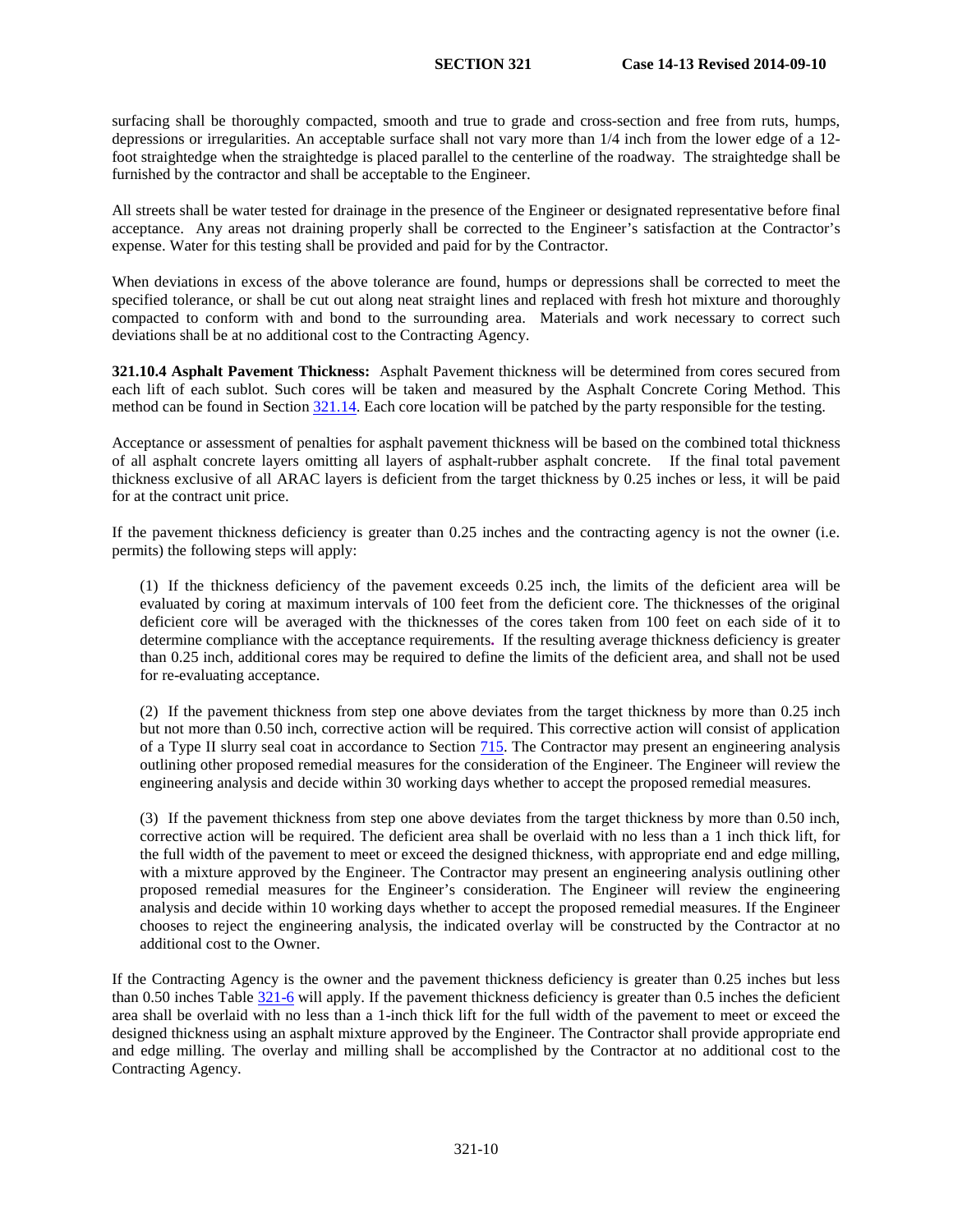surfacing shall be thoroughly compacted, smooth and true to grade and cross-section and free from ruts, humps, depressions or irregularities. An acceptable surface shall not vary more than 1/4 inch from the lower edge of a 12 foot straightedge when the straightedge is placed parallel to the centerline of the roadway. The straightedge shall be furnished by the contractor and shall be acceptable to the Engineer.

All streets shall be water tested for drainage in the presence of the Engineer or designated representative before final acceptance. Any areas not draining properly shall be corrected to the Engineer's satisfaction at the Contractor's expense. Water for this testing shall be provided and paid for by the Contractor.

When deviations in excess of the above tolerance are found, humps or depressions shall be corrected to meet the specified tolerance, or shall be cut out along neat straight lines and replaced with fresh hot mixture and thoroughly compacted to conform with and bond to the surrounding area. Materials and work necessary to correct such deviations shall be at no additional cost to the Contracting Agency.

**321.10.4 Asphalt Pavement Thickness:** Asphalt Pavement thickness will be determined from cores secured from each lift of each sublot. Such cores will be taken and measured by the Asphalt Concrete Coring Method. This method can be found in Section [321.14.](#page-16-0) Each core location will be patched by the party responsible for the testing.

Acceptance or assessment of penalties for asphalt pavement thickness will be based on the combined total thickness of all asphalt concrete layers omitting all layers of asphalt-rubber asphalt concrete. If the final total pavement thickness exclusive of all ARAC layers is deficient from the target thickness by 0.25 inches or less, it will be paid for at the contract unit price.

If the pavement thickness deficiency is greater than 0.25 inches and the contracting agency is not the owner (i.e. permits) the following steps will apply:

(1) If the thickness deficiency of the pavement exceeds 0.25 inch, the limits of the deficient area will be evaluated by coring at maximum intervals of 100 feet from the deficient core. The thicknesses of the original deficient core will be averaged with the thicknesses of the cores taken from 100 feet on each side of it to determine compliance with the acceptance requirements**.** If the resulting average thickness deficiency is greater than 0.25 inch, additional cores may be required to define the limits of the deficient area, and shall not be used for re-evaluating acceptance.

(2) If the pavement thickness from step one above deviates from the target thickness by more than 0.25 inch but not more than 0.50 inch, corrective action will be required. This corrective action will consist of application of a Type II slurry seal coat in accordance to Section 715. The Contractor may present an engineering analysis outlining other proposed remedial measures for the consideration of the Engineer. The Engineer will review the engineering analysis and decide within 30 working days whether to accept the proposed remedial measures.

(3) If the pavement thickness from step one above deviates from the target thickness by more than 0.50 inch, corrective action will be required. The deficient area shall be overlaid with no less than a 1 inch thick lift, for the full width of the pavement to meet or exceed the designed thickness, with appropriate end and edge milling, with a mixture approved by the Engineer. The Contractor may present an engineering analysis outlining other proposed remedial measures for the Engineer's consideration. The Engineer will review the engineering analysis and decide within 10 working days whether to accept the proposed remedial measures. If the Engineer chooses to reject the engineering analysis, the indicated overlay will be constructed by the Contractor at no additional cost to the Owner.

If the Contracting Agency is the owner and the pavement thickness deficiency is greater than 0.25 inches but less than 0.50 inches Tabl[e 321-6](#page-8-1) will apply. If the pavement thickness deficiency is greater than 0.5 inches the deficient area shall be overlaid with no less than a 1-inch thick lift for the full width of the pavement to meet or exceed the designed thickness using an asphalt mixture approved by the Engineer. The Contractor shall provide appropriate end and edge milling. The overlay and milling shall be accomplished by the Contractor at no additional cost to the Contracting Agency.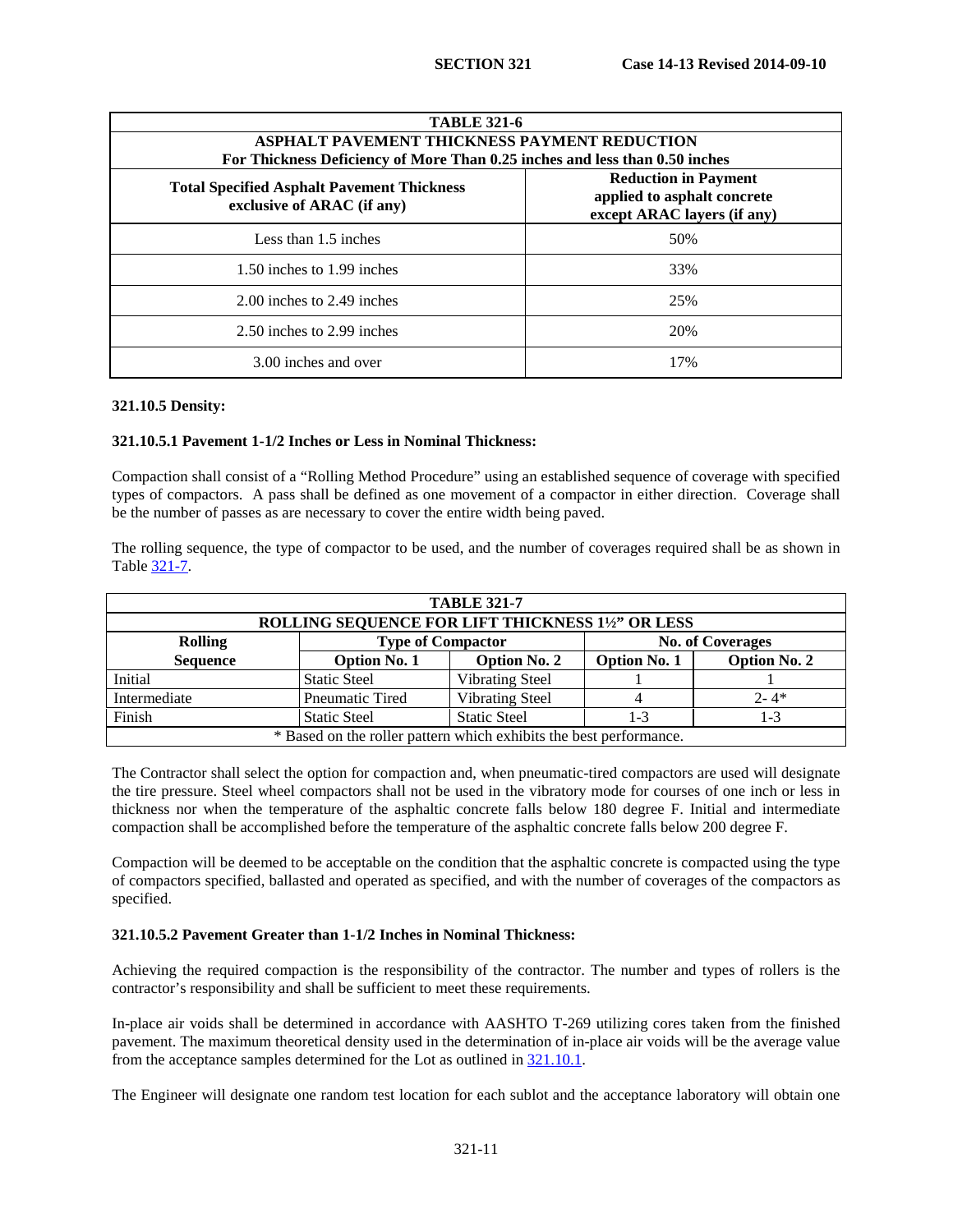| <b>TABLE 321-6</b>                                                                                                                                                           |     |  |  |
|------------------------------------------------------------------------------------------------------------------------------------------------------------------------------|-----|--|--|
| <b>ASPHALT PAVEMENT THICKNESS PAYMENT REDUCTION</b><br>For Thickness Deficiency of More Than 0.25 inches and less than 0.50 inches                                           |     |  |  |
| <b>Reduction in Payment</b><br><b>Total Specified Asphalt Pavement Thickness</b><br>applied to asphalt concrete<br>exclusive of ARAC (if any)<br>except ARAC layers (if any) |     |  |  |
| Less than 1.5 inches                                                                                                                                                         | 50% |  |  |
| 1.50 inches to 1.99 inches                                                                                                                                                   | 33% |  |  |
| 2.00 inches to 2.49 inches                                                                                                                                                   | 25% |  |  |
| 2.50 inches to 2.99 inches                                                                                                                                                   | 20% |  |  |
| 3.00 inches and over                                                                                                                                                         | 17% |  |  |

### **321.10.5 Density:**

### **321.10.5.1 Pavement 1-1/2 Inches or Less in Nominal Thickness:**

Compaction shall consist of a "Rolling Method Procedure" using an established sequence of coverage with specified types of compactors. A pass shall be defined as one movement of a compactor in either direction. Coverage shall be the number of passes as are necessary to cover the entire width being paved.

The rolling sequence, the type of compactor to be used, and the number of coverages required shall be as shown in Table [321-7.](#page-13-0)

| <b>TABLE 321-7</b>                                                    |                                                   |                        |                     |                     |
|-----------------------------------------------------------------------|---------------------------------------------------|------------------------|---------------------|---------------------|
|                                                                       | ROLLING SEQUENCE FOR LIFT THICKNESS 11/2" OR LESS |                        |                     |                     |
| <b>Type of Compactor</b><br><b>No. of Coverages</b><br><b>Rolling</b> |                                                   |                        |                     |                     |
| <b>Sequence</b>                                                       | <b>Option No. 1</b>                               | <b>Option No. 2</b>    | <b>Option No. 1</b> | <b>Option No. 2</b> |
| Initial                                                               | <b>Static Steel</b>                               | <b>Vibrating Steel</b> |                     |                     |
| Intermediate                                                          | <b>Pneumatic Tired</b>                            | <b>Vibrating Steel</b> |                     | $2 - 4*$            |
| Finish                                                                | <b>Static Steel</b>                               | <b>Static Steel</b>    | 1-3                 | $1 - 3$             |
| * Based on the roller pattern which exhibits the best performance.    |                                                   |                        |                     |                     |

The Contractor shall select the option for compaction and, when pneumatic-tired compactors are used will designate the tire pressure. Steel wheel compactors shall not be used in the vibratory mode for courses of one inch or less in thickness nor when the temperature of the asphaltic concrete falls below 180 degree F. Initial and intermediate compaction shall be accomplished before the temperature of the asphaltic concrete falls below 200 degree F.

Compaction will be deemed to be acceptable on the condition that the asphaltic concrete is compacted using the type of compactors specified, ballasted and operated as specified, and with the number of coverages of the compactors as specified.

### **321.10.5.2 Pavement Greater than 1-1/2 Inches in Nominal Thickness:**

Achieving the required compaction is the responsibility of the contractor. The number and types of rollers is the contractor's responsibility and shall be sufficient to meet these requirements.

In-place air voids shall be determined in accordance with AASHTO T-269 utilizing cores taken from the finished pavement. The maximum theoretical density used in the determination of in-place air voids will be the average value from the acceptance samples determined for the Lot as outlined in [321.10.1.](#page-8-2)

The Engineer will designate one random test location for each sublot and the acceptance laboratory will obtain one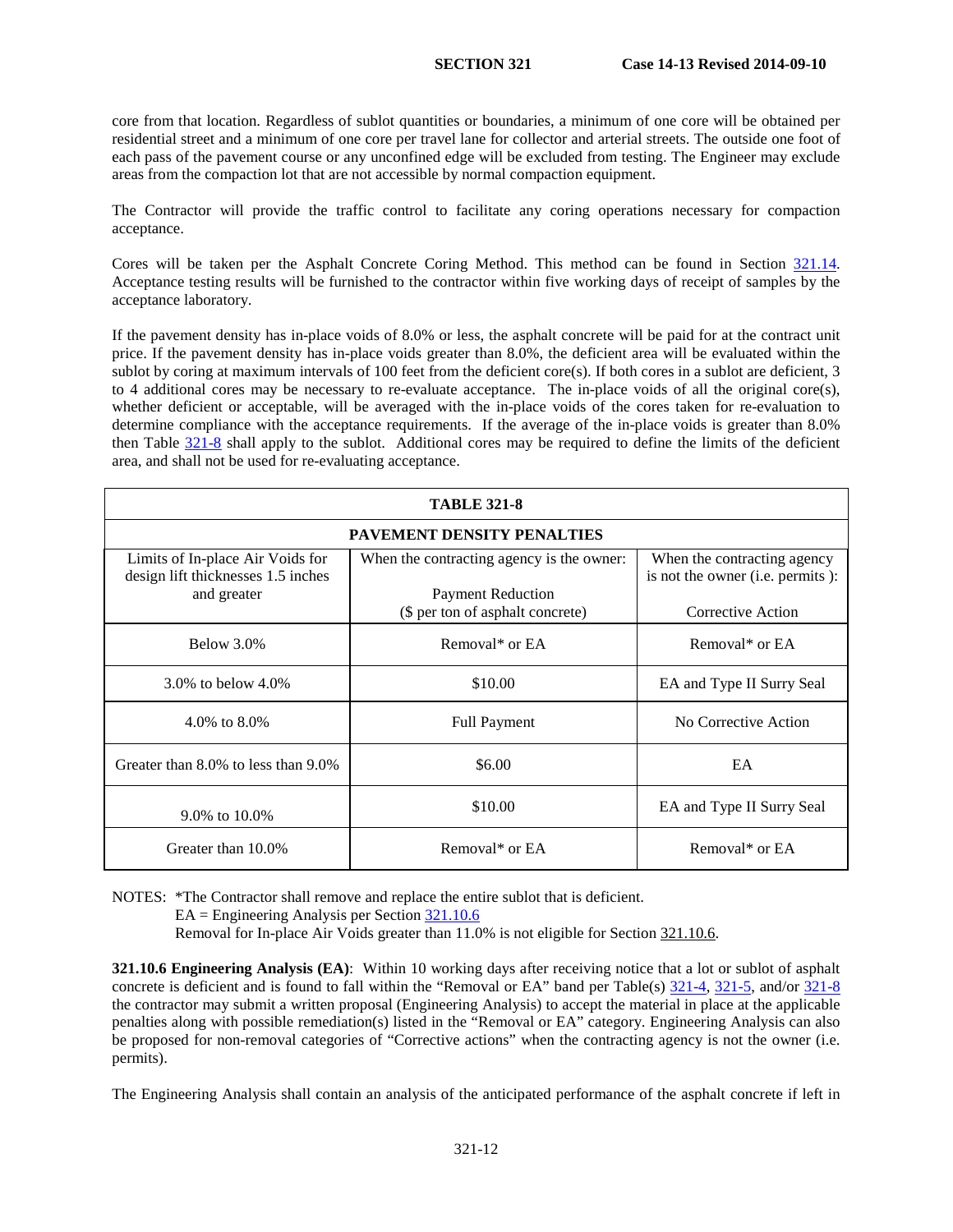core from that location. Regardless of sublot quantities or boundaries, a minimum of one core will be obtained per residential street and a minimum of one core per travel lane for collector and arterial streets. The outside one foot of each pass of the pavement course or any unconfined edge will be excluded from testing. The Engineer may exclude areas from the compaction lot that are not accessible by normal compaction equipment.

The Contractor will provide the traffic control to facilitate any coring operations necessary for compaction acceptance.

Cores will be taken per the Asphalt Concrete Coring Method. This method can be found in Section [321.14.](#page-16-0) Acceptance testing results will be furnished to the contractor within five working days of receipt of samples by the acceptance laboratory.

If the pavement density has in-place voids of 8.0% or less, the asphalt concrete will be paid for at the contract unit price. If the pavement density has in-place voids greater than 8.0%, the deficient area will be evaluated within the sublot by coring at maximum intervals of  $100$  feet from the deficient core(s). If both cores in a sublot are deficient, 3 to 4 additional cores may be necessary to re-evaluate acceptance. The in-place voids of all the original core(s), whether deficient or acceptable, will be averaged with the in-place voids of the cores taken for re-evaluation to determine compliance with the acceptance requirements. If the average of the in-place voids is greater than 8.0% then Table 321-8 shall apply to the sublot. Additional cores may be required to define the limits of the deficient area, and shall not be used for re-evaluating acceptance.

| <b>TABLE 321-8</b>                                                     |                                                              |                                                                 |  |
|------------------------------------------------------------------------|--------------------------------------------------------------|-----------------------------------------------------------------|--|
| <b>PAVEMENT DENSITY PENALTIES</b>                                      |                                                              |                                                                 |  |
| Limits of In-place Air Voids for<br>design lift thicknesses 1.5 inches | When the contracting agency is the owner:                    | When the contracting agency<br>is not the owner (i.e. permits): |  |
| and greater                                                            | <b>Payment Reduction</b><br>(\$ per ton of asphalt concrete) | Corrective Action                                               |  |
| Below 3.0%                                                             | Removal* or EA                                               | Removal* or EA                                                  |  |
| 3.0\% to below $4.0\%$                                                 | \$10.00                                                      | EA and Type II Surry Seal                                       |  |
| 4.0\% to $8.0\%$                                                       | <b>Full Payment</b>                                          | No Corrective Action                                            |  |
| Greater than 8.0% to less than 9.0%                                    | \$6.00                                                       | EA                                                              |  |
| 9.0% to 10.0%                                                          | \$10.00                                                      | EA and Type II Surry Seal                                       |  |
| Greater than 10.0%                                                     | Removal* or EA                                               | Removal* or EA                                                  |  |

NOTES: \*The Contractor shall remove and replace the entire sublot that is deficient.

EA = Engineering Analysis per Section [321.10.6](#page-14-0)

Removal for In-place Air Voids greater than 11.0% is not eligible for Sectio[n 321.10.6.](#page-14-0)

**321.10.6 Engineering Analysis (EA)**: Within 10 working days after receiving notice that a lot or sublot of asphalt concrete is deficient and is found to fall within the "Removal or EA" band per Table(s)  $\frac{321-4}{21-4}$ ,  $\frac{321-5}{21-8}$ , and/or  $\frac{321-8}{21-8}$ the contractor may submit a written proposal (Engineering Analysis) to accept the material in place at the applicable penalties along with possible remediation(s) listed in the "Removal or EA" category. Engineering Analysis can also be proposed for non-removal categories of "Corrective actions" when the contracting agency is not the owner (i.e. permits).

The Engineering Analysis shall contain an analysis of the anticipated performance of the asphalt concrete if left in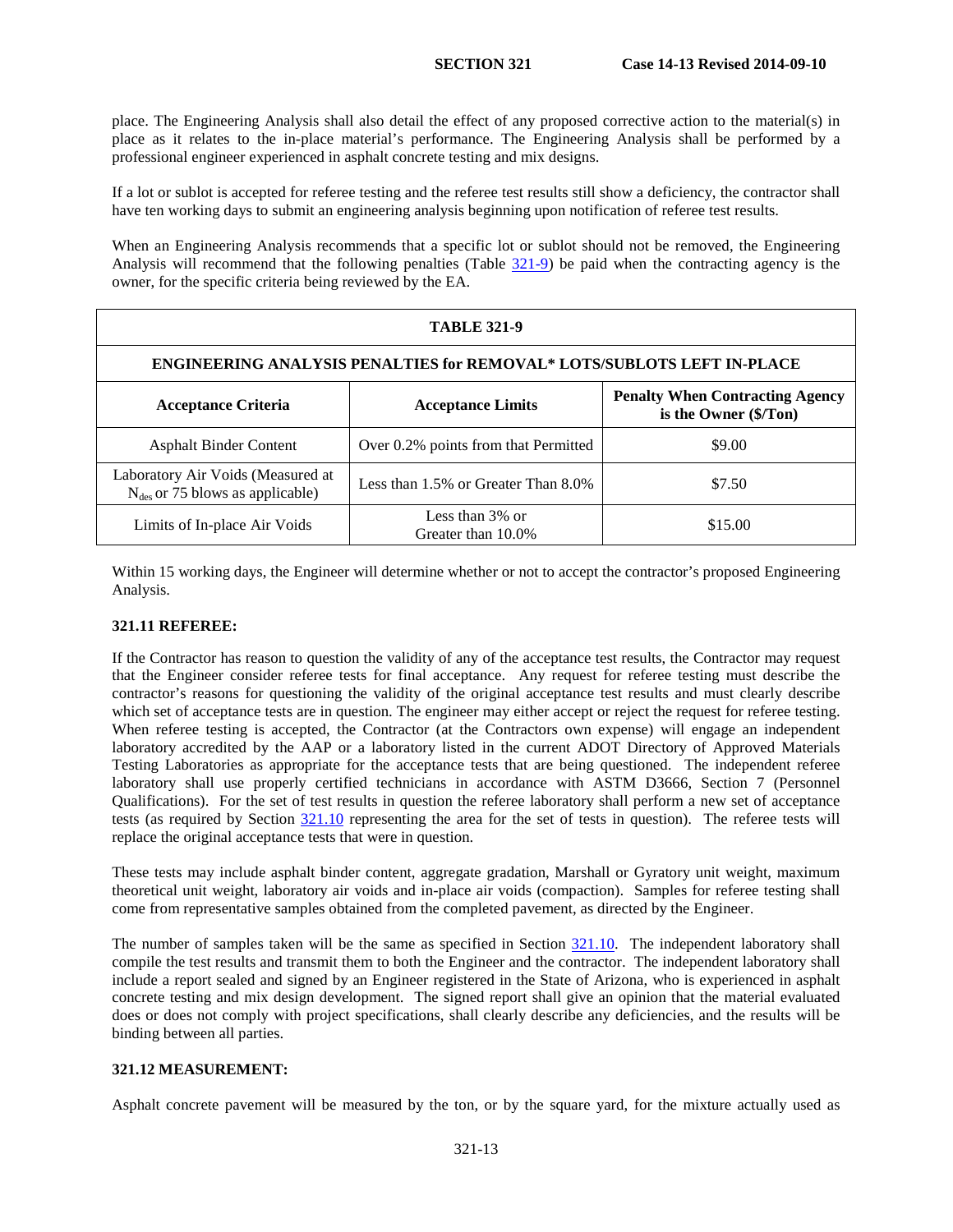place. The Engineering Analysis shall also detail the effect of any proposed corrective action to the material(s) in place as it relates to the in-place material's performance. The Engineering Analysis shall be performed by a professional engineer experienced in asphalt concrete testing and mix designs.

If a lot or sublot is accepted for referee testing and the referee test results still show a deficiency, the contractor shall have ten working days to submit an engineering analysis beginning upon notification of referee test results.

When an Engineering Analysis recommends that a specific lot or sublot should not be removed, the Engineering Analysis will recommend that the following penalties (Table [321-9\)](#page-15-0) be paid when the contracting agency is the owner, for the specific criteria being reviewed by the EA.

| <b>TABLE 321-9</b>                                                               |                                       |                                                                 |  |
|----------------------------------------------------------------------------------|---------------------------------------|-----------------------------------------------------------------|--|
| <b>ENGINEERING ANALYSIS PENALTIES for REMOVAL* LOTS/SUBLOTS LEFT IN-PLACE</b>    |                                       |                                                                 |  |
| <b>Acceptance Criteria</b>                                                       | <b>Acceptance Limits</b>              | <b>Penalty When Contracting Agency</b><br>is the Owner (\$/Ton) |  |
| <b>Asphalt Binder Content</b>                                                    | Over 0.2% points from that Permitted  | \$9.00                                                          |  |
| Laboratory Air Voids (Measured at<br>$N_{\text{des}}$ or 75 blows as applicable) | Less than 1.5% or Greater Than 8.0%   | \$7.50                                                          |  |
| Limits of In-place Air Voids                                                     | Less than 3% or<br>Greater than 10.0% | \$15.00                                                         |  |

Within 15 working days, the Engineer will determine whether or not to accept the contractor's proposed Engineering Analysis.

# **321.11 REFEREE:**

If the Contractor has reason to question the validity of any of the acceptance test results, the Contractor may request that the Engineer consider referee tests for final acceptance. Any request for referee testing must describe the contractor's reasons for questioning the validity of the original acceptance test results and must clearly describe which set of acceptance tests are in question. The engineer may either accept or reject the request for referee testing. When referee testing is accepted, the Contractor (at the Contractors own expense) will engage an independent laboratory accredited by the AAP or a laboratory listed in the current ADOT Directory of Approved Materials Testing Laboratories as appropriate for the acceptance tests that are being questioned. The independent referee laboratory shall use properly certified technicians in accordance with ASTM D3666, Section 7 (Personnel Qualifications). For the set of test results in question the referee laboratory shall perform a new set of acceptance tests (as required by Section [321.10](#page-8-0) representing the area for the set of tests in question). The referee tests will replace the original acceptance tests that were in question.

These tests may include asphalt binder content, aggregate gradation, Marshall or Gyratory unit weight, maximum theoretical unit weight, laboratory air voids and in-place air voids (compaction). Samples for referee testing shall come from representative samples obtained from the completed pavement, as directed by the Engineer.

The number of samples taken will be the same as specified in Section [321.10.](#page-8-0) The independent laboratory shall compile the test results and transmit them to both the Engineer and the contractor. The independent laboratory shall include a report sealed and signed by an Engineer registered in the State of Arizona, who is experienced in asphalt concrete testing and mix design development. The signed report shall give an opinion that the material evaluated does or does not comply with project specifications, shall clearly describe any deficiencies, and the results will be binding between all parties.

# **321.12 MEASUREMENT:**

Asphalt concrete pavement will be measured by the ton, or by the square yard, for the mixture actually used as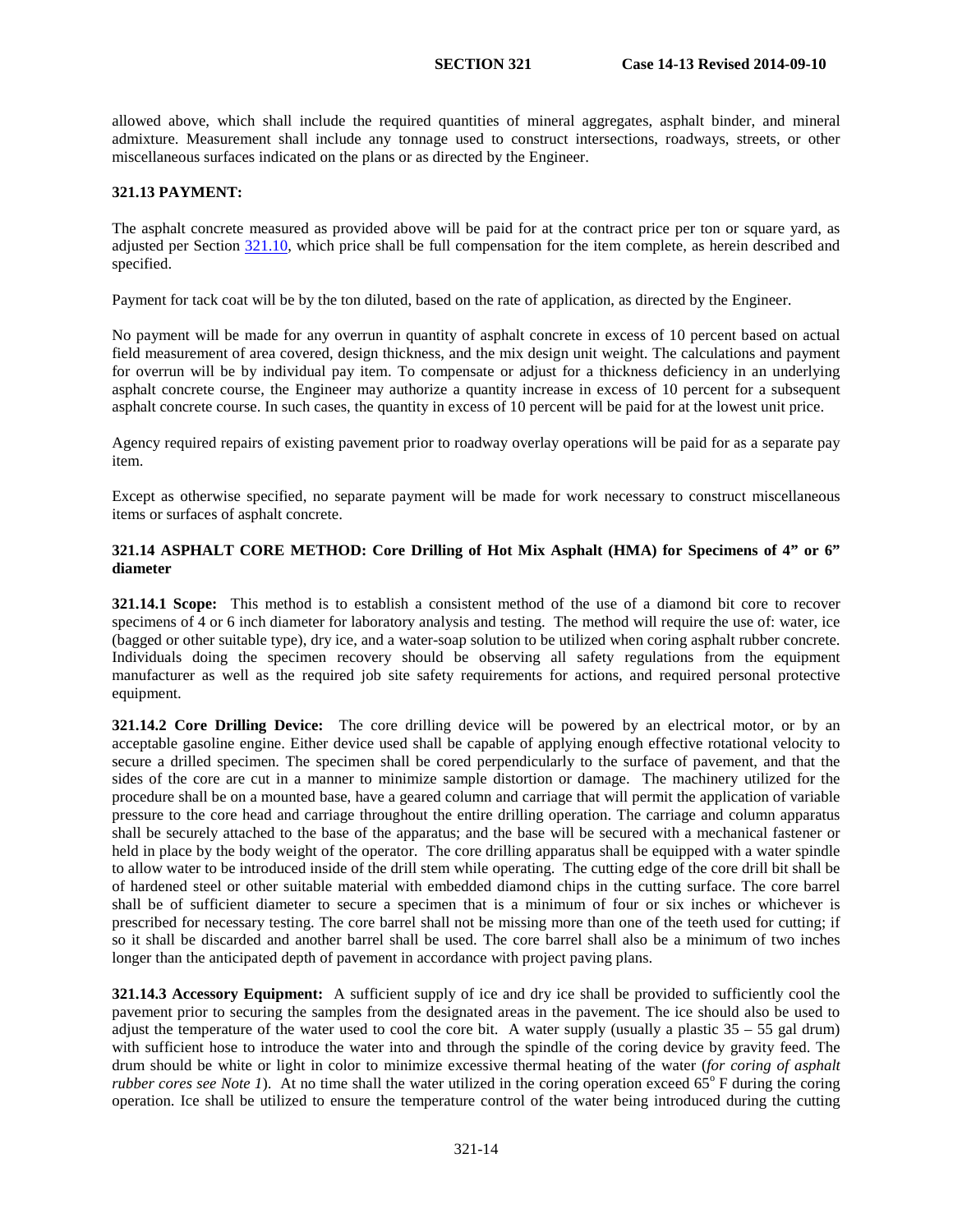allowed above, which shall include the required quantities of mineral aggregates, asphalt binder, and mineral admixture. Measurement shall include any tonnage used to construct intersections, roadways, streets, or other miscellaneous surfaces indicated on the plans or as directed by the Engineer.

### **321.13 PAYMENT:**

The asphalt concrete measured as provided above will be paid for at the contract price per ton or square yard, as adjusted per Section [321.10,](#page-8-0) which price shall be full compensation for the item complete, as herein described and specified.

Payment for tack coat will be by the ton diluted, based on the rate of application, as directed by the Engineer.

No payment will be made for any overrun in quantity of asphalt concrete in excess of 10 percent based on actual field measurement of area covered, design thickness, and the mix design unit weight. The calculations and payment for overrun will be by individual pay item. To compensate or adjust for a thickness deficiency in an underlying asphalt concrete course, the Engineer may authorize a quantity increase in excess of 10 percent for a subsequent asphalt concrete course. In such cases, the quantity in excess of 10 percent will be paid for at the lowest unit price.

Agency required repairs of existing pavement prior to roadway overlay operations will be paid for as a separate pay item.

Except as otherwise specified, no separate payment will be made for work necessary to construct miscellaneous items or surfaces of asphalt concrete.

### **321.14 ASPHALT CORE METHOD: Core Drilling of Hot Mix Asphalt (HMA) for Specimens of 4" or 6" diameter**

**321.14.1 Scope:** This method is to establish a consistent method of the use of a diamond bit core to recover specimens of 4 or 6 inch diameter for laboratory analysis and testing. The method will require the use of: water, ice (bagged or other suitable type), dry ice, and a water-soap solution to be utilized when coring asphalt rubber concrete. Individuals doing the specimen recovery should be observing all safety regulations from the equipment manufacturer as well as the required job site safety requirements for actions, and required personal protective equipment.

**321.14.2 Core Drilling Device:** The core drilling device will be powered by an electrical motor, or by an acceptable gasoline engine. Either device used shall be capable of applying enough effective rotational velocity to secure a drilled specimen. The specimen shall be cored perpendicularly to the surface of pavement, and that the sides of the core are cut in a manner to minimize sample distortion or damage. The machinery utilized for the procedure shall be on a mounted base, have a geared column and carriage that will permit the application of variable pressure to the core head and carriage throughout the entire drilling operation. The carriage and column apparatus shall be securely attached to the base of the apparatus; and the base will be secured with a mechanical fastener or held in place by the body weight of the operator. The core drilling apparatus shall be equipped with a water spindle to allow water to be introduced inside of the drill stem while operating. The cutting edge of the core drill bit shall be of hardened steel or other suitable material with embedded diamond chips in the cutting surface. The core barrel shall be of sufficient diameter to secure a specimen that is a minimum of four or six inches or whichever is prescribed for necessary testing. The core barrel shall not be missing more than one of the teeth used for cutting; if so it shall be discarded and another barrel shall be used. The core barrel shall also be a minimum of two inches longer than the anticipated depth of pavement in accordance with project paving plans.

**321.14.3 Accessory Equipment:** A sufficient supply of ice and dry ice shall be provided to sufficiently cool the pavement prior to securing the samples from the designated areas in the pavement. The ice should also be used to adjust the temperature of the water used to cool the core bit. A water supply (usually a plastic  $35 - 55$  gal drum) with sufficient hose to introduce the water into and through the spindle of the coring device by gravity feed. The drum should be white or light in color to minimize excessive thermal heating of the water (*for coring of asphalt rubber cores see Note 1*). At no time shall the water utilized in the coring operation exceed  $65^{\circ}$  F during the coring operation. Ice shall be utilized to ensure the temperature control of the water being introduced during the cutting